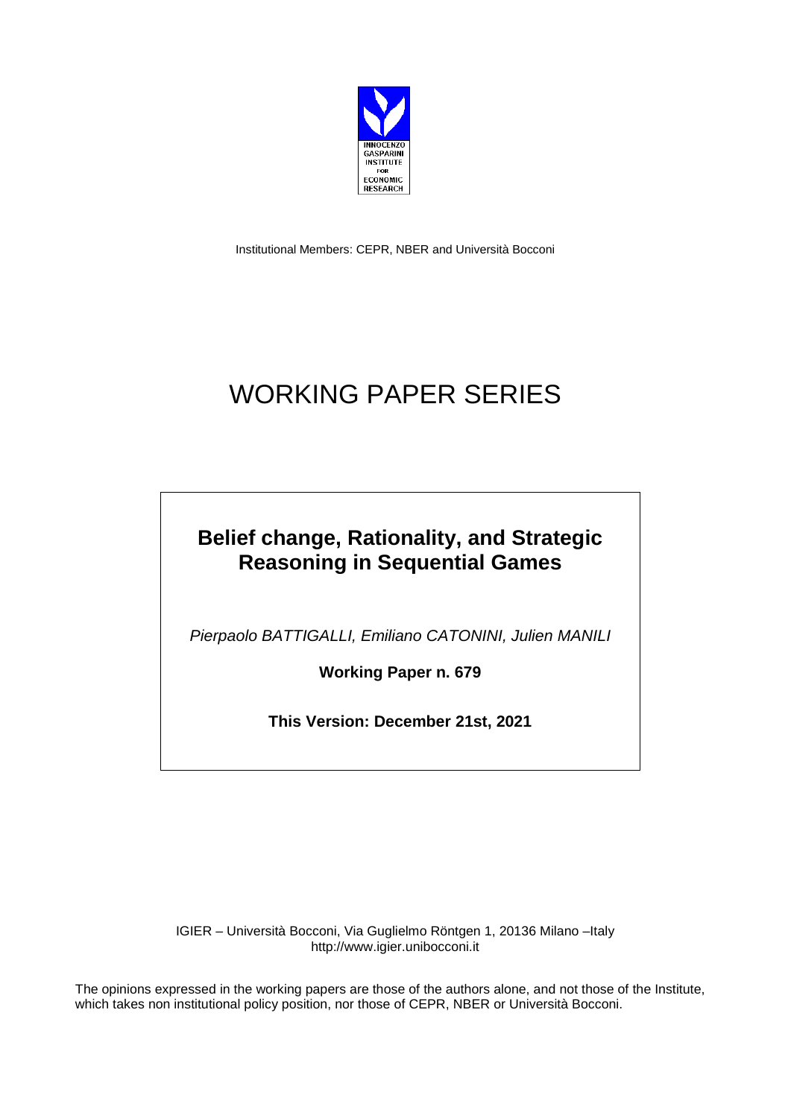

Institutional Members: CEPR, NBER and Università Bocconi

## WORKING PAPER SERIES

## **Belief change, Rationality, and Strategic Reasoning in Sequential Games**

*Pierpaolo BATTIGALLI, Emiliano CATONINI, Julien MANILI*

**Working Paper n. 679**

**This Version: December 21st, 2021**

IGIER – Università Bocconi, Via Guglielmo Röntgen 1, 20136 Milano –Italy http://www.igier.unibocconi.it

The opinions expressed in the working papers are those of the authors alone, and not those of the Institute, which takes non institutional policy position, nor those of CEPR, NBER or Università Bocconi.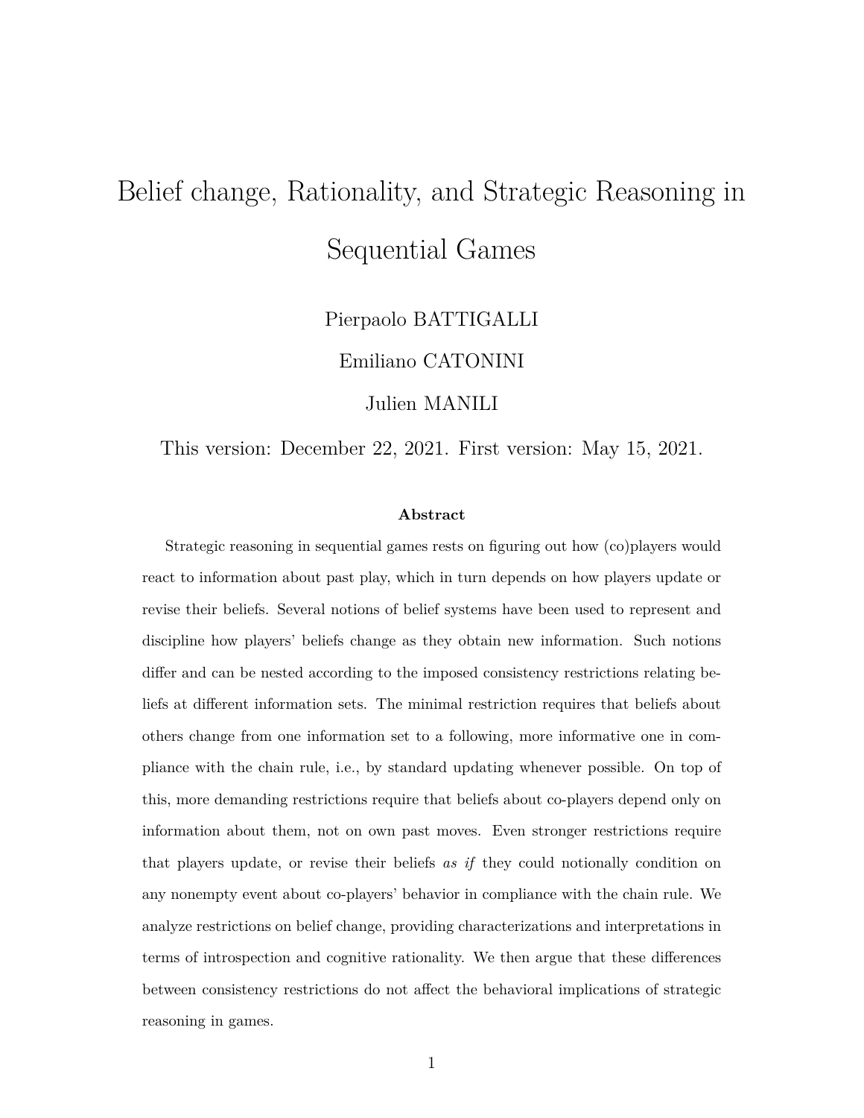# Belief change, Rationality, and Strategic Reasoning in Sequential Games

Pierpaolo BATTIGALLI

Emiliano CATONINI

Julien MANILI

This version: December 22, 2021. First version: May 15, 2021.

#### **Abstract**

Strategic reasoning in sequential games rests on figuring out how (co)players would react to information about past play, which in turn depends on how players update or revise their beliefs. Several notions of belief systems have been used to represent and discipline how players' beliefs change as they obtain new information. Such notions differ and can be nested according to the imposed consistency restrictions relating beliefs at different information sets. The minimal restriction requires that beliefs about others change from one information set to a following, more informative one in compliance with the chain rule, i.e., by standard updating whenever possible. On top of this, more demanding restrictions require that beliefs about co-players depend only on information about them, not on own past moves. Even stronger restrictions require that players update, or revise their beliefs *as if* they could notionally condition on any nonempty event about co-players' behavior in compliance with the chain rule. We analyze restrictions on belief change, providing characterizations and interpretations in terms of introspection and cognitive rationality. We then argue that these differences between consistency restrictions do not affect the behavioral implications of strategic reasoning in games.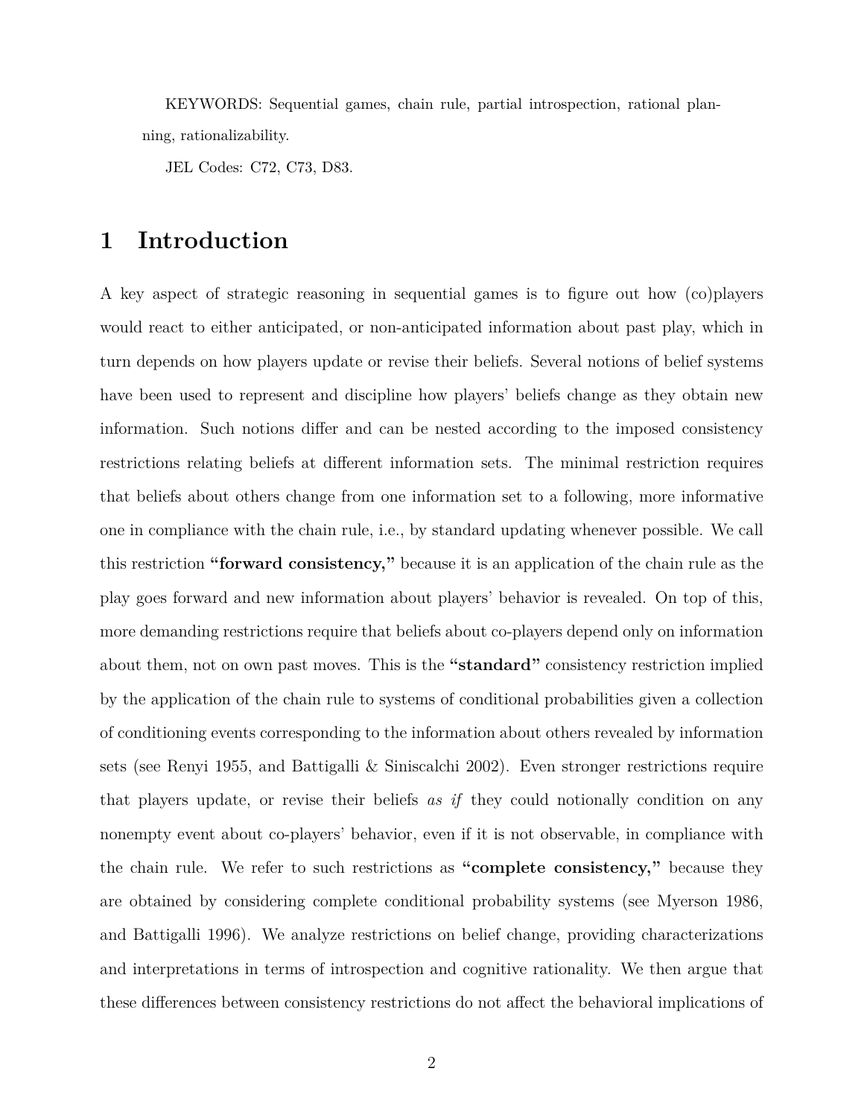KEYWORDS: Sequential games, chain rule, partial introspection, rational planning, rationalizability.

JEL Codes: C72, C73, D83.

## **1 Introduction**

A key aspect of strategic reasoning in sequential games is to figure out how (co)players would react to either anticipated, or non-anticipated information about past play, which in turn depends on how players update or revise their beliefs. Several notions of belief systems have been used to represent and discipline how players' beliefs change as they obtain new information. Such notions differ and can be nested according to the imposed consistency restrictions relating beliefs at different information sets. The minimal restriction requires that beliefs about others change from one information set to a following, more informative one in compliance with the chain rule, i.e., by standard updating whenever possible. We call this restriction **"forward consistency,"** because it is an application of the chain rule as the play goes forward and new information about players' behavior is revealed. On top of this, more demanding restrictions require that beliefs about co-players depend only on information about them, not on own past moves. This is the **"standard"** consistency restriction implied by the application of the chain rule to systems of conditional probabilities given a collection of conditioning events corresponding to the information about others revealed by information sets (see Renyi 1955, and Battigalli & Siniscalchi 2002). Even stronger restrictions require that players update, or revise their beliefs *as if* they could notionally condition on any nonempty event about co-players' behavior, even if it is not observable, in compliance with the chain rule. We refer to such restrictions as **"complete consistency,"** because they are obtained by considering complete conditional probability systems (see Myerson 1986, and Battigalli 1996). We analyze restrictions on belief change, providing characterizations and interpretations in terms of introspection and cognitive rationality. We then argue that these differences between consistency restrictions do not affect the behavioral implications of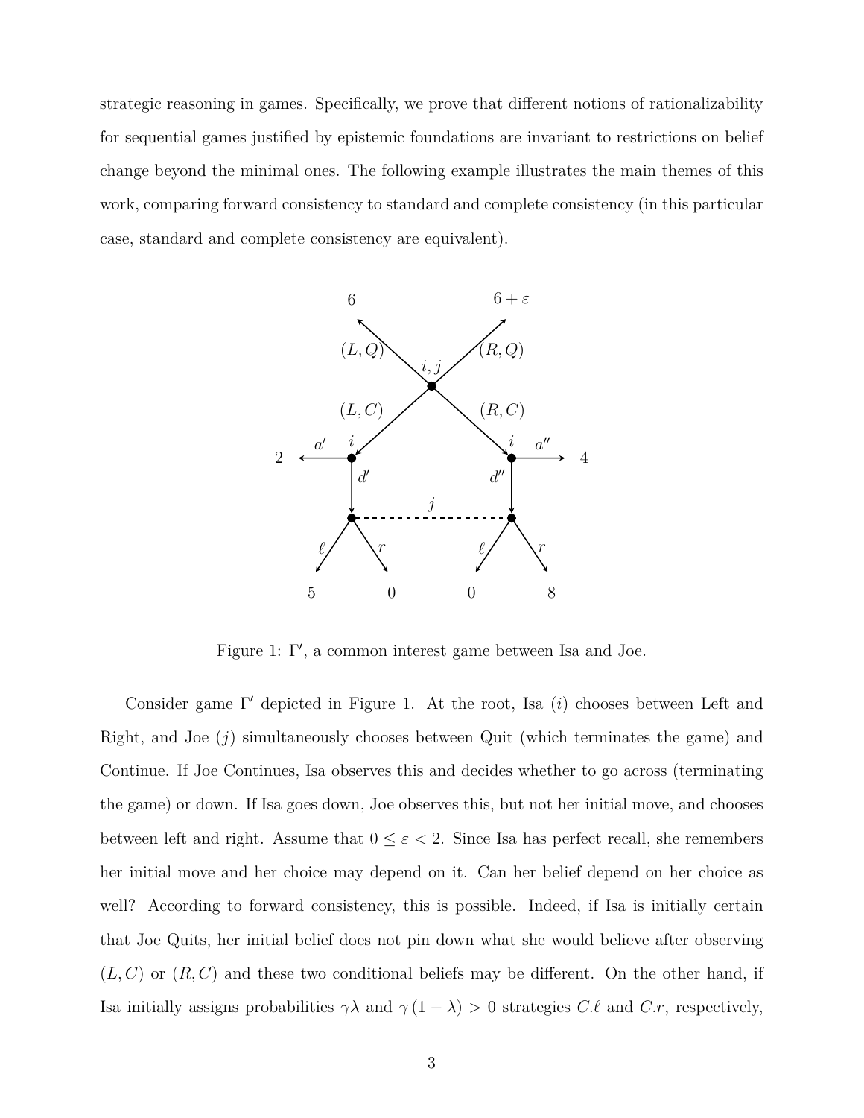strategic reasoning in games. Specifically, we prove that different notions of rationalizability for sequential games justified by epistemic foundations are invariant to restrictions on belief change beyond the minimal ones. The following example illustrates the main themes of this work, comparing forward consistency to standard and complete consistency (in this particular case, standard and complete consistency are equivalent).



Figure 1: Γ *′* , a common interest game between Isa and Joe.

Consider game Γ *′* depicted in Figure 1. At the root, Isa (*i*) chooses between Left and Right, and Joe (*j*) simultaneously chooses between Quit (which terminates the game) and Continue. If Joe Continues, Isa observes this and decides whether to go across (terminating the game) or down. If Isa goes down, Joe observes this, but not her initial move, and chooses between left and right. Assume that  $0 \leq \varepsilon < 2$ . Since Isa has perfect recall, she remembers her initial move and her choice may depend on it. Can her belief depend on her choice as well? According to forward consistency, this is possible. Indeed, if Isa is initially certain that Joe Quits, her initial belief does not pin down what she would believe after observing  $(L, C)$  or  $(R, C)$  and these two conditional beliefs may be different. On the other hand, if Isa initially assigns probabilities  $\gamma \lambda$  and  $\gamma (1 - \lambda) > 0$  strategies *C.ℓ* and *C.r*, respectively,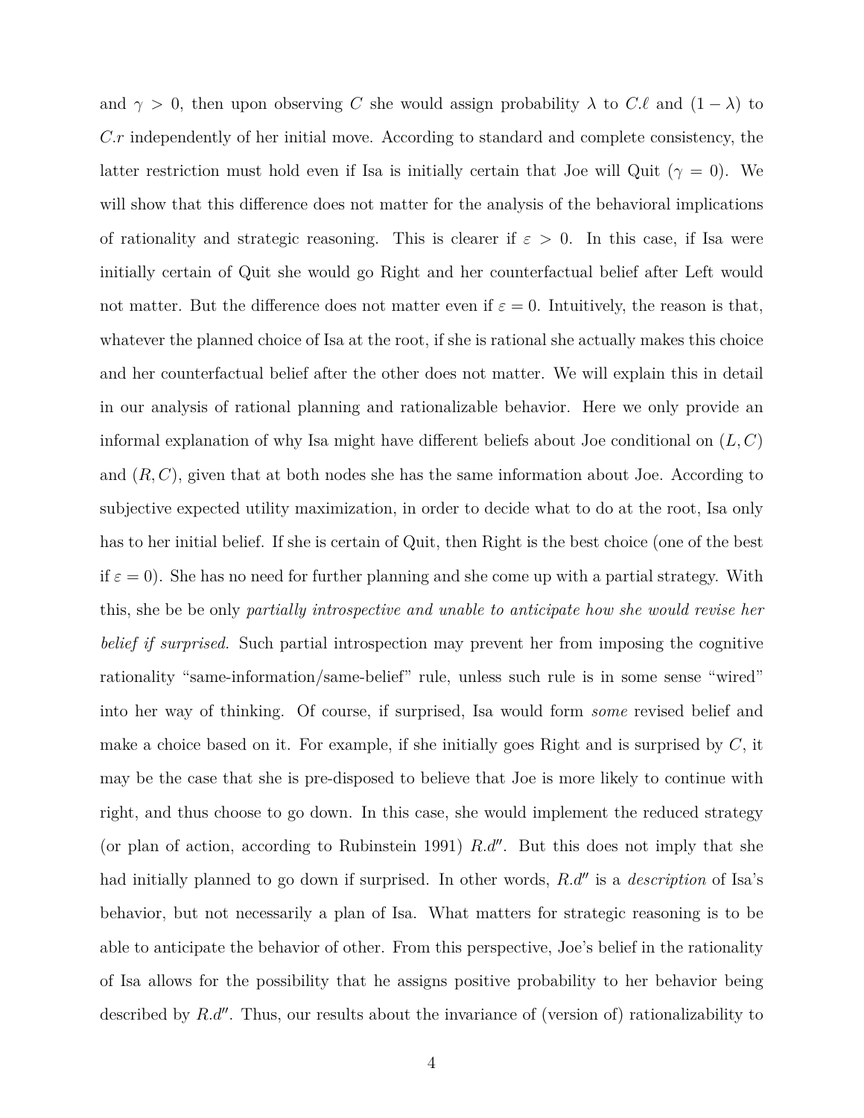and  $\gamma > 0$ , then upon observing *C* she would assign probability  $\lambda$  to *C.ℓ* and  $(1 - \lambda)$  to *C.r* independently of her initial move. According to standard and complete consistency, the latter restriction must hold even if Isa is initially certain that Joe will Quit ( $\gamma = 0$ ). We will show that this difference does not matter for the analysis of the behavioral implications of rationality and strategic reasoning. This is clearer if  $\varepsilon > 0$ . In this case, if Isa were initially certain of Quit she would go Right and her counterfactual belief after Left would not matter. But the difference does not matter even if  $\varepsilon = 0$ . Intuitively, the reason is that, whatever the planned choice of Isa at the root, if she is rational she actually makes this choice and her counterfactual belief after the other does not matter. We will explain this in detail in our analysis of rational planning and rationalizable behavior. Here we only provide an informal explanation of why Isa might have different beliefs about Joe conditional on (*L, C*) and (*R, C*), given that at both nodes she has the same information about Joe. According to subjective expected utility maximization, in order to decide what to do at the root, Isa only has to her initial belief. If she is certain of Quit, then Right is the best choice (one of the best if  $\varepsilon = 0$ ). She has no need for further planning and she come up with a partial strategy. With this, she be be only *partially introspective and unable to anticipate how she would revise her belief if surprised.* Such partial introspection may prevent her from imposing the cognitive rationality "same-information/same-belief" rule, unless such rule is in some sense "wired" into her way of thinking. Of course, if surprised, Isa would form *some* revised belief and make a choice based on it. For example, if she initially goes Right and is surprised by *C*, it may be the case that she is pre-disposed to believe that Joe is more likely to continue with right, and thus choose to go down. In this case, she would implement the reduced strategy (or plan of action, according to Rubinstein 1991) *R.d′′*. But this does not imply that she had initially planned to go down if surprised. In other words, *R.d′′* is a *description* of Isa's behavior, but not necessarily a plan of Isa. What matters for strategic reasoning is to be able to anticipate the behavior of other. From this perspective, Joe's belief in the rationality of Isa allows for the possibility that he assigns positive probability to her behavior being described by *R.d′′*. Thus, our results about the invariance of (version of) rationalizability to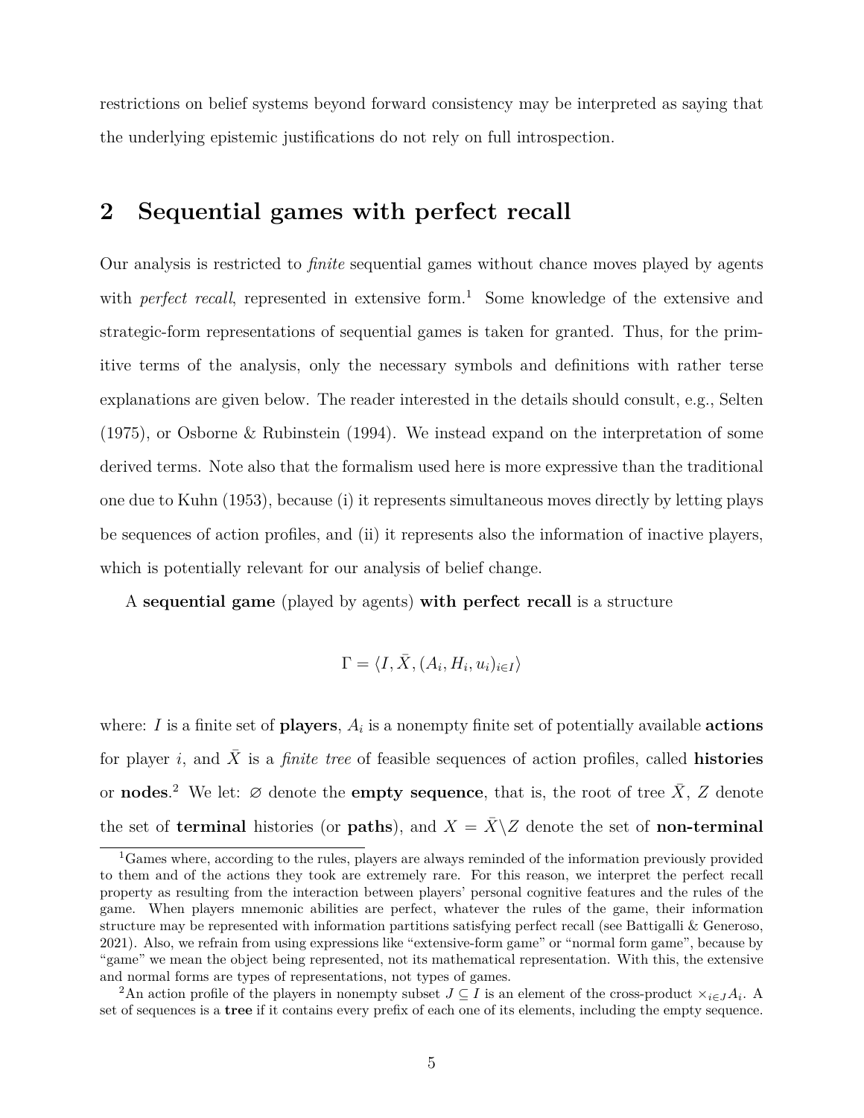restrictions on belief systems beyond forward consistency may be interpreted as saying that the underlying epistemic justifications do not rely on full introspection.

## **2 Sequential games with perfect recall**

Our analysis is restricted to *finite* sequential games without chance moves played by agents with *perfect recall*, represented in extensive form.<sup>1</sup> Some knowledge of the extensive and strategic-form representations of sequential games is taken for granted. Thus, for the primitive terms of the analysis, only the necessary symbols and definitions with rather terse explanations are given below. The reader interested in the details should consult, e.g., Selten (1975), or Osborne & Rubinstein (1994). We instead expand on the interpretation of some derived terms. Note also that the formalism used here is more expressive than the traditional one due to Kuhn (1953), because (i) it represents simultaneous moves directly by letting plays be sequences of action profiles, and (ii) it represents also the information of inactive players, which is potentially relevant for our analysis of belief change.

A **sequential game** (played by agents) **with perfect recall** is a structure

$$
\Gamma = \langle I, \bar{X}, (A_i, H_i, u_i)_{i \in I} \rangle
$$

where: *I* is a finite set of **players**, *A<sup>i</sup>* is a nonempty finite set of potentially available **actions** for player *i*, and  $\bar{X}$  is a *finite tree* of feasible sequences of action profiles, called **histories** or **nodes**.<sup>2</sup> We let: ∅ denote the **empty sequence**, that is, the root of tree  $\bar{X}$ , *Z* denote the set of **terminal** histories (or **paths**), and  $X = \overline{X} \setminus Z$  denote the set of **non-terminal** 

 ${}^{1}$ Games where, according to the rules, players are always reminded of the information previously provided to them and of the actions they took are extremely rare. For this reason, we interpret the perfect recall property as resulting from the interaction between players' personal cognitive features and the rules of the game. When players mnemonic abilities are perfect, whatever the rules of the game, their information structure may be represented with information partitions satisfying perfect recall (see Battigalli & Generoso, 2021). Also, we refrain from using expressions like "extensive-form game" or "normal form game", because by "game" we mean the object being represented, not its mathematical representation. With this, the extensive and normal forms are types of representations, not types of games.

<sup>&</sup>lt;sup>2</sup>An action profile of the players in nonempty subset  $J \subseteq I$  is an element of the cross-product  $\times_{i \in J} A_i$ . A set of sequences is a **tree** if it contains every prefix of each one of its elements, including the empty sequence.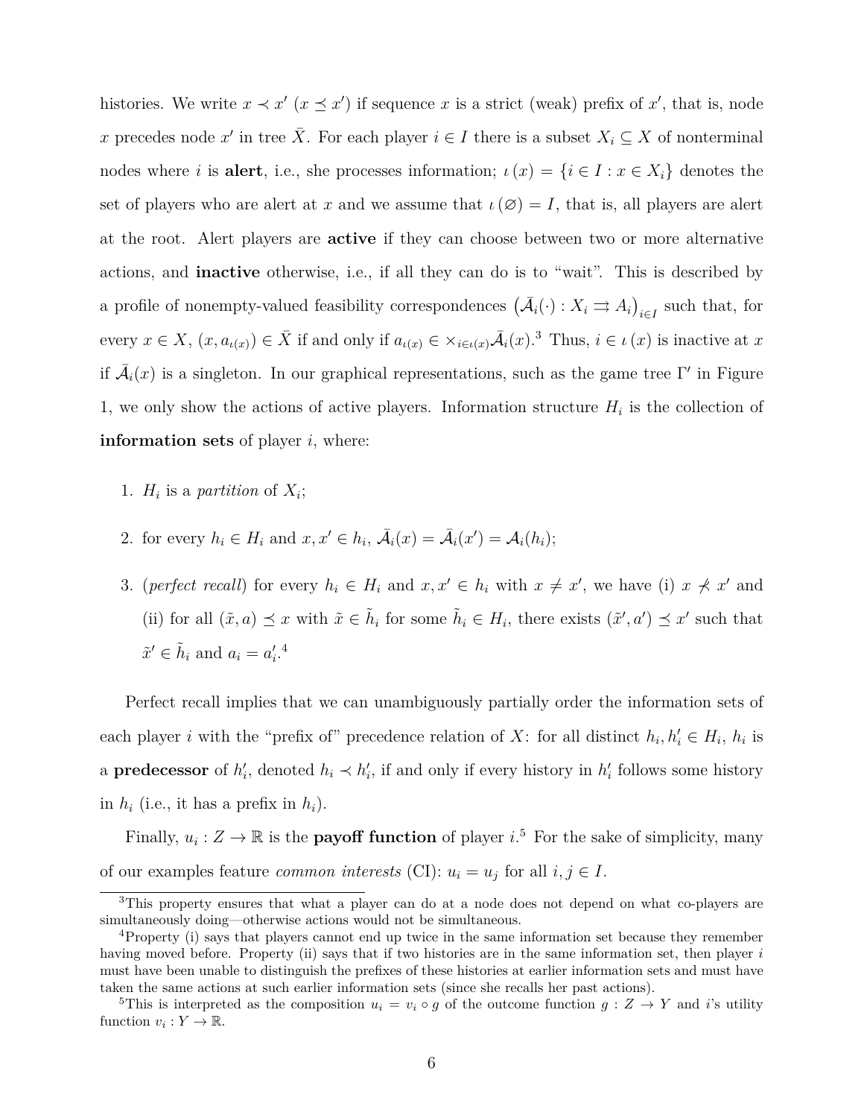histories. We write  $x \prec x'$  ( $x \preceq x'$ ) if sequence *x* is a strict (weak) prefix of *x'*, that is, node *x* precedes node *x'* in tree  $\overline{X}$ . For each player  $i \in I$  there is a subset  $X_i \subseteq X$  of nonterminal nodes where *i* is **alert**, i.e., she processes information;  $\iota(x) = \{i \in I : x \in X_i\}$  denotes the set of players who are alert at x and we assume that  $\iota(\emptyset) = I$ , that is, all players are alert at the root. Alert players are **active** if they can choose between two or more alternative actions, and **inactive** otherwise, i.e., if all they can do is to "wait". This is described by a profile of nonempty-valued feasibility correspondences  $(\bar{A}_i(\cdot): X_i \rightrightarrows A_i)_{i \in I}$  such that, for every  $x \in X$ ,  $(x, a_{\iota(x)}) \in \overline{X}$  if and only if  $a_{\iota(x)} \in \times_{i \in \iota(x)} \overline{A}_i(x)$ .<sup>3</sup> Thus,  $i \in \iota(x)$  is inactive at x if  $\bar{\mathcal{A}}_i(x)$  is a singleton. In our graphical representations, such as the game tree Γ' in Figure 1, we only show the actions of active players. Information structure  $H_i$  is the collection of **information sets** of player *i*, where:

- 1.  $H_i$  is a *partition* of  $X_i$ ;
- 2. for every  $h_i \in H_i$  and  $x, x' \in h_i$ ,  $\overline{A}_i(x) = \overline{A}_i(x') = A_i(h_i);$
- 3. (perfect recall) for every  $h_i \in H_i$  and  $x, x' \in h_i$  with  $x \neq x'$ , we have (i)  $x \not\prec x'$  and (ii) for all  $(\tilde{x}, a) \preceq x$  with  $\tilde{x} \in \tilde{h}_i$  for some  $\tilde{h}_i \in H_i$ , there exists  $(\tilde{x}', a') \preceq x'$  such that  $\tilde{x}' \in \tilde{h}_i$  and  $a_i = a'_i$ .<sup>4</sup>

Perfect recall implies that we can unambiguously partially order the information sets of each player *i* with the "prefix of" precedence relation of *X*: for all distinct  $h_i, h'_i \in H_i$ ,  $h_i$  is a **predecessor** of  $h'_{i}$ , denoted  $h_{i} \prec h'_{i}$ , if and only if every history in  $h'_{i}$  follows some history in  $h_i$  (i.e., it has a prefix in  $h_i$ ).

Finally,  $u_i : Z \to \mathbb{R}$  is the **payoff function** of player  $i$ <sup>5</sup>. For the sake of simplicity, many of our examples feature *common interests* (CI):  $u_i = u_j$  for all  $i, j \in I$ .

<sup>&</sup>lt;sup>3</sup>This property ensures that what a player can do at a node does not depend on what co-players are simultaneously doing—otherwise actions would not be simultaneous.

<sup>4</sup>Property (i) says that players cannot end up twice in the same information set because they remember having moved before. Property (ii) says that if two histories are in the same information set, then player *i* must have been unable to distinguish the prefixes of these histories at earlier information sets and must have taken the same actions at such earlier information sets (since she recalls her past actions).

<sup>&</sup>lt;sup>5</sup>This is interpreted as the composition  $u_i = v_i \circ g$  of the outcome function  $g: Z \to Y$  and *i*'s utility function  $v_i: Y \to \mathbb{R}$ .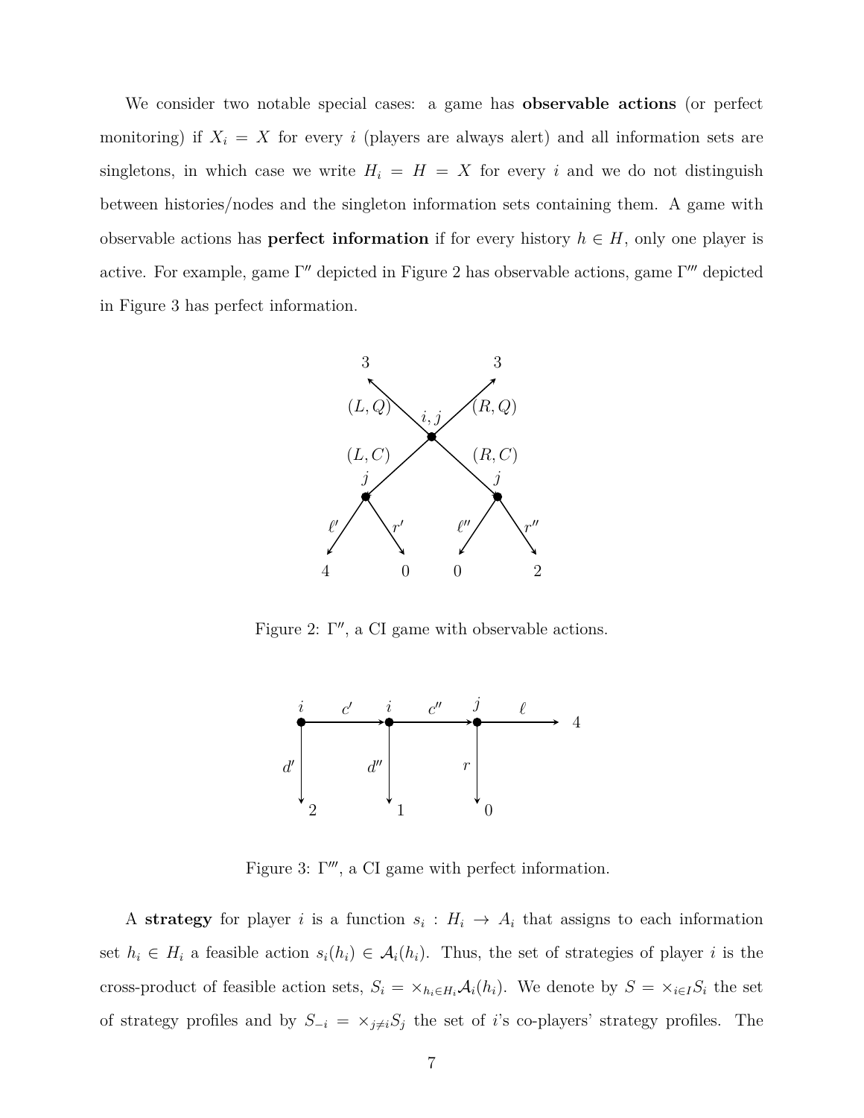We consider two notable special cases: a game has **observable actions** (or perfect monitoring) if  $X_i = X$  for every *i* (players are always alert) and all information sets are singletons, in which case we write  $H_i = H = X$  for every *i* and we do not distinguish between histories/nodes and the singleton information sets containing them. A game with observable actions has **perfect information** if for every history  $h \in H$ , only one player is active. For example, game Γ *′′* depicted in Figure 2 has observable actions, game Γ *′′′* depicted in Figure 3 has perfect information.



Figure 2: Γ *′′*, a CI game with observable actions.



Figure 3: Γ *′′′*, a CI game with perfect information.

A **strategy** for player *i* is a function  $s_i: H_i \to A_i$  that assigns to each information set  $h_i \in H_i$  a feasible action  $s_i(h_i) \in A_i(h_i)$ . Thus, the set of strategies of player *i* is the cross-product of feasible action sets,  $S_i = \times_{h_i \in H_i} A_i(h_i)$ . We denote by  $S = \times_{i \in I} S_i$  the set of strategy profiles and by  $S_{-i} = \times_{j \neq i} S_j$  the set of *i*'s co-players' strategy profiles. The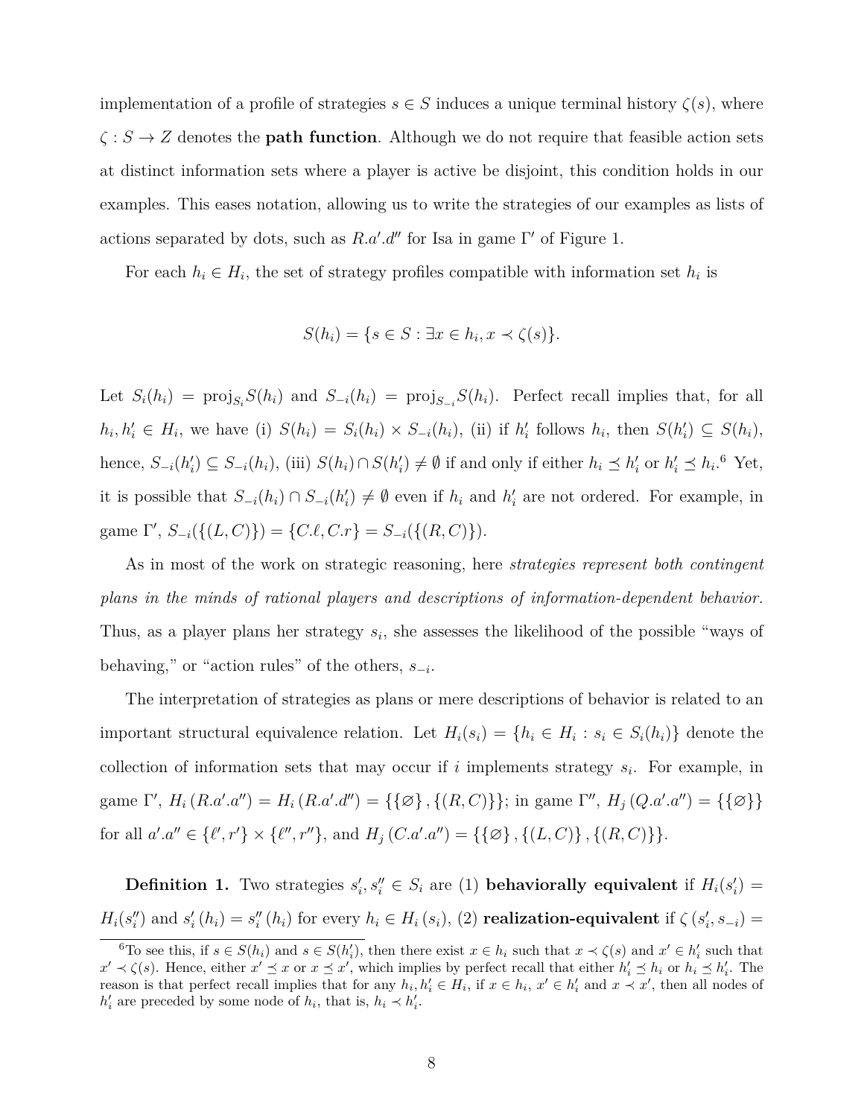implementation of a profile of strategies  $s \in S$  induces a unique terminal history  $\zeta(s)$ , where *ζ* : *S → Z* denotes the **path function**. Although we do not require that feasible action sets at distinct information sets where a player is active be disjoint, this condition holds in our examples. This eases notation, allowing us to write the strategies of our examples as lists of actions separated by dots, such as *R.a′ .d′′* for Isa in game Γ *′* of Figure 1.

For each  $h_i \in H_i$ , the set of strategy profiles compatible with information set  $h_i$  is

$$
S(h_i) = \{ s \in S : \exists x \in h_i, x \prec \zeta(s) \}.
$$

Let  $S_i(h_i) = \text{proj}_{S_i} S(h_i)$  and  $S_{-i}(h_i) = \text{proj}_{S_{-i}} S(h_i)$ . Perfect recall implies that, for all  $h_i, h'_i \in H_i$ , we have (i)  $S(h_i) = S_i(h_i) \times S_{-i}(h_i)$ , (ii) if  $h'_i$  follows  $h_i$ , then  $S(h'_i) \subseteq S(h_i)$ , hence,  $S_{-i}(h'_i) \subseteq S_{-i}(h_i)$ , (iii)  $S(h_i) \cap S(h'_i) \neq \emptyset$  if and only if either  $h_i \preceq h'_i$  or  $h'_i \preceq h_i$ .<sup>6</sup> Yet, it is possible that  $S_{-i}(h_i) \cap S_{-i}(h'_i) \neq \emptyset$  even if  $h_i$  and  $h'_i$  are not ordered. For example, in  $\text{game } \Gamma', S_{-i}(\{(L, C)\}) = \{C.\ell, C.r\} = S_{-i}(\{(R, C)\}).$ 

As in most of the work on strategic reasoning, here *strategies represent both contingent plans in the minds of rational players and descriptions of information-dependent behavior.* Thus, as a player plans her strategy  $s_i$ , she assesses the likelihood of the possible "ways of behaving," or "action rules" of the others, *s−<sup>i</sup>* .

The interpretation of strategies as plans or mere descriptions of behavior is related to an important structural equivalence relation. Let  $H_i(s_i) = \{h_i \in H_i : s_i \in S_i(h_i)\}\$  denote the collection of information sets that may occur if  $i$  implements strategy  $s_i$ . For example, in game  $\Gamma'$ ,  $H_i(R.a'.a'') = H_i(R.a'.d'') = {\{\{\emptyset\}, \{(R,C)\}\};\text{ in game } \Gamma''$ ,  $H_j(Q.a'.a'') = {\{\{\emptyset\}\}}$ for all  $a'.a'' \in \{\ell', r'\} \times \{\ell'', r''\},\$  and  $H_j(C.a'.a'') = \{\{\emptyset\}, \{(L, C)\}, \{(R, C)\}\}.$ 

**Definition 1.** Two strategies  $s'_i, s''_i \in S_i$  are (1) **behaviorally equivalent** if  $H_i(s'_i)$  $H_i(s_i'')$  and  $s_i'(h_i) = s_i''(h_i)$  for every  $h_i \in H_i(s_i)$ , (2) **realization-equivalent** if  $\zeta(s_i', s_{-i}) =$ 

<sup>&</sup>lt;sup>6</sup>To see this, if  $s \in S(h_i)$  and  $s \in S(h'_i)$ , then there exist  $x \in h_i$  such that  $x \prec \zeta(s)$  and  $x' \in h'_i$  such that  $x' \prec \zeta(s)$ . Hence, either  $x' \preceq x$  or  $x \preceq x'$ , which implies by perfect recall that either  $h'_i \preceq h_i$  or  $h_i \preceq h'_i$ . The reason is that perfect recall implies that for any  $h_i, h'_i \in H_i$ , if  $x \in h_i$ ,  $x' \in h'_i$  and  $x \prec x'$ , then all nodes of  $h'_{i}$  are preceded by some node of  $h_{i}$ , that is,  $h_{i} \prec h'_{i}$ .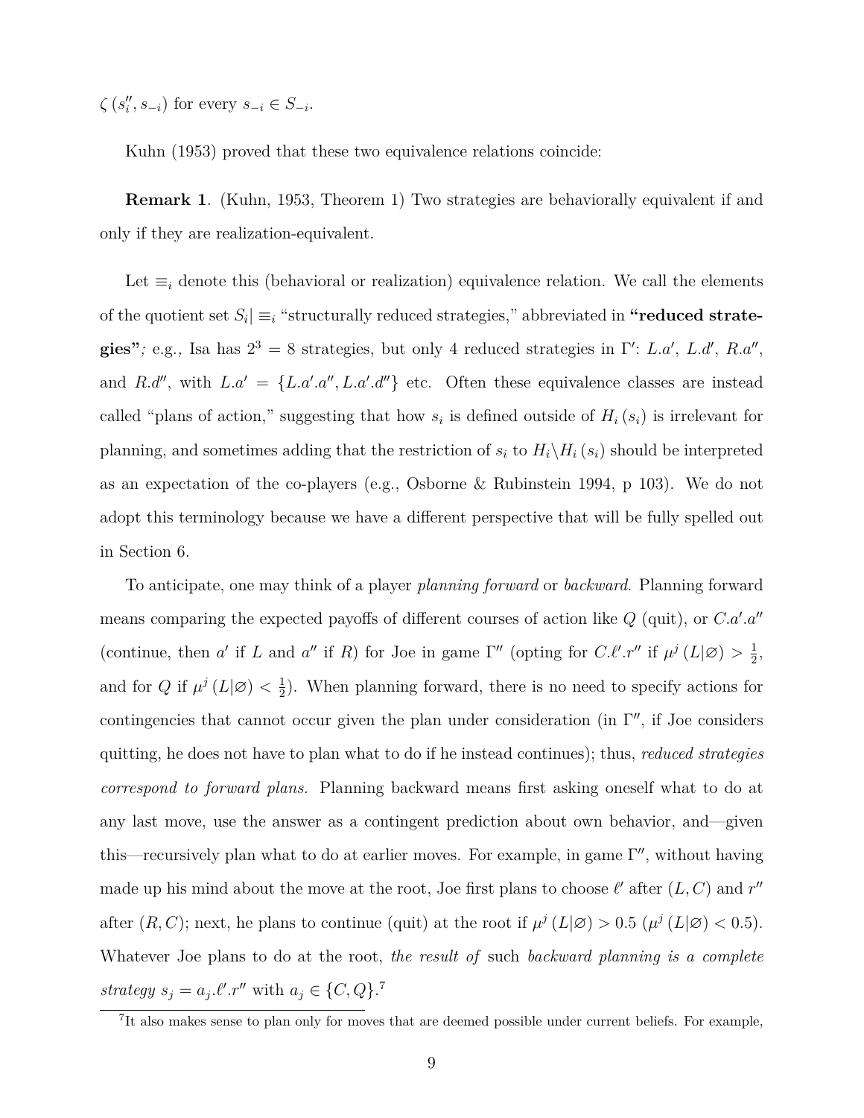$\zeta$  ( $s''_i, s_{-i}$ ) for every  $s_{-i} \in S_{-i}$ .

Kuhn (1953) proved that these two equivalence relations coincide:

**Remark 1**. (Kuhn, 1953, Theorem 1) Two strategies are behaviorally equivalent if and only if they are realization-equivalent.

Let *≡<sup>i</sup>* denote this (behavioral or realization) equivalence relation. We call the elements of the quotient set  $S_i \equiv_i$  "structurally reduced strategies," abbreviated in "reduced strategies"; e.g., Isa has  $2^3 = 8$  strategies, but only 4 reduced strategies in Γ': *L.a'*, *L.d'*, *R.a''*, and *R.d''*, with  $L.a' = \{L.a'.a'', L.a'.d''\}$  etc. Often these equivalence classes are instead called "plans of action," suggesting that how  $s_i$  is defined outside of  $H_i(s_i)$  is irrelevant for planning, and sometimes adding that the restriction of  $s_i$  to  $H_i \backslash H_i$  ( $s_i$ ) should be interpreted as an expectation of the co-players (e.g., Osborne & Rubinstein 1994, p 103). We do not adopt this terminology because we have a different perspective that will be fully spelled out in Section 6.

To anticipate, one may think of a player *planning forward* or *backward*. Planning forward means comparing the expected payoffs of different courses of action like *Q* (quit), or *C.a′ .a′′* (continue, then *a'* if *L* and *a''* if *R*) for Joe in game  $\Gamma''$  (opting for *C.ℓ'.r''* if  $\mu^{j} (L | \varnothing) > \frac{1}{2}$  $\frac{1}{2}$ , and for  $Q$  if  $\mu^{j} (L | \varnothing) < \frac{1}{2}$  $\frac{1}{2}$ ). When planning forward, there is no need to specify actions for contingencies that cannot occur given the plan under consideration (in Γ *′′*, if Joe considers quitting, he does not have to plan what to do if he instead continues); thus, *reduced strategies correspond to forward plans.* Planning backward means first asking oneself what to do at any last move, use the answer as a contingent prediction about own behavior, and—given this—recursively plan what to do at earlier moves. For example, in game Γ *′′*, without having made up his mind about the move at the root, Joe first plans to choose  $\ell'$  after  $(L, C)$  and  $r''$ after  $(R, C)$ ; next, he plans to continue (quit) at the root if  $\mu^{j} (L|\varnothing) > 0.5 (\mu^{j} (L|\varnothing) < 0.5)$ . Whatever Joe plans to do at the root, *the result of* such *backward planning is a complete strategy*  $s_j = a_j \ell'$ *.r*<sup>*′′*</sup> with  $a_j \in \{C, Q\}$ .<sup>7</sup>

<sup>&</sup>lt;sup>7</sup>It also makes sense to plan only for moves that are deemed possible under current beliefs. For example,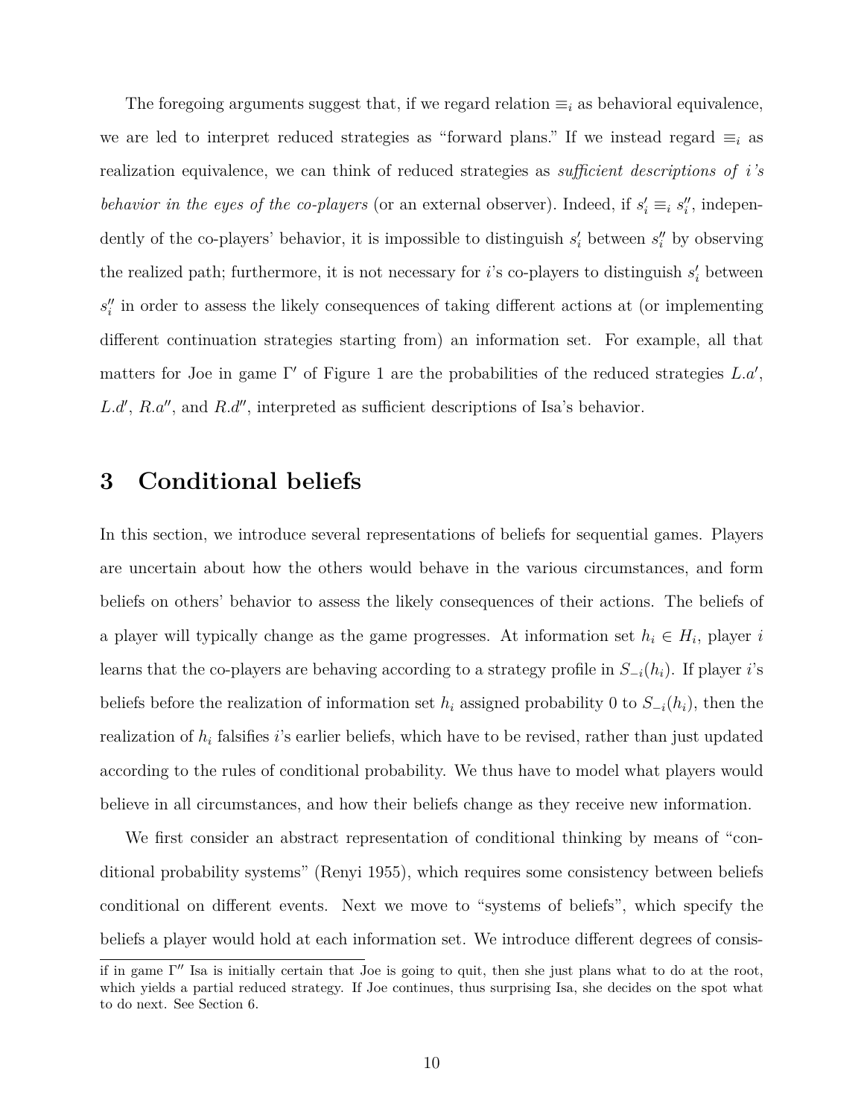The foregoing arguments suggest that, if we regard relation  $\equiv_i$  as behavioral equivalence, we are led to interpret reduced strategies as "forward plans." If we instead regard *≡<sup>i</sup>* as realization equivalence, we can think of reduced strategies as *sufficient descriptions of i's behavior in the eyes of the co-players* (or an external observer). Indeed, if  $s'_i \equiv_i s''_i$ , independently of the co-players' behavior, it is impossible to distinguish  $s'_{i}$  between  $s''_{i}$  by observing the realized path; furthermore, it is not necessary for *i*'s co-players to distinguish *s ′ <sup>i</sup>* between *s ′′ i* in order to assess the likely consequences of taking different actions at (or implementing different continuation strategies starting from) an information set. For example, all that matters for Joe in game Γ *′* of Figure 1 are the probabilities of the reduced strategies *L.a′* , *L.d′* , *R.a′′*, and *R.d′′*, interpreted as sufficient descriptions of Isa's behavior.

### **3 Conditional beliefs**

In this section, we introduce several representations of beliefs for sequential games. Players are uncertain about how the others would behave in the various circumstances, and form beliefs on others' behavior to assess the likely consequences of their actions. The beliefs of a player will typically change as the game progresses. At information set  $h_i \in H_i$ , player *i* learns that the co-players are behaving according to a strategy profile in *S−<sup>i</sup>*(*hi*). If player *i*'s beliefs before the realization of information set  $h_i$  assigned probability 0 to  $S_{-i}(h_i)$ , then the realization of *h<sup>i</sup>* falsifies *i*'s earlier beliefs, which have to be revised, rather than just updated according to the rules of conditional probability. We thus have to model what players would believe in all circumstances, and how their beliefs change as they receive new information.

We first consider an abstract representation of conditional thinking by means of "conditional probability systems" (Renyi 1955), which requires some consistency between beliefs conditional on different events. Next we move to "systems of beliefs", which specify the beliefs a player would hold at each information set. We introduce different degrees of consis-

if in game Γ *′′* Isa is initially certain that Joe is going to quit, then she just plans what to do at the root, which yields a partial reduced strategy. If Joe continues, thus surprising Isa, she decides on the spot what to do next. See Section 6.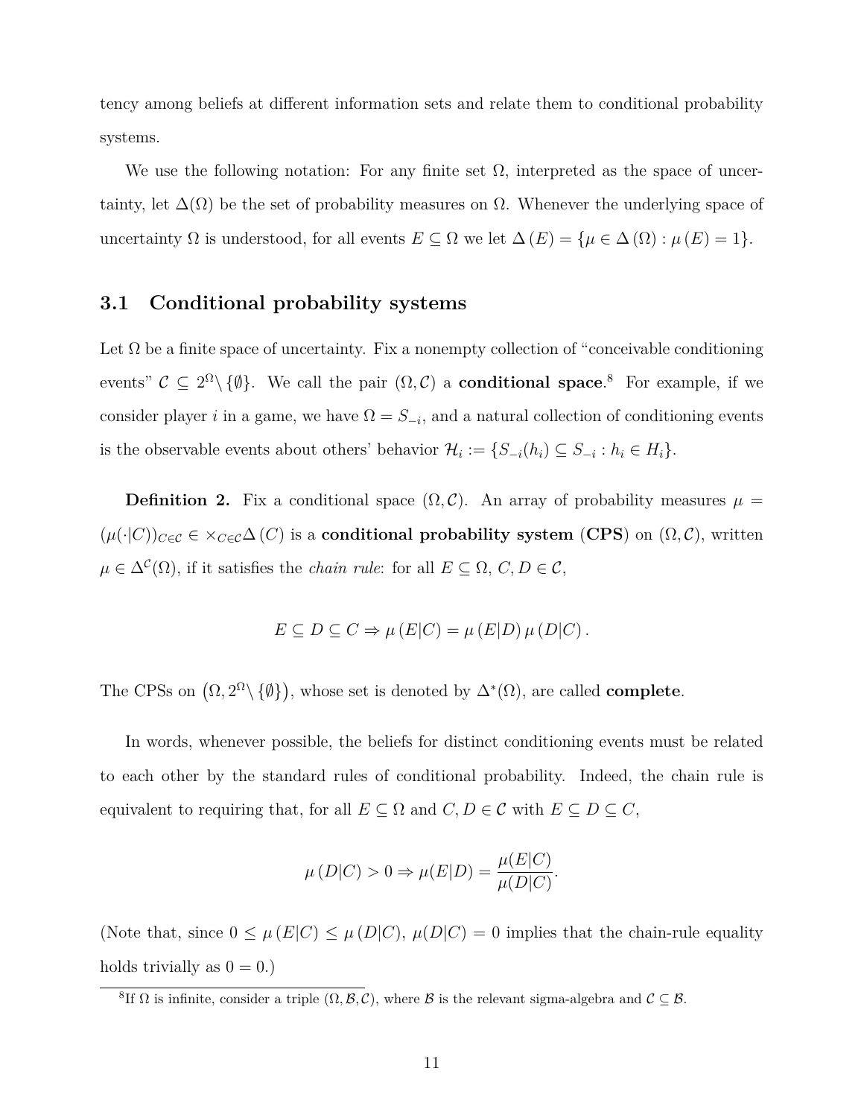tency among beliefs at different information sets and relate them to conditional probability systems.

We use the following notation: For any finite set  $\Omega$ , interpreted as the space of uncertainty, let  $\Delta(\Omega)$  be the set of probability measures on  $\Omega$ . Whenever the underlying space of uncertainty Ω is understood, for all events  $E \subseteq \Omega$  we let  $\Delta(E) = \{ \mu \in \Delta(\Omega) : \mu(E) = 1 \}.$ 

#### **3.1 Conditional probability systems**

Let  $\Omega$  be a finite space of uncertainty. Fix a nonempty collection of "conceivable conditioning" events"  $C \subseteq 2^{\Omega} \setminus \{\emptyset\}$ . We call the pair  $(\Omega, C)$  a **conditional space**.<sup>8</sup> For example, if we consider player *i* in a game, we have  $\Omega = S_{-i}$ , and a natural collection of conditioning events is the observable events about others' behavior  $\mathcal{H}_i := \{S_{-i}(h_i) \subseteq S_{-i} : h_i \in H_i\}.$ 

**Definition 2.** Fix a conditional space  $(\Omega, \mathcal{C})$ . An array of probability measures  $\mu =$  $(\mu(\cdot|C))_{C\in\mathcal{C}} \in \times_{C\in\mathcal{C}} \Delta(C)$  is a **conditional probability system** (**CPS**) on  $(\Omega, \mathcal{C})$ , written  $\mu \in \Delta^{\mathcal{C}}(\Omega)$ , if it satisfies the *chain rule*: for all  $E \subseteq \Omega, C, D \in \mathcal{C}$ ,

$$
E \subseteq D \subseteq C \Rightarrow \mu(E|C) = \mu(E|D)\mu(D|C).
$$

The CPSs on  $(\Omega, 2^{\Omega} \setminus {\emptyset})$ , whose set is denoted by  $\Delta^*(\Omega)$ , are called **complete**.

In words, whenever possible, the beliefs for distinct conditioning events must be related to each other by the standard rules of conditional probability. Indeed, the chain rule is equivalent to requiring that, for all  $E \subseteq \Omega$  and  $C, D \in \mathcal{C}$  with  $E \subseteq D \subseteq C$ ,

$$
\mu(D|C) > 0 \Rightarrow \mu(E|D) = \frac{\mu(E|C)}{\mu(D|C)}.
$$

(Note that, since  $0 \leq \mu(E|C) \leq \mu(D|C)$ ,  $\mu(D|C) = 0$  implies that the chain-rule equality holds trivially as  $0 = 0.$ )

<sup>&</sup>lt;sup>8</sup>If  $\Omega$  is infinite, consider a triple  $(\Omega, \mathcal{B}, \mathcal{C})$ , where  $\mathcal{B}$  is the relevant sigma-algebra and  $\mathcal{C} \subseteq \mathcal{B}$ .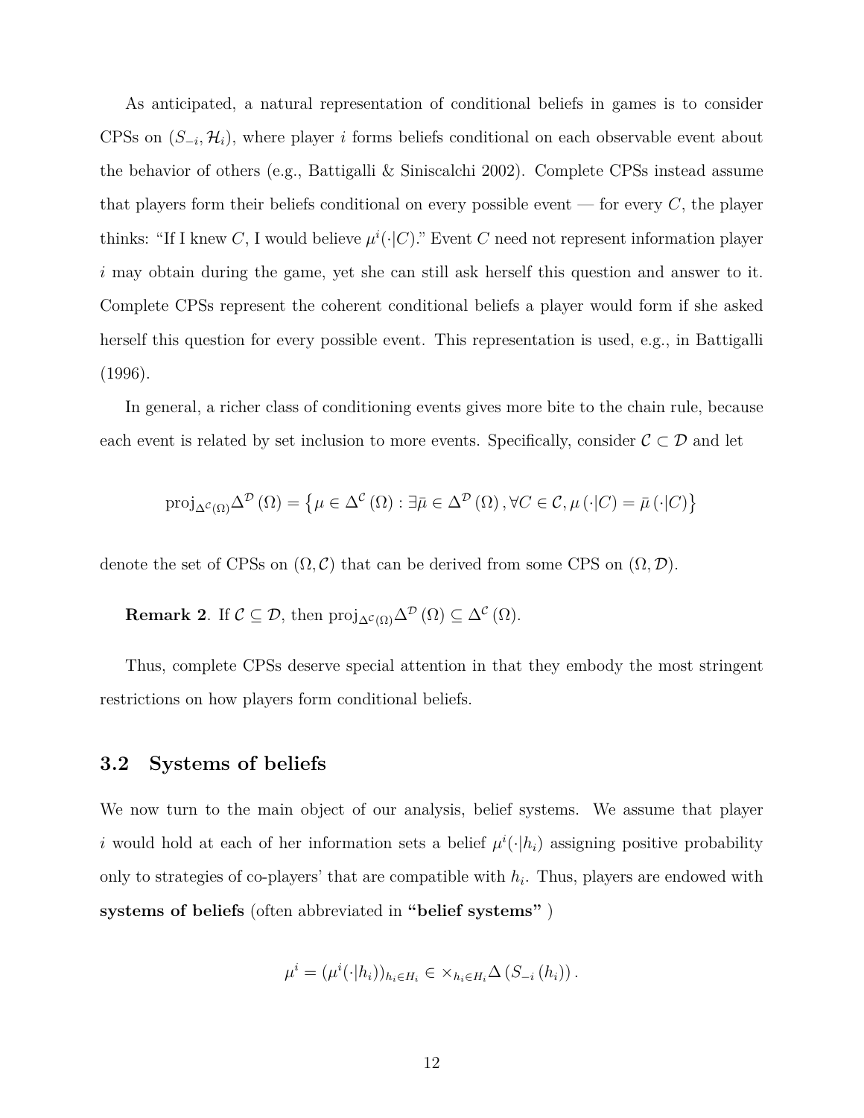As anticipated, a natural representation of conditional beliefs in games is to consider CPSs on  $(S_{-i}, \mathcal{H}_i)$ , where player *i* forms beliefs conditional on each observable event about the behavior of others (e.g., Battigalli & Siniscalchi 2002). Complete CPSs instead assume that players form their beliefs conditional on every possible event — for every *C*, the player thinks: "If I knew *C*, I would believe  $\mu^{i}(\cdot|C)$ ." Event *C* need not represent information player *i* may obtain during the game, yet she can still ask herself this question and answer to it. Complete CPSs represent the coherent conditional beliefs a player would form if she asked herself this question for every possible event. This representation is used, e.g., in Battigalli (1996).

In general, a richer class of conditioning events gives more bite to the chain rule, because each event is related by set inclusion to more events. Specifically, consider *C ⊂ D* and let

$$
\text{proj}_{\Delta^{c}(\Omega)}\Delta^{D}(\Omega) = \left\{ \mu \in \Delta^{c}(\Omega) : \exists \bar{\mu} \in \Delta^{D}(\Omega), \forall C \in \mathcal{C}, \mu(\cdot|C) = \bar{\mu}(\cdot|C) \right\}
$$

denote the set of CPSs on  $(\Omega, \mathcal{C})$  that can be derived from some CPS on  $(\Omega, \mathcal{D})$ .

**Remark 2**. If  $\mathcal{C} \subseteq \mathcal{D}$ , then  $\text{proj}_{\Delta^{\mathcal{C}}(\Omega)}\Delta^{\mathcal{D}}(\Omega) \subseteq \Delta^{\mathcal{C}}(\Omega)$ .

Thus, complete CPSs deserve special attention in that they embody the most stringent restrictions on how players form conditional beliefs.

#### **3.2 Systems of beliefs**

We now turn to the main object of our analysis, belief systems. We assume that player *i* would hold at each of her information sets a belief  $\mu^{i}(\cdot|h_{i})$  assigning positive probability only to strategies of co-players' that are compatible with  $h_i$ . Thus, players are endowed with **systems of beliefs** (often abbreviated in **"belief systems"** )

$$
\mu^{i} = (\mu^{i}(\cdot|h_i))_{h_i \in H_i} \in \times_{h_i \in H_i} \Delta(S_{-i}(h_i)).
$$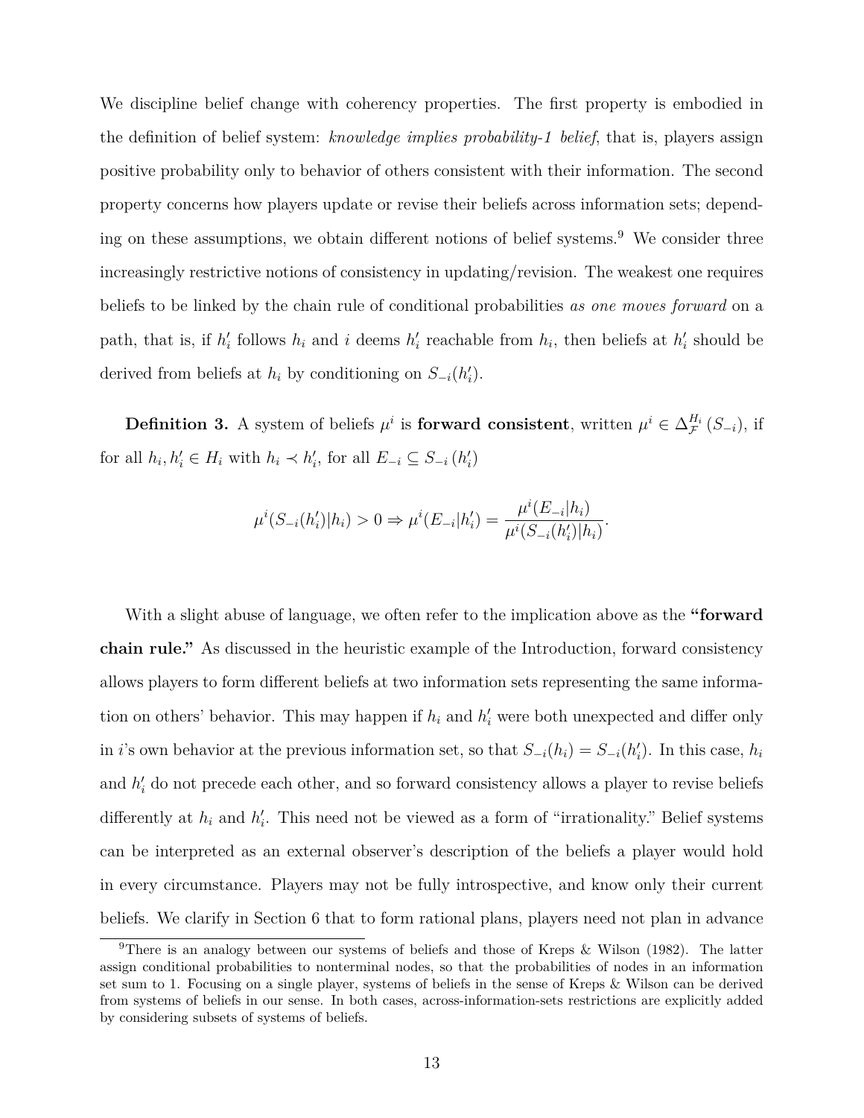We discipline belief change with coherency properties. The first property is embodied in the definition of belief system: *knowledge implies probability-1 belief*, that is, players assign positive probability only to behavior of others consistent with their information. The second property concerns how players update or revise their beliefs across information sets; depending on these assumptions, we obtain different notions of belief systems.<sup>9</sup> We consider three increasingly restrictive notions of consistency in updating/revision. The weakest one requires beliefs to be linked by the chain rule of conditional probabilities *as one moves forward* on a path, that is, if  $h'_i$  follows  $h_i$  and *i* deems  $h'_i$  reachable from  $h_i$ , then beliefs at  $h'_i$  should be derived from beliefs at  $h_i$  by conditioning on  $S_{-i}(h'_i)$ .

**Definition 3.** A system of beliefs  $\mu^i$  is **forward consistent**, written  $\mu^i \in \Delta_{\mathcal{F}}^{H_i}(S_{-i})$ , if for all  $h_i, h'_i \in H_i$  with  $h_i \prec h'_i$ , for all  $E_{-i} \subseteq S_{-i} (h'_i)$ 

$$
\mu^{i}(S_{-i}(h'_{i})|h_{i}) > 0 \Rightarrow \mu^{i}(E_{-i}|h'_{i}) = \frac{\mu^{i}(E_{-i}|h_{i})}{\mu^{i}(S_{-i}(h'_{i})|h_{i})}.
$$

With a slight abuse of language, we often refer to the implication above as the **"forward chain rule."** As discussed in the heuristic example of the Introduction, forward consistency allows players to form different beliefs at two information sets representing the same information on others' behavior. This may happen if  $h_i$  and  $h'_i$  were both unexpected and differ only in *i*'s own behavior at the previous information set, so that  $S_{-i}(h_i) = S_{-i}(h'_i)$ . In this case,  $h_i$ and  $h'$ <sub>i</sub> do not precede each other, and so forward consistency allows a player to revise beliefs differently at  $h_i$  and  $h'_i$ . This need not be viewed as a form of "irrationality." Belief systems can be interpreted as an external observer's description of the beliefs a player would hold in every circumstance. Players may not be fully introspective, and know only their current beliefs. We clarify in Section 6 that to form rational plans, players need not plan in advance

<sup>9</sup>There is an analogy between our systems of beliefs and those of Kreps & Wilson (1982). The latter assign conditional probabilities to nonterminal nodes, so that the probabilities of nodes in an information set sum to 1. Focusing on a single player, systems of beliefs in the sense of Kreps & Wilson can be derived from systems of beliefs in our sense. In both cases, across-information-sets restrictions are explicitly added by considering subsets of systems of beliefs.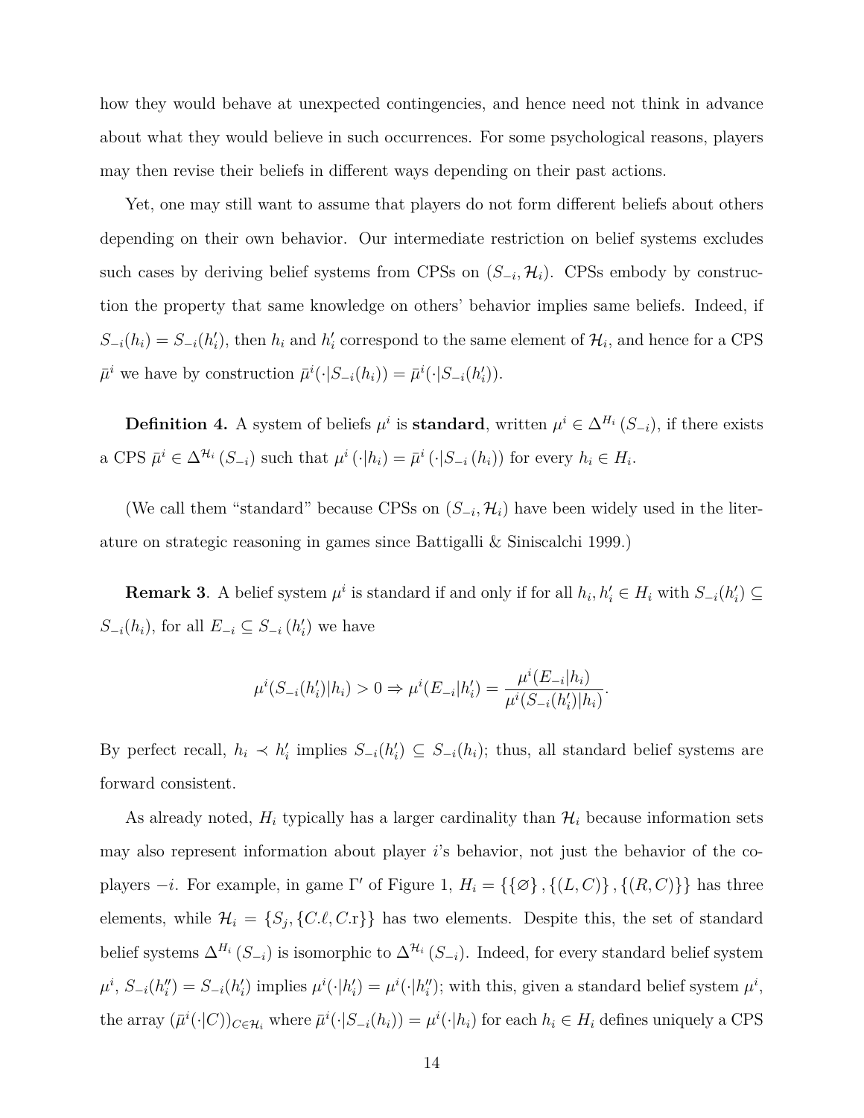how they would behave at unexpected contingencies, and hence need not think in advance about what they would believe in such occurrences. For some psychological reasons, players may then revise their beliefs in different ways depending on their past actions.

Yet, one may still want to assume that players do not form different beliefs about others depending on their own behavior. Our intermediate restriction on belief systems excludes such cases by deriving belief systems from CPSs on  $(S_{-i}, \mathcal{H}_i)$ . CPSs embody by construction the property that same knowledge on others' behavior implies same beliefs. Indeed, if  $S_{-i}(h_i) = S_{-i}(h'_i)$ , then  $h_i$  and  $h'_i$  correspond to the same element of  $\mathcal{H}_i$ , and hence for a CPS  $\bar{\mu}^i$  we have by construction  $\bar{\mu}^i(\cdot|S_{-i}(h_i)) = \bar{\mu}^i(\cdot|S_{-i}(h'_i))$ .

**Definition 4.** A system of beliefs  $\mu^i$  is **standard**, written  $\mu^i \in \Delta^{H_i}(S_{-i})$ , if there exists a CPS  $\bar{\mu}^i \in \Delta^{\mathcal{H}_i}(S_{-i})$  such that  $\mu^i(\cdot|h_i) = \bar{\mu}^i(\cdot|S_{-i}(h_i))$  for every  $h_i \in H_i$ .

(We call them "standard" because CPSs on  $(S_{-i}, \mathcal{H}_i)$  have been widely used in the literature on strategic reasoning in games since Battigalli & Siniscalchi 1999.)

**Remark 3**. A belief system  $\mu^i$  is standard if and only if for all  $h_i, h'_i \in H_i$  with  $S_{-i}(h'_i) \subseteq$ *S*<sup>−*i*</sup>(*h*<sup>*i*</sup>), for all *E*<sup>−*i*</sup> ⊆ *S*<sup>−*i*</sup>(*h*<sup>'</sup><sub>*i*</sub>) we have

$$
\mu^{i}(S_{-i}(h'_{i})|h_{i}) > 0 \Rightarrow \mu^{i}(E_{-i}|h'_{i}) = \frac{\mu^{i}(E_{-i}|h_{i})}{\mu^{i}(S_{-i}(h'_{i})|h_{i})}.
$$

By perfect recall,  $h_i \prec h'_i$  implies  $S_{-i}(h'_i) \subseteq S_{-i}(h_i)$ ; thus, all standard belief systems are forward consistent.

As already noted,  $H_i$  typically has a larger cardinality than  $H_i$  because information sets may also represent information about player *i*'s behavior, not just the behavior of the coplayers  $-i$ . For example, in game Γ' of Figure 1,  $H_i = \{\{\emptyset\}, \{(L, C)\}, \{(R, C)\}\}\$  has three elements, while  $\mathcal{H}_i = \{S_j, \{C.\ell, C.\r\}\}\$  has two elements. Despite this, the set of standard belief systems  $\Delta^{H_i}(S_{-i})$  is isomorphic to  $\Delta^{H_i}(S_{-i})$ . Indeed, for every standard belief system  $\mu^i$ ,  $S_{-i}(h''_i) = S_{-i}(h'_i)$  implies  $\mu^i(\cdot|h'_i) = \mu^i(\cdot|h''_i)$ ; with this, given a standard belief system  $\mu^i$ , the array  $(\bar{\mu}^i(\cdot|C))_{C \in \mathcal{H}_i}$  where  $\bar{\mu}^i(\cdot|S_{-i}(h_i)) = \mu^i(\cdot|h_i)$  for each  $h_i \in H_i$  defines uniquely a CPS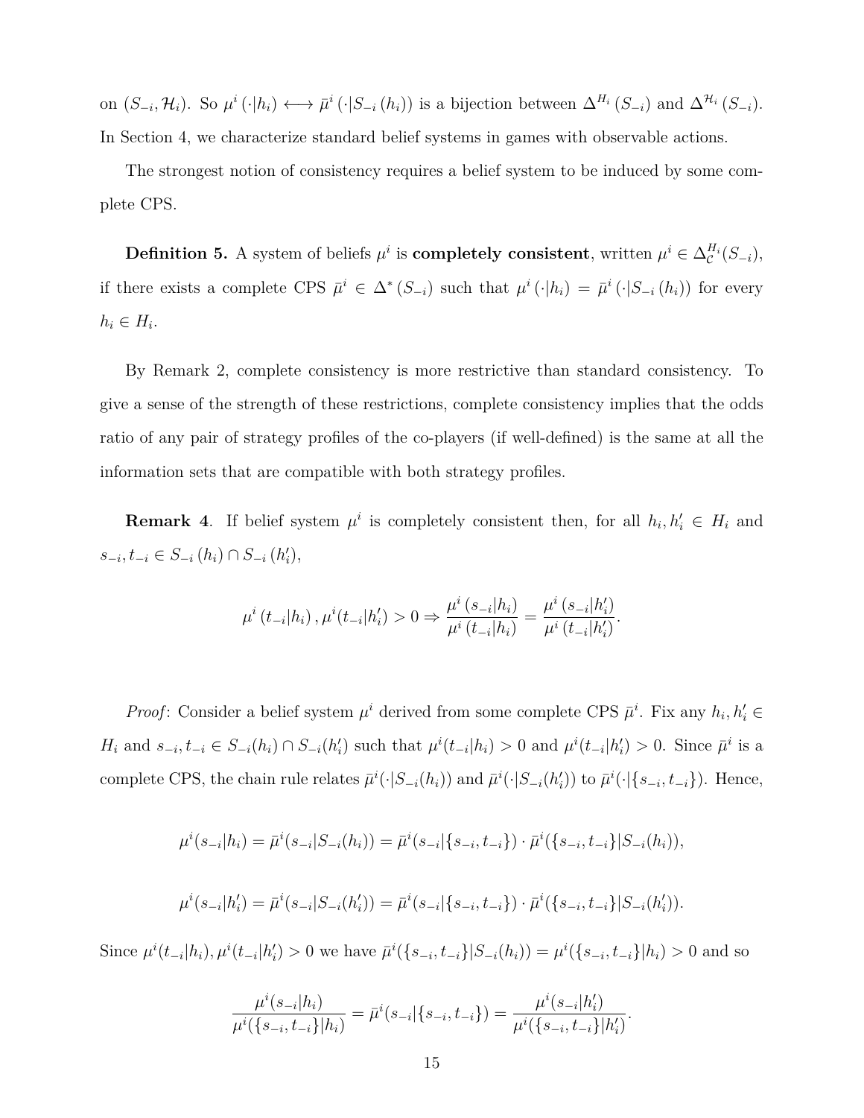on  $(S_{-i}, \mathcal{H}_i)$ . So  $\mu^i(\cdot|h_i) \longleftrightarrow \bar{\mu}^i(\cdot|S_{-i}(h_i))$  is a bijection between  $\Delta^{H_i}(S_{-i})$  and  $\Delta^{H_i}(S_{-i})$ . In Section 4, we characterize standard belief systems in games with observable actions.

The strongest notion of consistency requires a belief system to be induced by some complete CPS.

**Definition 5.** A system of beliefs  $\mu^i$  is **completely consistent**, written  $\mu^i \in \Delta_{\mathcal{C}}^{H_i}(S_{-i}),$ if there exists a complete CPS  $\bar{\mu}^i \in \Delta^*(S_{-i})$  such that  $\mu^i(\cdot|h_i) = \bar{\mu}^i(\cdot|S_{-i}(h_i))$  for every  $h_i \in H_i$ .

By Remark 2, complete consistency is more restrictive than standard consistency. To give a sense of the strength of these restrictions, complete consistency implies that the odds ratio of any pair of strategy profiles of the co-players (if well-defined) is the same at all the information sets that are compatible with both strategy profiles.

**Remark 4**. If belief system  $\mu^i$  is completely consistent then, for all  $h_i, h'_i \in H_i$  and *s−<sup>i</sup> , t−<sup>i</sup> ∈ S−<sup>i</sup>* (*hi*) *∩ S−<sup>i</sup>* (*h ′ i* ),

$$
\mu^{i} (t_{-i}|h_{i}), \mu^{i} (t_{-i}|h'_{i}) > 0 \Rightarrow \frac{\mu^{i} (s_{-i}|h_{i})}{\mu^{i} (t_{-i}|h_{i})} = \frac{\mu^{i} (s_{-i}|h'_{i})}{\mu^{i} (t_{-i}|h'_{i})}.
$$

*Proof*: Consider a belief system  $\mu^i$  derived from some complete CPS  $\bar{\mu}^i$ . Fix any  $h_i, h'_i \in$  $H_i$  and  $s_{-i}, t_{-i} \in S_{-i}(h_i) \cap S_{-i}(h'_i)$  such that  $\mu^i(t_{-i}|h_i) > 0$  and  $\mu^i(t_{-i}|h'_i) > 0$ . Since  $\bar{\mu}^i$  is a complete CPS, the chain rule relates  $\bar{\mu}^i(\cdot|S_{-i}(h_i))$  and  $\bar{\mu}^i(\cdot|S_{-i}(h_i'))$  to  $\bar{\mu}^i(\cdot|\{s_{-i},t_{-i}\})$ . Hence,

$$
\mu^{i}(s_{-i}|h_{i}) = \bar{\mu}^{i}(s_{-i}|S_{-i}(h_{i})) = \bar{\mu}^{i}(s_{-i}|s_{-i},t_{-i}) \cdot \bar{\mu}^{i}(\{s_{-i},t_{-i}\}|S_{-i}(h_{i})),
$$

$$
\mu^{i}(s_{-i}|h'_{i}) = \bar{\mu}^{i}(s_{-i}|S_{-i}(h'_{i})) = \bar{\mu}^{i}(s_{-i}|\{s_{-i}, t_{-i}\}) \cdot \bar{\mu}^{i}(\{s_{-i}, t_{-i}\}|S_{-i}(h'_{i})).
$$

Since  $\mu^{i}(t_{-i}|h_i), \mu^{i}(t_{-i}|h'_i) > 0$  we have  $\bar{\mu}^{i}(\{s_{-i}, t_{-i}\}|S_{-i}(h_i)) = \mu^{i}(\{s_{-i}, t_{-i}\}|h_i) > 0$  and so

$$
\frac{\mu^i(s_{-i}|h_i)}{\mu^i(\{s_{-i},t_{-i}\}|h_i)} = \bar{\mu}^i(s_{-i}|\{s_{-i},t_{-i}\}) = \frac{\mu^i(s_{-i}|h_i')}{\mu^i(\{s_{-i},t_{-i}\}|h_i')}.
$$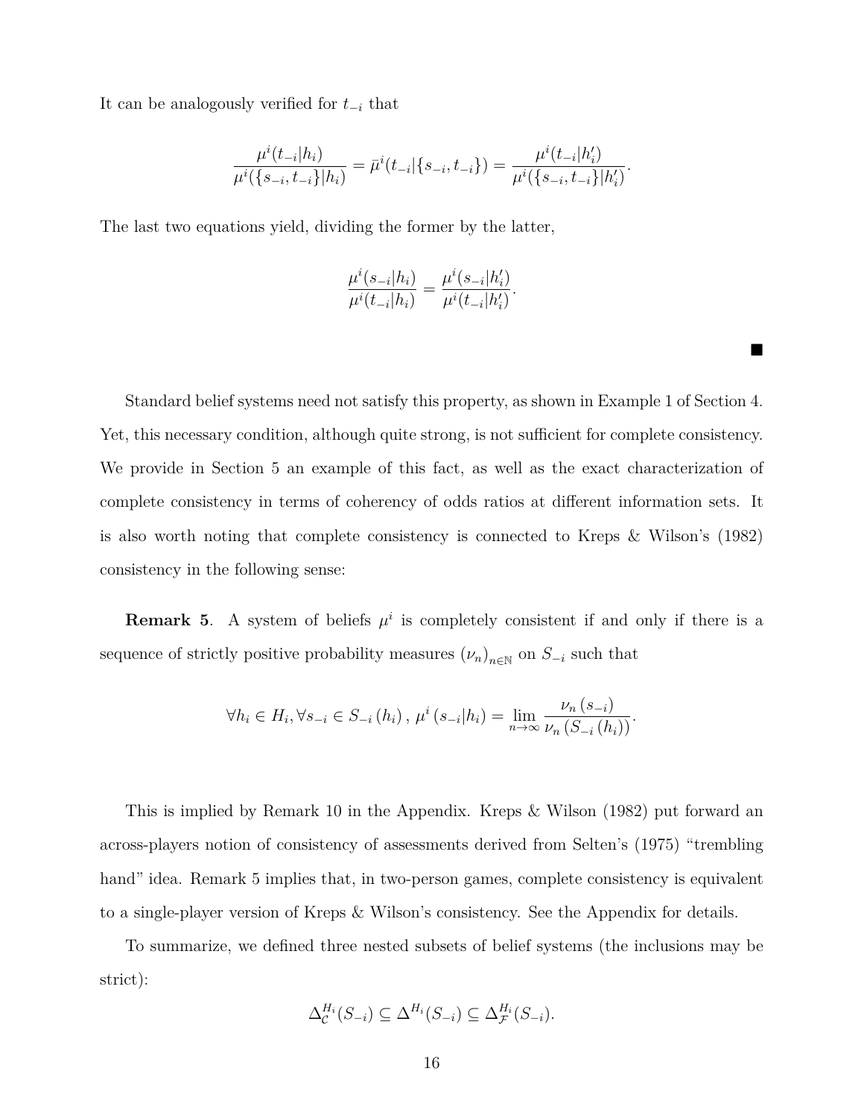It can be analogously verified for *t−<sup>i</sup>* that

$$
\frac{\mu^{i}(t_{-i}|h_i)}{\mu^{i}(\{s_{-i},t_{-i}\}|h_i)} = \bar{\mu}^{i}(t_{-i}|\{s_{-i},t_{-i}\}) = \frac{\mu^{i}(t_{-i}|h_i')}{\mu^{i}(\{s_{-i},t_{-i}\}|h_i')}
$$

*.*

■

The last two equations yield, dividing the former by the latter,

$$
\frac{\mu^i(s_{-i}|h_i)}{\mu^i(t_{-i}|h_i)} = \frac{\mu^i(s_{-i}|h_i')}{\mu^i(t_{-i}|h_i')}.
$$

Standard belief systems need not satisfy this property, as shown in Example 1 of Section 4. Yet, this necessary condition, although quite strong, is not sufficient for complete consistency. We provide in Section 5 an example of this fact, as well as the exact characterization of complete consistency in terms of coherency of odds ratios at different information sets. It is also worth noting that complete consistency is connected to Kreps & Wilson's (1982) consistency in the following sense:

**Remark 5.** A system of beliefs  $\mu^i$  is completely consistent if and only if there is a sequence of strictly positive probability measures  $(\nu_n)_{n \in \mathbb{N}}$  on  $S_{-i}$  such that

$$
\forall h_i \in H_i, \forall s_{-i} \in S_{-i}(h_i), \, \mu^i(s_{-i}|h_i) = \lim_{n \to \infty} \frac{\nu_n(s_{-i})}{\nu_n(s_{-i}(h_i))}.
$$

This is implied by Remark 10 in the Appendix. Kreps & Wilson (1982) put forward an across-players notion of consistency of assessments derived from Selten's (1975) "trembling hand" idea. Remark 5 implies that, in two-person games, complete consistency is equivalent to a single-player version of Kreps & Wilson's consistency. See the Appendix for details.

To summarize, we defined three nested subsets of belief systems (the inclusions may be strict):

$$
\Delta_{\mathcal{C}}^{H_i}(S_{-i}) \subseteq \Delta^{H_i}(S_{-i}) \subseteq \Delta_{\mathcal{F}}^{H_i}(S_{-i}).
$$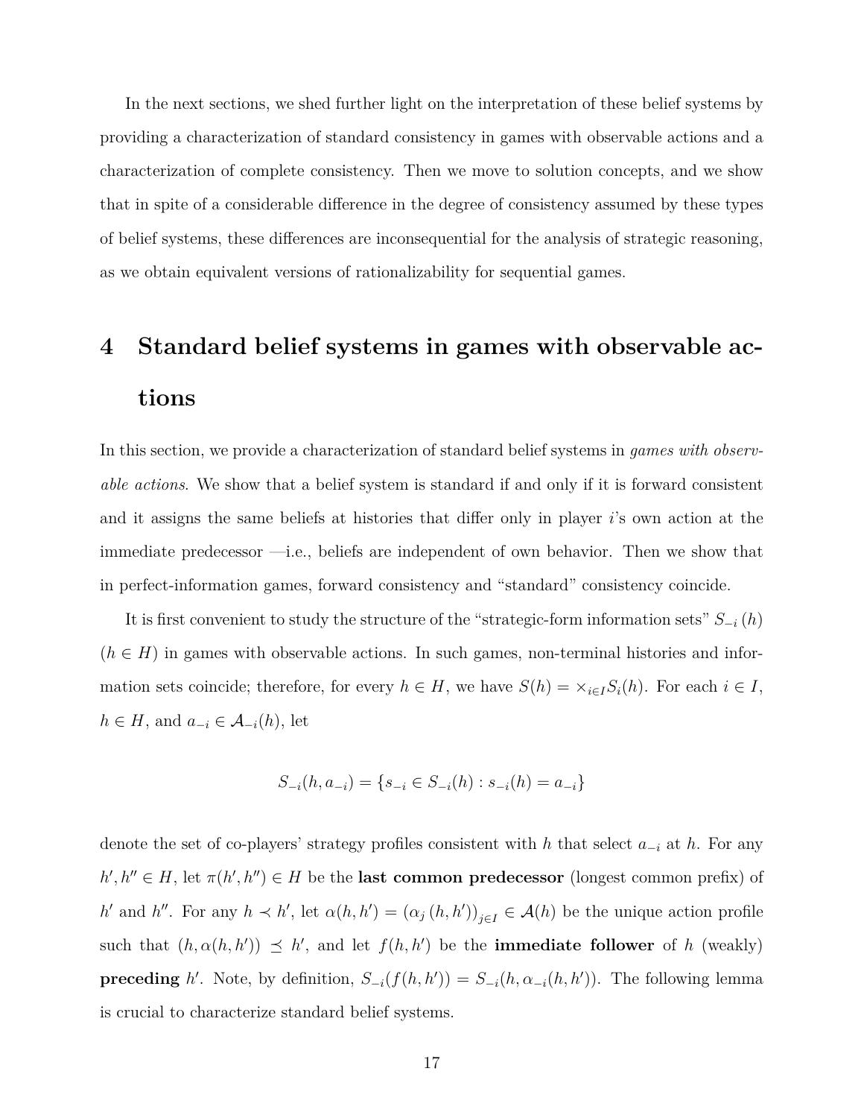In the next sections, we shed further light on the interpretation of these belief systems by providing a characterization of standard consistency in games with observable actions and a characterization of complete consistency. Then we move to solution concepts, and we show that in spite of a considerable difference in the degree of consistency assumed by these types of belief systems, these differences are inconsequential for the analysis of strategic reasoning, as we obtain equivalent versions of rationalizability for sequential games.

## **4 Standard belief systems in games with observable actions**

In this section, we provide a characterization of standard belief systems in *games with observable actions*. We show that a belief system is standard if and only if it is forward consistent and it assigns the same beliefs at histories that differ only in player *i*'s own action at the immediate predecessor —i.e., beliefs are independent of own behavior. Then we show that in perfect-information games, forward consistency and "standard" consistency coincide.

It is first convenient to study the structure of the "strategic-form information sets" *S−<sup>i</sup>* (*h*)  $(h \in H)$  in games with observable actions. In such games, non-terminal histories and information sets coincide; therefore, for every  $h \in H$ , we have  $S(h) = \times_{i \in I} S_i(h)$ . For each  $i \in I$ ,  $h \in H$ , and  $a_{-i} \in \mathcal{A}_{-i}(h)$ , let

$$
S_{-i}(h, a_{-i}) = \{s_{-i} \in S_{-i}(h) : s_{-i}(h) = a_{-i}\}
$$

denote the set of co-players' strategy profiles consistent with *h* that select *a−<sup>i</sup>* at *h*. For any  $h', h'' \in H$ , let  $\pi(h', h'') \in H$  be the **last common predecessor** (longest common prefix) of h' and h''. For any  $h \prec h'$ , let  $\alpha(h, h') = (\alpha_j(h, h'))_{j \in I} \in \mathcal{A}(h)$  be the unique action profile such that  $(h, \alpha(h, h')) \leq h'$ , and let  $f(h, h')$  be the **immediate follower** of *h* (weakly) **preceding** *h'*. Note, by definition,  $S_{-i}(f(h, h')) = S_{-i}(h, \alpha_{-i}(h, h'))$ . The following lemma is crucial to characterize standard belief systems.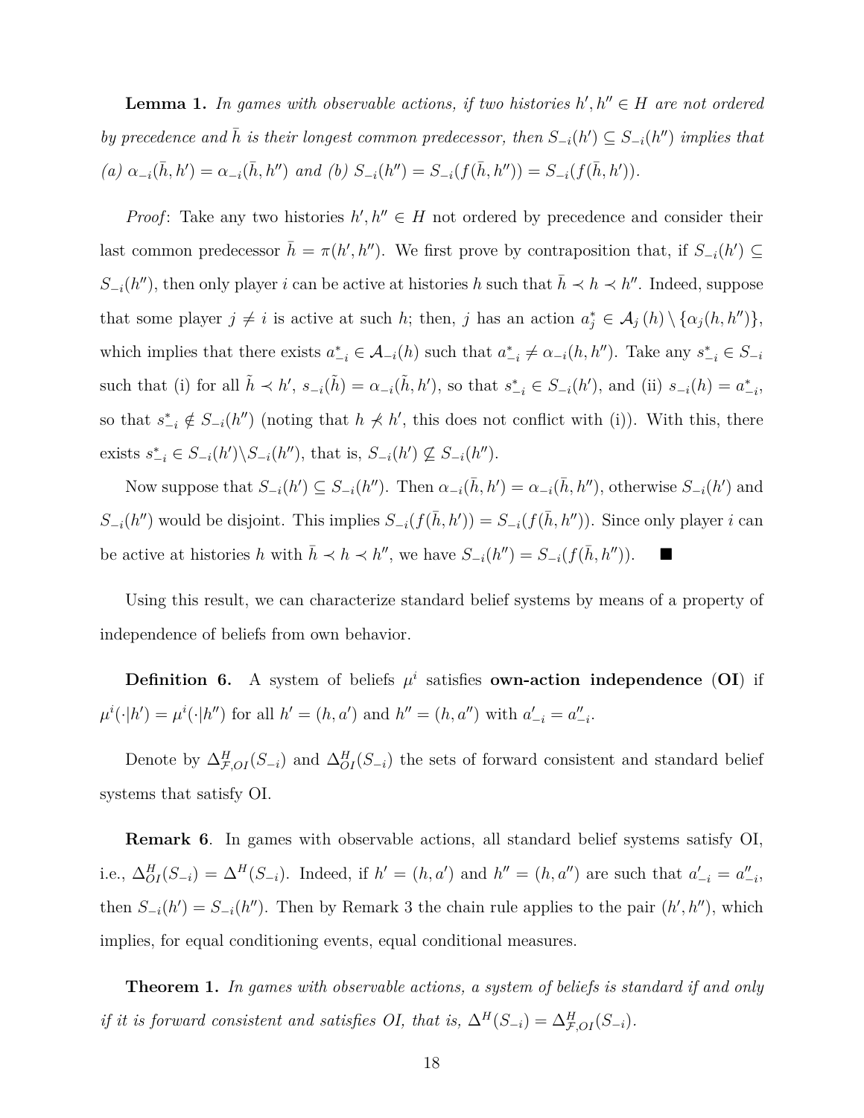**Lemma 1.** In games with observable actions, if two histories  $h', h'' \in H$  are not ordered *by precedence and*  $\bar{h}$  *is their longest common predecessor, then*  $S_{-i}(h') \subseteq S_{-i}(h'')$  *implies that* (a)  $\alpha_{-i}(\bar{h}, h') = \alpha_{-i}(\bar{h}, h'')$  and (b)  $S_{-i}(h'') = S_{-i}(f(\bar{h}, h'')) = S_{-i}(f(\bar{h}, h')).$ 

*Proof*: Take any two histories  $h', h'' \in H$  not ordered by precedence and consider their last common predecessor  $\bar{h} = \pi(h', h'')$ . We first prove by contraposition that, if  $S_{-i}(h') \subseteq$ *S*<sub>−*i*</sub>(*h*<sup>*′′*</sup>), then only player *i* can be active at histories *h* such that  $\bar{h} \prec h \prec h$ <sup>*′′*</sup>. Indeed, suppose that some player  $j \neq i$  is active at such *h*; then, *j* has an action  $a_j^* \in A_j(h) \setminus \{ \alpha_j(h, h'') \},$ which implies that there exists  $a_{-i}^* \in \mathcal{A}_{-i}(h)$  such that  $a_{-i}^* \neq \alpha_{-i}(h, h'')$ . Take any  $s_{-i}^* \in S_{-i}$ such that (i) for all  $\tilde{h} \prec h', s_{-i}(\tilde{h}) = \alpha_{-i}(\tilde{h}, h'),$  so that  $s_{-i}^* \in S_{-i}(h'),$  and (ii)  $s_{-i}(h) = \alpha_{-i}^*$ , so that  $s_{-i}^* \notin S_{-i}(h'')$  (noting that  $h \not\prec h'$ , this does not conflict with (i)). With this, there exists  $s_{-i}^* \in S_{-i}(h') \backslash S_{-i}(h'')$ , that is,  $S_{-i}(h') \nsubseteq S_{-i}(h'')$ .

Now suppose that  $S_{-i}(h') \subseteq S_{-i}(h'')$ . Then  $\alpha_{-i}(\bar{h}, h') = \alpha_{-i}(\bar{h}, h'')$ , otherwise  $S_{-i}(h')$  and  $S_{-i}(h'')$  would be disjoint. This implies  $S_{-i}(f(\bar{h}, h')) = S_{-i}(f(\bar{h}, h''))$ . Since only player i can be active at histories *h* with  $\bar{h} \prec h \prec h''$ , we have  $S_{-i}(h'') = S_{-i}(f(\bar{h}, h''))$ . ■

Using this result, we can characterize standard belief systems by means of a property of independence of beliefs from own behavior.

**Definition 6.** A system of beliefs  $\mu^i$  satisfies **own-action independence** (**OI**) if  $\mu^{i}(\cdot|h') = \mu^{i}(\cdot|h'')$  for all  $h' = (h, a')$  and  $h'' = (h, a'')$  with  $a'_{-i} = a''_{-i}$ .

Denote by  $\Delta_{\mathcal{F},OI}(S_{-i})$  and  $\Delta_{OI}(S_{-i})$  the sets of forward consistent and standard belief systems that satisfy OI.

**Remark 6**. In games with observable actions, all standard belief systems satisfy OI, i.e.,  $\Delta_{OI}(S_{-i}) = \Delta^H(S_{-i})$ . Indeed, if  $h' = (h, a')$  and  $h'' = (h, a'')$  are such that  $a'_{-i} = a''_{-i}$ , then  $S_{-i}(h') = S_{-i}(h'')$ . Then by Remark 3 the chain rule applies to the pair  $(h', h'')$ , which implies, for equal conditioning events, equal conditional measures.

**Theorem 1.** *In games with observable actions, a system of beliefs is standard if and only if it is forward consistent and satisfies OI, that is,*  $\Delta^H(S_{-i}) = \Delta^H_{\mathcal{F},OI}(S_{-i})$ *.*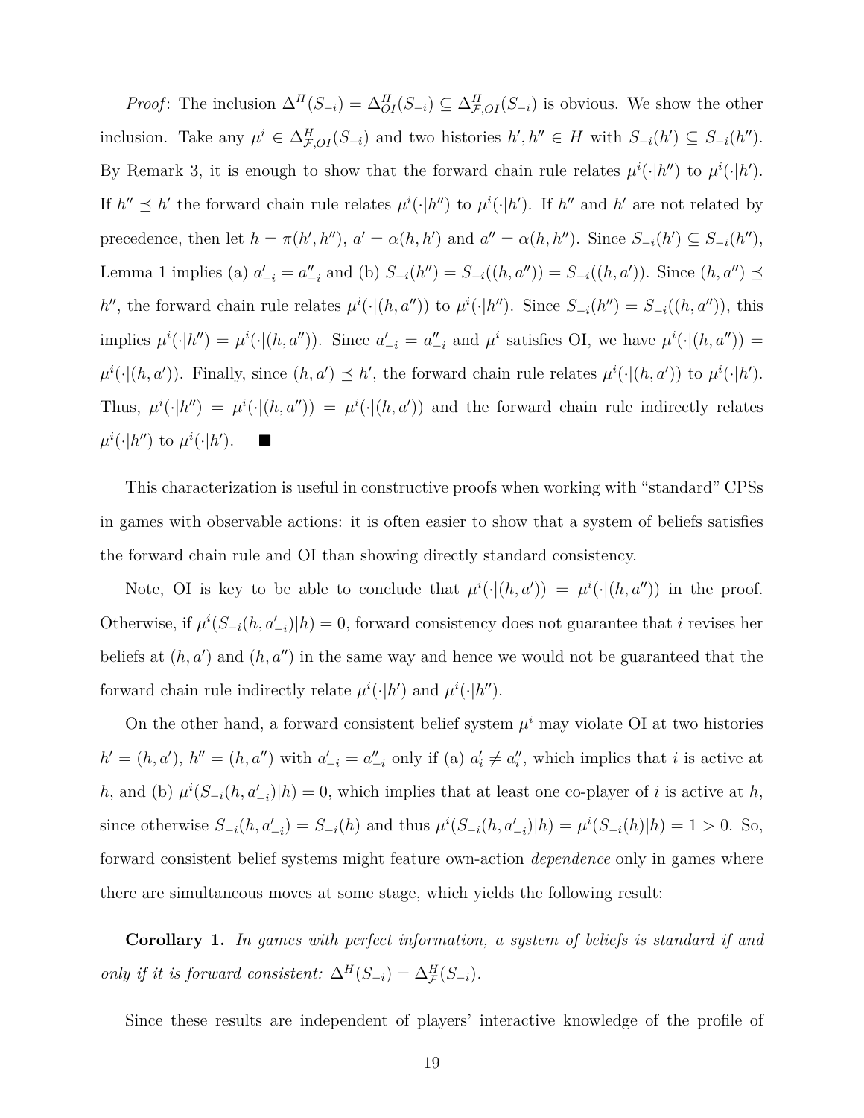*Proof*: The inclusion  $\Delta^H(S_{-i}) = \Delta^H_{OI}(S_{-i}) \subseteq \Delta^H_{F,OI}(S_{-i})$  is obvious. We show the other inclusion. Take any  $\mu^i \in \Delta_{\mathcal{F},OI}(S_{-i})$  and two histories  $h', h'' \in H$  with  $S_{-i}(h') \subseteq S_{-i}(h'')$ . By Remark 3, it is enough to show that the forward chain rule relates  $\mu^{i}(\cdot|h'')$  to  $\mu^{i}(\cdot|h')$ . If  $h'' \preceq h'$  the forward chain rule relates  $\mu^i(\cdot|h'')$  to  $\mu^i(\cdot|h')$ . If  $h''$  and  $h'$  are not related by precedence, then let  $h = \pi(h', h'')$ ,  $a' = \alpha(h, h')$  and  $a'' = \alpha(h, h'')$ . Since  $S_{-i}(h') \subseteq S_{-i}(h'')$ , Lemma 1 implies (a)  $a'_{-i} = a''_{-i}$  and (b)  $S_{-i}(h'') = S_{-i}((h, a'')) = S_{-i}((h, a'))$ . Since  $(h, a'') \preceq$ h'', the forward chain rule relates  $\mu^i(\cdot|(h, a''))$  to  $\mu^i(\cdot|h'')$ . Since  $S_{-i}(h'') = S_{-i}((h, a''))$ , this implies  $\mu^i(\cdot|h'') = \mu^i(\cdot|(h, a''))$ . Since  $a'_{-i} = a''_{-i}$  and  $\mu^i$  satisfies OI, we have  $\mu^i(\cdot|(h, a''))$  $\mu^{i}(\cdot|(h, a'))$ . Finally, since  $(h, a') \leq h'$ , the forward chain rule relates  $\mu^{i}(\cdot|(h, a'))$  to  $\mu^{i}(\cdot|h')$ . Thus,  $\mu^{i}(\cdot|h'') = \mu^{i}(\cdot|(h, a'')) = \mu^{i}(\cdot|(h, a'))$  and the forward chain rule indirectly relates  $\mu^{i}(\cdot|h')$  to  $\mu^{i}(\cdot|h')$ .  $\blacksquare$ 

This characterization is useful in constructive proofs when working with "standard" CPSs in games with observable actions: it is often easier to show that a system of beliefs satisfies the forward chain rule and OI than showing directly standard consistency.

Note, OI is key to be able to conclude that  $\mu^{i}(\cdot|(h, a')) = \mu^{i}(\cdot|(h, a''))$  in the proof. Otherwise, if  $\mu^{i}(S_{-i}(h, a'_{-i})|h) = 0$ , forward consistency does not guarantee that *i* revises her beliefs at  $(h, a')$  and  $(h, a'')$  in the same way and hence we would not be guaranteed that the forward chain rule indirectly relate  $\mu^{i}(\cdot|h')$  and  $\mu^{i}(\cdot|h'')$ .

On the other hand, a forward consistent belief system  $\mu^i$  may violate OI at two histories  $h' = (h, a'), h'' = (h, a'')$  with  $a'_{-i} = a''_{-i}$  only if (a)  $a'_i \neq a''_i$ , which implies that i is active at *h*, and (b)  $\mu^{i}(S_{-i}(h, a'_{-i})|h) = 0$ , which implies that at least one co-player of *i* is active at *h*, since otherwise  $S_{-i}(h, a'_{-i}) = S_{-i}(h)$  and thus  $\mu^{i}(S_{-i}(h, a'_{-i})|h) = \mu^{i}(S_{-i}(h)|h) = 1 > 0$ . So, forward consistent belief systems might feature own-action *dependence* only in games where there are simultaneous moves at some stage, which yields the following result:

**Corollary 1.** *In games with perfect information, a system of beliefs is standard if and only if it is forward consistent:*  $\Delta^H(S_{-i}) = \Delta^H_{\mathcal{F}}(S_{-i})$ *.* 

Since these results are independent of players' interactive knowledge of the profile of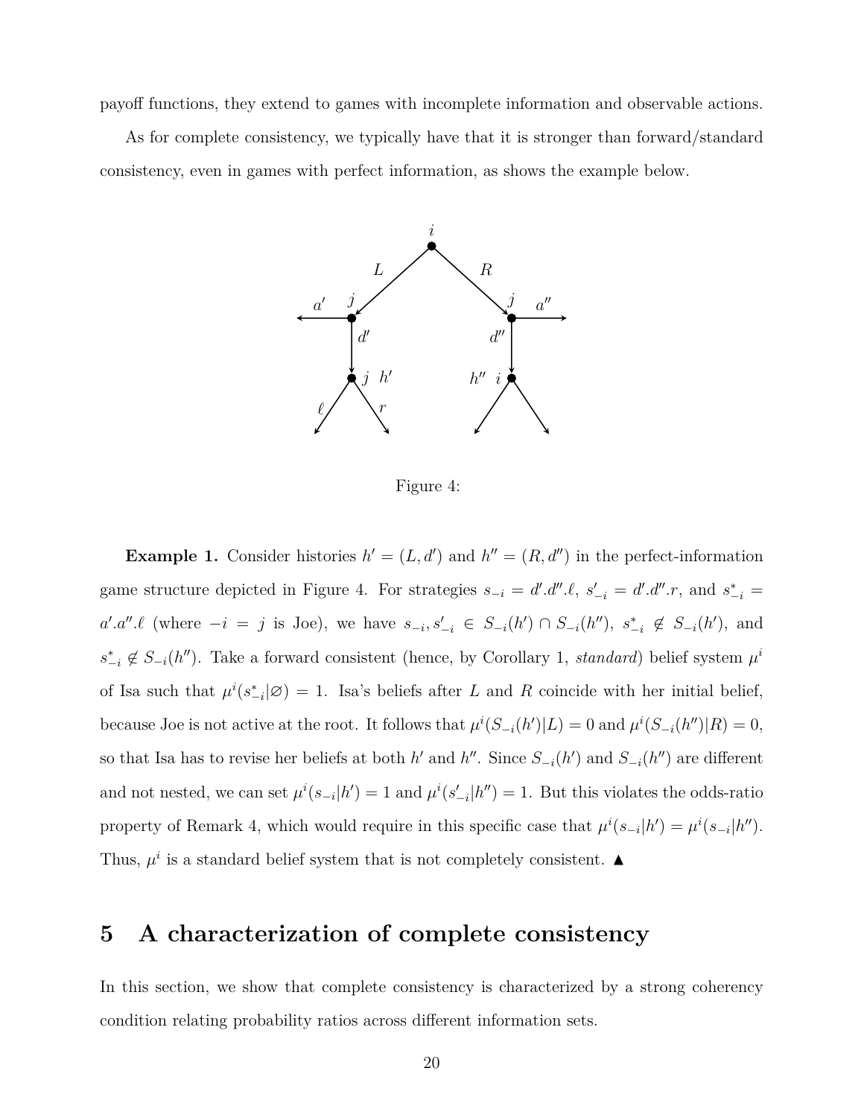payoff functions, they extend to games with incomplete information and observable actions.

As for complete consistency, we typically have that it is stronger than forward/standard consistency, even in games with perfect information, as shows the example below.



Figure 4:

**Example 1.** Consider histories  $h' = (L, d')$  and  $h'' = (R, d'')$  in the perfect-information game structure depicted in Figure 4. For strategies  $s_{-i} = d' d'' \ell$ ,  $s'_{-i} = d' d'' \ell$ , and  $s_{-i}^* =$  $a'.a''.\ell$  (where  $-i = j$  is Joe), we have  $s_{-i}, s'_{-i} \in S_{-i}(h') \cap S_{-i}(h'')$ ,  $s_{-i}^* \notin S_{-i}(h')$ , and  $s_{-i}^* \notin S_{-i}(h'')$ . Take a forward consistent (hence, by Corollary 1, *standard*) belief system  $\mu^i$ of Isa such that  $\mu^{i}(s_{-i}^{*}|\varnothing) = 1$ . Isa's beliefs after *L* and *R* coincide with her initial belief, because Joe is not active at the root. It follows that  $\mu^{i}(S_{-i}(h')|L) = 0$  and  $\mu^{i}(S_{-i}(h'')|R) = 0$ , so that Isa has to revise her beliefs at both *h'* and *h''*. Since  $S_{-i}(h')$  and  $S_{-i}(h'')$  are different and not nested, we can set  $\mu^{i}(s_{-i}|h') = 1$  and  $\mu^{i}(s'_{-i}|h'') = 1$ . But this violates the odds-ratio property of Remark 4, which would require in this specific case that  $\mu^{i}(s_{-i}|h') = \mu^{i}(s_{-i}|h'')$ . Thus,  $\mu^i$  is a standard belief system that is not completely consistent.  $\blacktriangle$ 

## **5 A characterization of complete consistency**

In this section, we show that complete consistency is characterized by a strong coherency condition relating probability ratios across different information sets.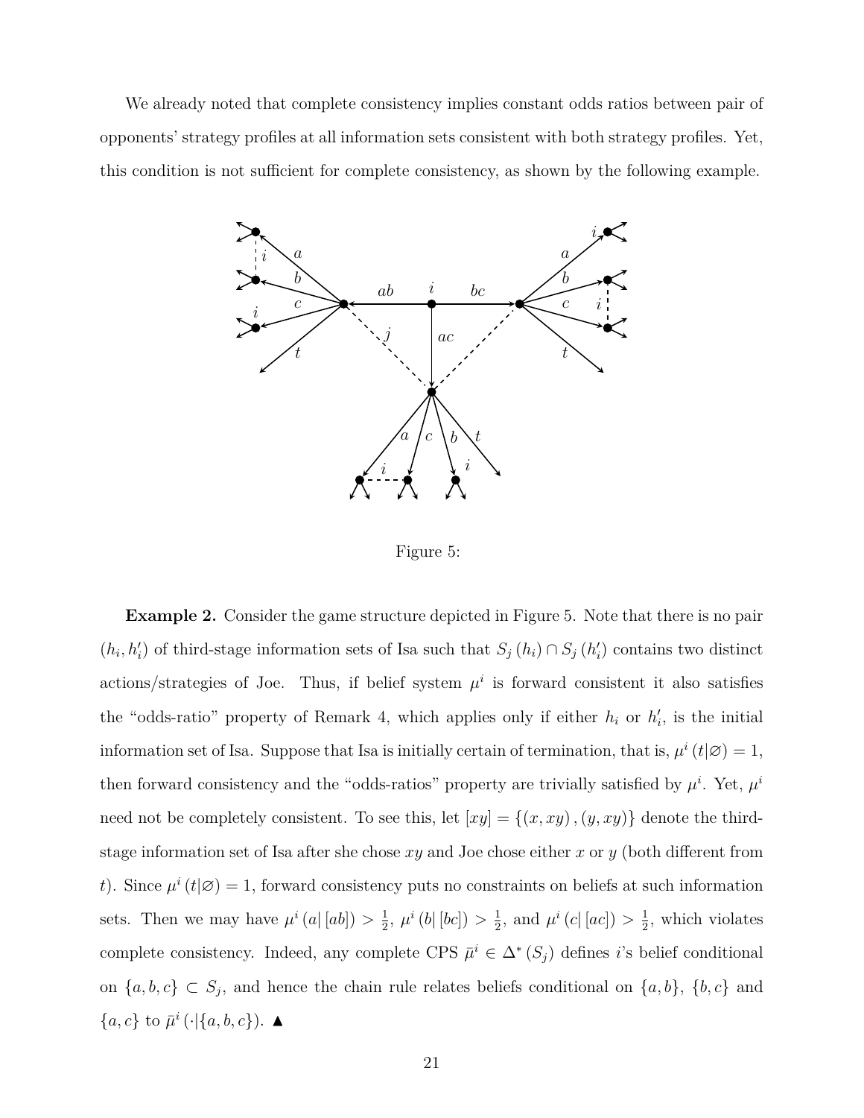We already noted that complete consistency implies constant odds ratios between pair of opponents' strategy profiles at all information sets consistent with both strategy profiles. Yet, this condition is not sufficient for complete consistency, as shown by the following example.



Figure 5:

**Example 2.** Consider the game structure depicted in Figure 5. Note that there is no pair  $(h_i, h'_i)$  of third-stage information sets of Isa such that  $S_j(h_i) \cap S_j(h'_i)$  contains two distinct actions/strategies of Joe. Thus, if belief system  $\mu^i$  is forward consistent it also satisfies the "odds-ratio" property of Remark 4, which applies only if either  $h_i$  or  $h'_i$ , is the initial information set of Isa. Suppose that Isa is initially certain of termination, that is,  $\mu^{i}(t|\emptyset) = 1$ , then forward consistency and the "odds-ratios" property are trivially satisfied by  $\mu^i$ . Yet,  $\mu^i$ need not be completely consistent. To see this, let  $[xy] = \{(x, xy), (y, xy)\}\$  denote the thirdstage information set of Isa after she chose *xy* and Joe chose either *x* or *y* (both different from *t*). Since  $\mu^{i}(t|\mathcal{Q}) = 1$ , forward consistency puts no constraints on beliefs at such information sets. Then we may have  $\mu^{i}(a|[ab]) > \frac{1}{2}$  $\frac{1}{2}$ ,  $\mu^{i} (b | [bc]) > \frac{1}{2}$  $\frac{1}{2}$ , and  $\mu^{i} (c | [ac]) > \frac{1}{2}$  $\frac{1}{2}$ , which violates complete consistency. Indeed, any complete CPS  $\bar{\mu}^i \in \Delta^*$  ( $S_j$ ) defines *i*'s belief conditional on  ${a, b, c}$  ⊂  $S_j$ , and hence the chain rule relates beliefs conditional on  ${a, b}$ ,  ${b, c}$  and  ${a, c}$  to  $\bar{\mu}^i$  (⋅|{*a, b, c*}). ▲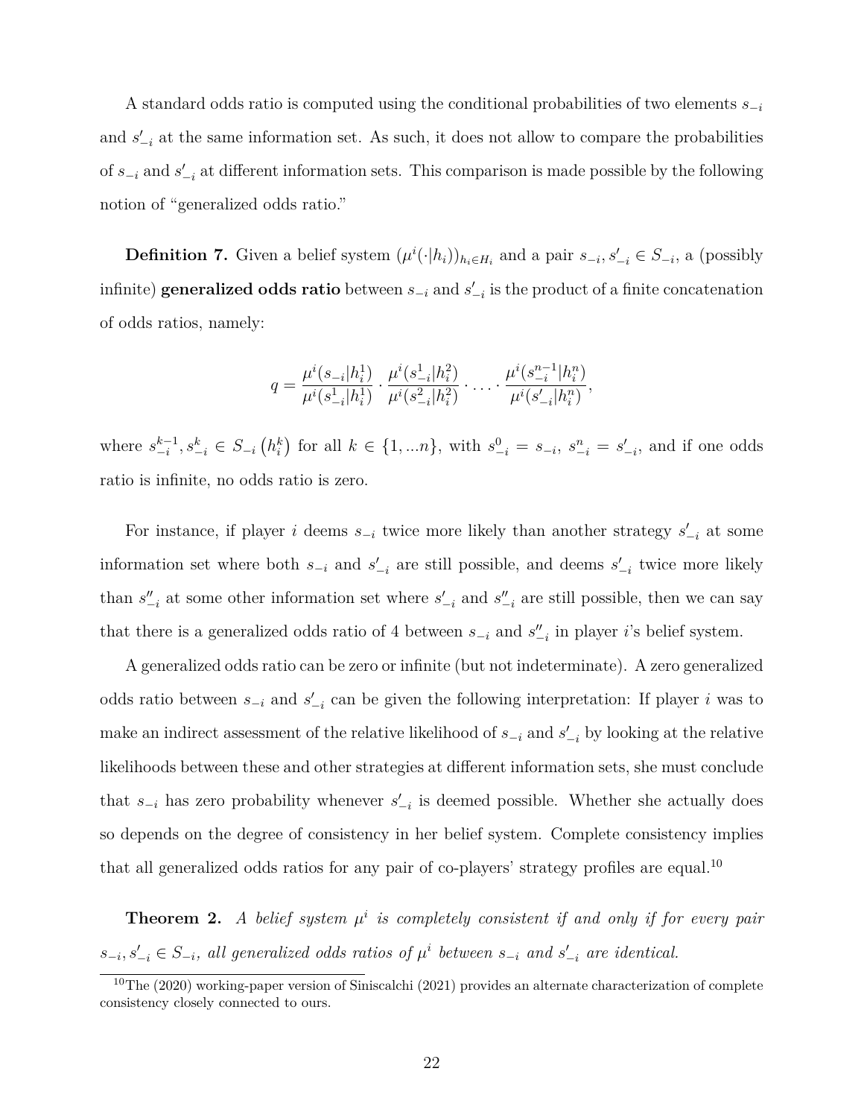A standard odds ratio is computed using the conditional probabilities of two elements *s−<sup>i</sup>* and  $s'_{-i}$  at the same information set. As such, it does not allow to compare the probabilities of *s−<sup>i</sup>* and *s ′ −i* at different information sets. This comparison is made possible by the following notion of "generalized odds ratio."

**Definition 7.** Given a belief system  $(\mu^{i}(\cdot|h_i))_{h_i \in H_i}$  and a pair  $s_{-i}, s'_{-i} \in S_{-i}$ , a (possibly infinite) **generalized odds ratio** between *s−<sup>i</sup>* and *s ′ −i* is the product of a finite concatenation of odds ratios, namely:

$$
q = \frac{\mu^{i}(s_{-i}|h_i^1)}{\mu^{i}(s_{-i}^1|h_i^1)} \cdot \frac{\mu^{i}(s_{-i}^1|h_i^2)}{\mu^{i}(s_{-i}^2|h_i^2)} \cdot \ldots \cdot \frac{\mu^{i}(s_{-i}^{n-1}|h_i^n)}{\mu^{i}(s_{-i}'|h_i^n)},
$$

where  $s_{-i}^{k-1}$  $\binom{k-1}{-i}, s_{-i}^k \in S_{-i} (h_i^k)$  for all  $k \in \{1, ...n\}$ , with  $s_{-i}^0 = s_{-i}, s_{-i}^n = s'_{-i}$ , and if one odds ratio is infinite, no odds ratio is zero.

For instance, if player *i* deems  $s_{-i}$  twice more likely than another strategy  $s'_{-i}$  at some information set where both  $s_{-i}$  and  $s'_{-i}$  are still possible, and deems  $s'_{-i}$  twice more likely than  $s''_{-i}$  at some other information set where  $s'_{-i}$  and  $s''_{-i}$  are still possible, then we can say that there is a generalized odds ratio of 4 between  $s_{-i}$  and  $s''_{-i}$  in player *i*'s belief system.

A generalized odds ratio can be zero or infinite (but not indeterminate). A zero generalized odds ratio between *s−<sup>i</sup>* and *s ′ −i* can be given the following interpretation: If player *i* was to make an indirect assessment of the relative likelihood of  $s_{-i}$  and  $s'_{-i}$  by looking at the relative likelihoods between these and other strategies at different information sets, she must conclude that  $s_{-i}$  has zero probability whenever  $s'_{-i}$  is deemed possible. Whether she actually does so depends on the degree of consistency in her belief system. Complete consistency implies that all generalized odds ratios for any pair of co-players' strategy profiles are equal.<sup>10</sup>

**Theorem 2.** A belief system  $\mu^i$  is completely consistent if and only if for every pair  $s_{-i}, s'_{-i} \in S_{-i}$ , all generalized odds ratios of  $\mu^i$  between  $s_{-i}$  and  $s'_{-i}$  are identical.

 $10$ The (2020) working-paper version of Siniscalchi (2021) provides an alternate characterization of complete consistency closely connected to ours.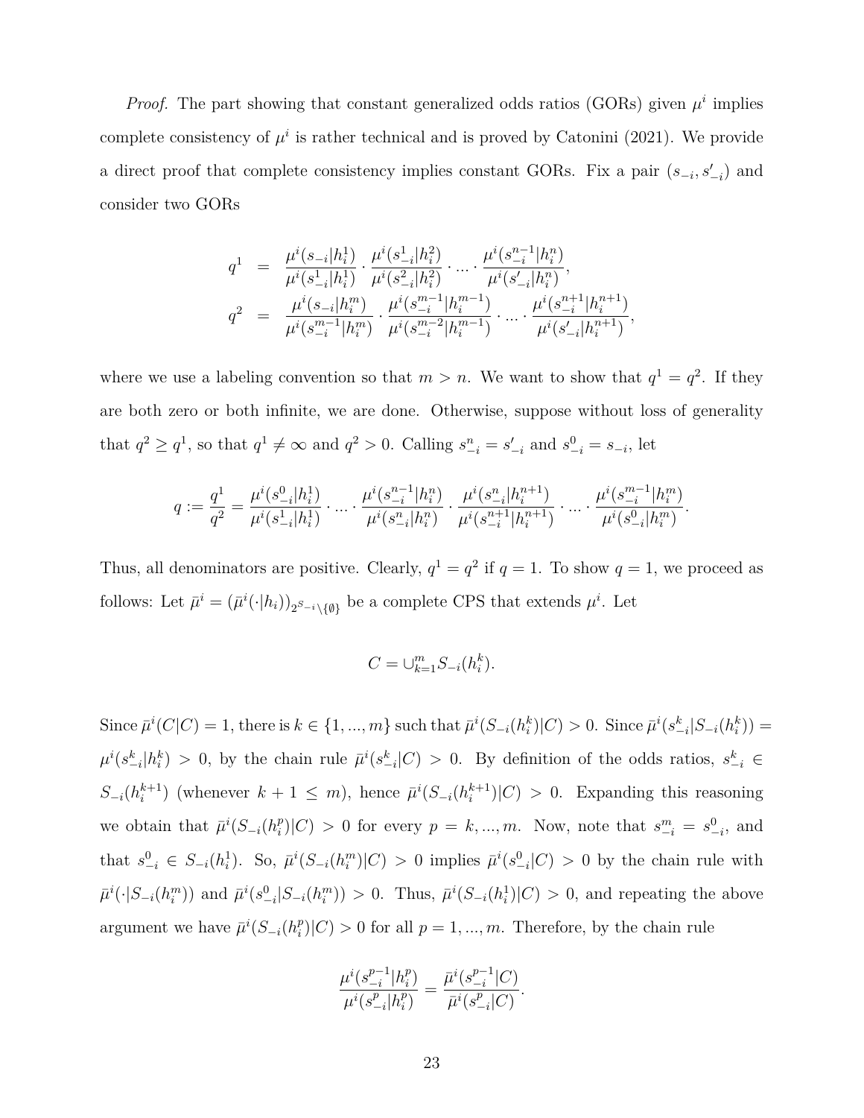*Proof.* The part showing that constant generalized odds ratios (GORs) given  $\mu^i$  implies complete consistency of  $\mu^i$  is rather technical and is proved by Catonini (2021). We provide a direct proof that complete consistency implies constant GORs. Fix a pair  $(s_{-i}, s'_{-i})$  and consider two GORs

$$
\begin{array}{lcl} q^1 & = & \frac{\mu^i(s_{-i}|h^1_i)}{\mu^i(s^1_{-i}|h^1_i)} \cdot \frac{\mu^i(s^1_{-i}|h^2_i)}{\mu^i(s^2_{-i}|h^2_i)} \cdot \ldots \cdot \frac{\mu^i(s^{n-1}_{-i}|h^n_i)}{\mu^i(s'_{-i}|h^n_i)}, \\ q^2 & = & \frac{\mu^i(s_{-i}|h^m_i)}{\mu^i(s^{m-1}_{-i}|h^m_i)} \cdot \frac{\mu^i(s^{m-1}_{-i}|h^{m-1}_i)}{\mu^i(s^{m-2}_{-i}|h^{m-1}_i)} \cdot \ldots \cdot \frac{\mu^i(s^{n+1}_{-i}|h^{n+1}_i)}{\mu^i(s'_{-i}|h^{n+1}_i)}, \end{array}
$$

where we use a labeling convention so that  $m > n$ . We want to show that  $q^1 = q^2$ . If they are both zero or both infinite, we are done. Otherwise, suppose without loss of generality that  $q^2 \ge q^1$ , so that  $q^1 \ne \infty$  and  $q^2 > 0$ . Calling  $s_{-i}^n = s_{-i}'$  and  $s_{-i}^0 = s_{-i}$ , let

$$
q := \frac{q^1}{q^2} = \frac{\mu^i(s_{-i}^0 | h_i^1)}{\mu^i(s_{-i}^1 | h_i^1)} \cdot \ldots \cdot \frac{\mu^i(s_{-i}^{n-1} | h_i^n)}{\mu^i(s_{-i}^n | h_i^n)} \cdot \frac{\mu^i(s_{-i}^n | h_i^{n+1})}{\mu^i(s_{-i}^{n+1} | h_i^{n+1})} \cdot \ldots \cdot \frac{\mu^i(s_{-i}^{m-1} | h_i^m)}{\mu^i(s_{-i}^0 | h_i^m)}.
$$

Thus, all denominators are positive. Clearly,  $q^1 = q^2$  if  $q = 1$ . To show  $q = 1$ , we proceed as follows: Let  $\bar{\mu}^i = (\bar{\mu}^i(\cdot|h_i))_{2^{S-i}\setminus\{\emptyset\}}$  be a complete CPS that extends  $\mu^i$ . Let

$$
C = \bigcup_{k=1}^{m} S_{-i}(h_i^k).
$$

Since  $\bar{\mu}^i(C|C) = 1$ , there is  $k \in \{1, ..., m\}$  such that  $\bar{\mu}^i(S_{-i}(h_i^k)|C) > 0$ . Since  $\bar{\mu}^i(s_{-i}^k|S_{-i}(h_i^k)) =$  $\mu^{i}(s_{-i}^{k}|h_{i}^{k}) > 0$ , by the chain rule  $\bar{\mu}^{i}(s_{-i}^{k}|C) > 0$ . By definition of the odds ratios,  $s_{-i}^{k} \in$ *S−<sup>i</sup>*(*h k*+1  $\bar{h}$ <sup>*k*+1</sup>) (whenever  $k + 1 \leq m$ ), hence  $\bar{\mu}$ <sup>*i*</sup>( $S_{-i}$ ( $h_i^{k+1}$ )  $\binom{k+1}{i}$   $|C| > 0$ . Expanding this reasoning we obtain that  $\bar{\mu}^i(S_{-i}(h_i^p))$  $\binom{p}{i}|C\rangle > 0$  for every  $p = k, ..., m$ . Now, note that  $s^{m}_{-i} = s^{0}_{-i}$ , and that  $s_{-i}^0 \in S_{-i}(h_i^1)$ . So,  $\bar{\mu}^i(S_{-i}(h_i^m)|C) > 0$  implies  $\bar{\mu}^i(s_{-i}^0|C) > 0$  by the chain rule with  $\bar{\mu}^i(\cdot|S_{-i}(h_i^m))$  and  $\bar{\mu}^i(s_{-i}^0|S_{-i}(h_i^m)) > 0$ . Thus,  $\bar{\mu}^i(S_{-i}(h_i^1)|C) > 0$ , and repeating the above argument we have  $\bar{\mu}^i(S_{-i}(h_i^p))$  $\binom{p}{i}|C| > 0$  for all  $p = 1, ..., m$ . Therefore, by the chain rule

$$
\frac{\mu^i(s_{-i}^{p-1}|h_i^p)}{\mu^i(s_{-i}^p|h_i^p)} = \frac{\bar{\mu}^i(s_{-i}^{p-1}|C)}{\bar{\mu}^i(s_{-i}^p|C)}.
$$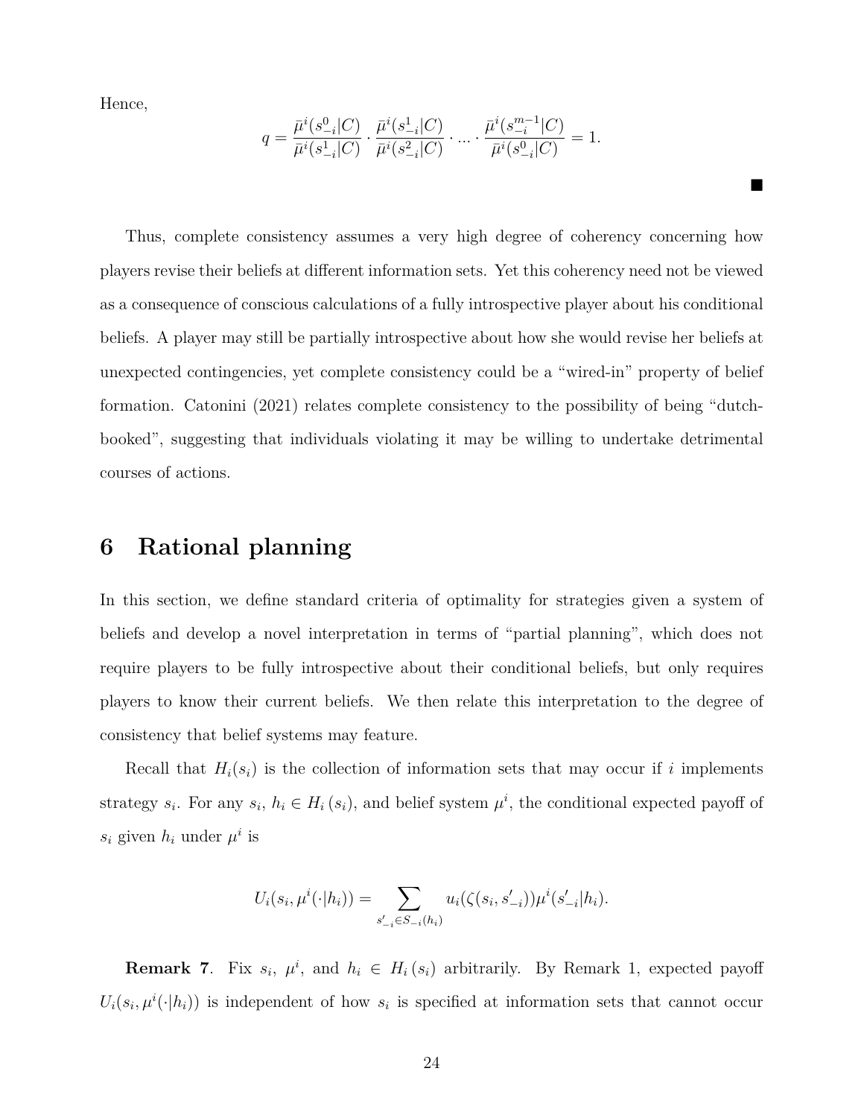Hence,

$$
q = \frac{\bar{\mu}^i(s_{-i}^0|C)}{\bar{\mu}^i(s_{-i}^1|C)} \cdot \frac{\bar{\mu}^i(s_{-i}^1|C)}{\bar{\mu}^i(s_{-i}^2|C)} \cdot \dots \cdot \frac{\bar{\mu}^i(s_{-i}^{m-1}|C)}{\bar{\mu}^i(s_{-i}^0|C)} = 1.
$$

■

Thus, complete consistency assumes a very high degree of coherency concerning how players revise their beliefs at different information sets. Yet this coherency need not be viewed as a consequence of conscious calculations of a fully introspective player about his conditional beliefs. A player may still be partially introspective about how she would revise her beliefs at unexpected contingencies, yet complete consistency could be a "wired-in" property of belief formation. Catonini (2021) relates complete consistency to the possibility of being "dutchbooked", suggesting that individuals violating it may be willing to undertake detrimental courses of actions.

## **6 Rational planning**

In this section, we define standard criteria of optimality for strategies given a system of beliefs and develop a novel interpretation in terms of "partial planning", which does not require players to be fully introspective about their conditional beliefs, but only requires players to know their current beliefs. We then relate this interpretation to the degree of consistency that belief systems may feature.

Recall that  $H_i(s_i)$  is the collection of information sets that may occur if *i* implements strategy  $s_i$ . For any  $s_i$ ,  $h_i \in H_i(s_i)$ , and belief system  $\mu^i$ , the conditional expected payoff of  $s_i$  given  $h_i$  under  $\mu^i$  is

$$
U_i(s_i, \mu^i(\cdot|h_i)) = \sum_{s'_{-i} \in S_{-i}(h_i)} u_i(\zeta(s_i, s'_{-i})) \mu^i(s'_{-i}|h_i).
$$

**Remark 7**. Fix  $s_i$ ,  $\mu^i$ , and  $h_i \in H_i(s_i)$  arbitrarily. By Remark 1, expected payoff  $U_i(s_i, \mu^i(\cdot|h_i))$  is independent of how  $s_i$  is specified at information sets that cannot occur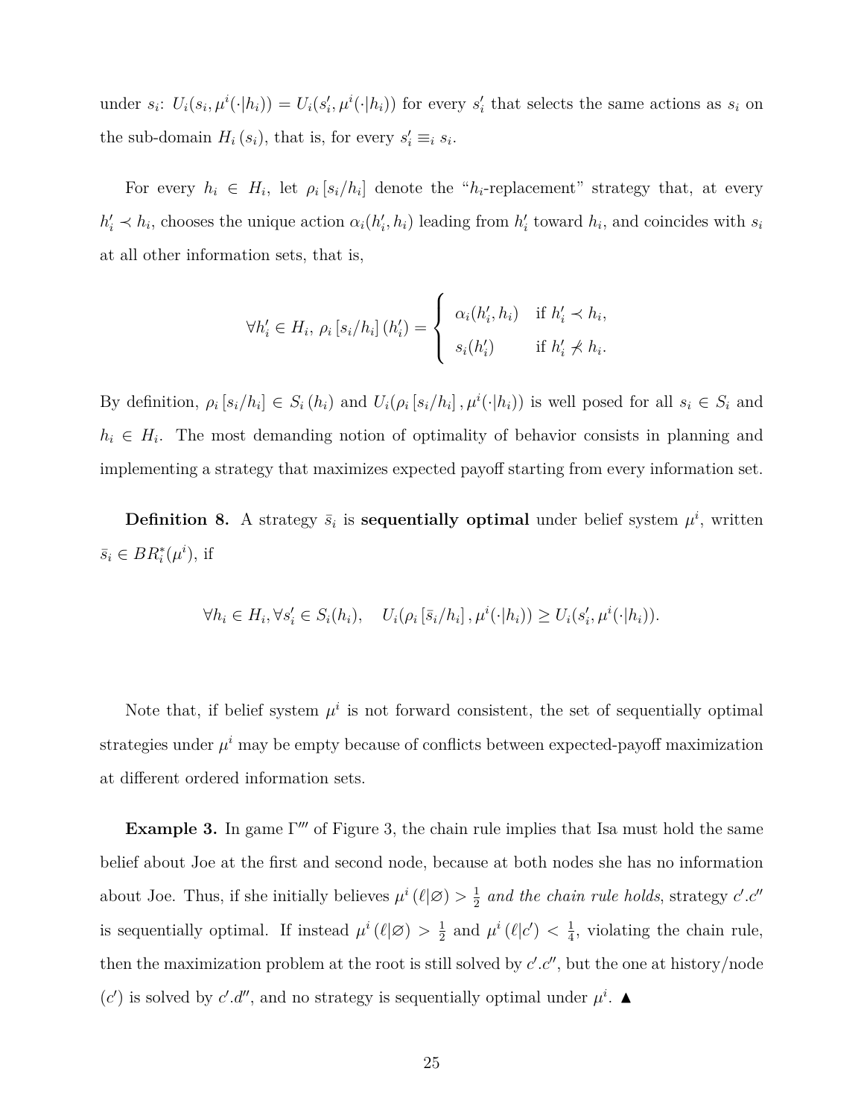under  $s_i$ :  $U_i(s_i, \mu^i(\cdot|h_i)) = U_i(s'_i, \mu^i(\cdot|h_i))$  for every  $s'_i$  that selects the same actions as  $s_i$  on the sub-domain  $H_i(s_i)$ , that is, for every  $s'_i \equiv_i s_i$ .

For every  $h_i \in H_i$ , let  $\rho_i [s_i/h_i]$  denote the " $h_i$ -replacement" strategy that, at every  $h'_i \prec h_i$ , chooses the unique action  $\alpha_i(h'_i, h_i)$  leading from  $h'_i$  toward  $h_i$ , and coincides with  $s_i$ at all other information sets, that is,

$$
\forall h'_i \in H_i, \, \rho_i \left[ s_i / h_i \right] (h'_i) = \begin{cases} \alpha_i(h'_i, h_i) & \text{if } h'_i < h_i, \\ s_i(h'_i) & \text{if } h'_i \nless h_i. \end{cases}
$$

By definition,  $\rho_i [s_i/h_i] \in S_i(h_i)$  and  $U_i(\rho_i [s_i/h_i], \mu^i(\cdot|h_i))$  is well posed for all  $s_i \in S_i$  and  $h_i \in H_i$ . The most demanding notion of optimality of behavior consists in planning and implementing a strategy that maximizes expected payoff starting from every information set.

**Definition 8.** A strategy  $\bar{s}_i$  is **sequentially optimal** under belief system  $\mu^i$ , written  $\bar{s}_i \in BR_i^*(\mu^i)$ , if

$$
\forall h_i \in H_i, \forall s_i' \in S_i(h_i), \quad U_i(\rho_i[\bar{s}_i/h_i], \mu^i(\cdot|h_i)) \ge U_i(s_i', \mu^i(\cdot|h_i)).
$$

Note that, if belief system  $\mu^i$  is not forward consistent, the set of sequentially optimal strategies under  $\mu^i$  may be empty because of conflicts between expected-payoff maximization at different ordered information sets.

**Example 3.** In game Γ<sup>*′′′*</sup> of Figure 3, the chain rule implies that Isa must hold the same belief about Joe at the first and second node, because at both nodes she has no information about Joe. Thus, if she initially believes  $\mu^{i}(\ell|\mathcal{Q}) > \frac{1}{2}$  $\frac{1}{2}$  and the chain rule holds, strategy *c'*.*c''* is sequentially optimal. If instead  $\mu^{i}(\ell|\mathcal{Q}) > \frac{1}{2}$  $\frac{1}{2}$  and  $\mu^{i}(\ell|\epsilon') < \frac{1}{4}$  $\frac{1}{4}$ , violating the chain rule, then the maximization problem at the root is still solved by  $c'.c''$ , but the one at history/node (*c*<sup>'</sup>) is solved by *c*'.*d*<sup>*''*</sup>, and no strategy is sequentially optimal under  $\mu^i$ .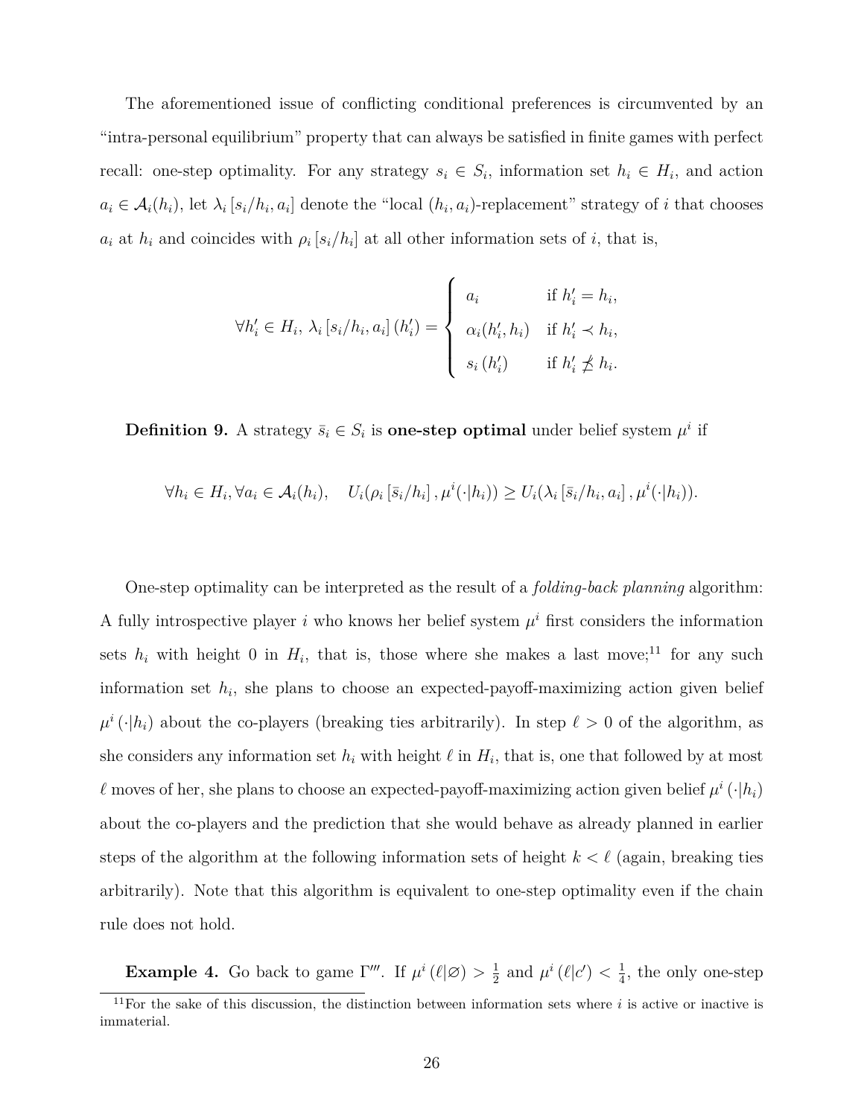The aforementioned issue of conflicting conditional preferences is circumvented by an "intra-personal equilibrium" property that can always be satisfied in finite games with perfect recall: one-step optimality. For any strategy  $s_i \in S_i$ , information set  $h_i \in H_i$ , and action  $a_i \in \mathcal{A}_i(h_i)$ , let  $\lambda_i$  [s<sub>i</sub>/h<sub>i</sub>, a<sub>i</sub>] denote the "local (h<sub>i</sub>, a<sub>i</sub>)-replacement" strategy of i that chooses  $a_i$  at  $h_i$  and coincides with  $\rho_i$  [ $s_i/h_i$ ] at all other information sets of *i*, that is,

$$
\forall h'_i \in H_i, \, \lambda_i \left[ s_i / h_i, a_i \right] (h'_i) = \begin{cases} a_i & \text{if } h'_i = h_i, \\ \alpha_i(h'_i, h_i) & \text{if } h'_i \prec h_i, \\ s_i(h'_i) & \text{if } h'_i \not\preceq h_i. \end{cases}
$$

**Definition 9.** A strategy  $\bar{s}_i \in S_i$  is **one-step optimal** under belief system  $\mu^i$  if

$$
\forall h_i \in H_i, \forall a_i \in \mathcal{A}_i(h_i), \quad U_i(\rho_i[\bar{s}_i/h_i], \mu^i(\cdot|h_i)) \ge U_i(\lambda_i[\bar{s}_i/h_i, a_i], \mu^i(\cdot|h_i)).
$$

One-step optimality can be interpreted as the result of a *folding-back planning* algorithm: A fully introspective player  $i$  who knows her belief system  $\mu^i$  first considers the information sets  $h_i$  with height 0 in  $H_i$ , that is, those where she makes a last move;<sup>11</sup> for any such information set *h<sup>i</sup>* , she plans to choose an expected-payoff-maximizing action given belief  $\mu^i(\cdot|h_i)$  about the co-players (breaking ties arbitrarily). In step  $\ell > 0$  of the algorithm, as she considers any information set  $h_i$  with height  $\ell$  in  $H_i$ , that is, one that followed by at most *l* moves of her, she plans to choose an expected-payoff-maximizing action given belief  $\mu^i(\cdot|h_i)$ about the co-players and the prediction that she would behave as already planned in earlier steps of the algorithm at the following information sets of height  $k < \ell$  (again, breaking ties arbitrarily). Note that this algorithm is equivalent to one-step optimality even if the chain rule does not hold.

**Example 4.** Go back to game  $\Gamma'''$ . If  $\mu^{i}(\ell|\mathcal{D}) > \frac{1}{2}$  $\frac{1}{2}$  and  $\mu^{i}(\ell|\epsilon') < \frac{1}{4}$  $\frac{1}{4}$ , the only one-step

 $11$ For the sake of this discussion, the distinction between information sets where  $i$  is active or inactive is immaterial.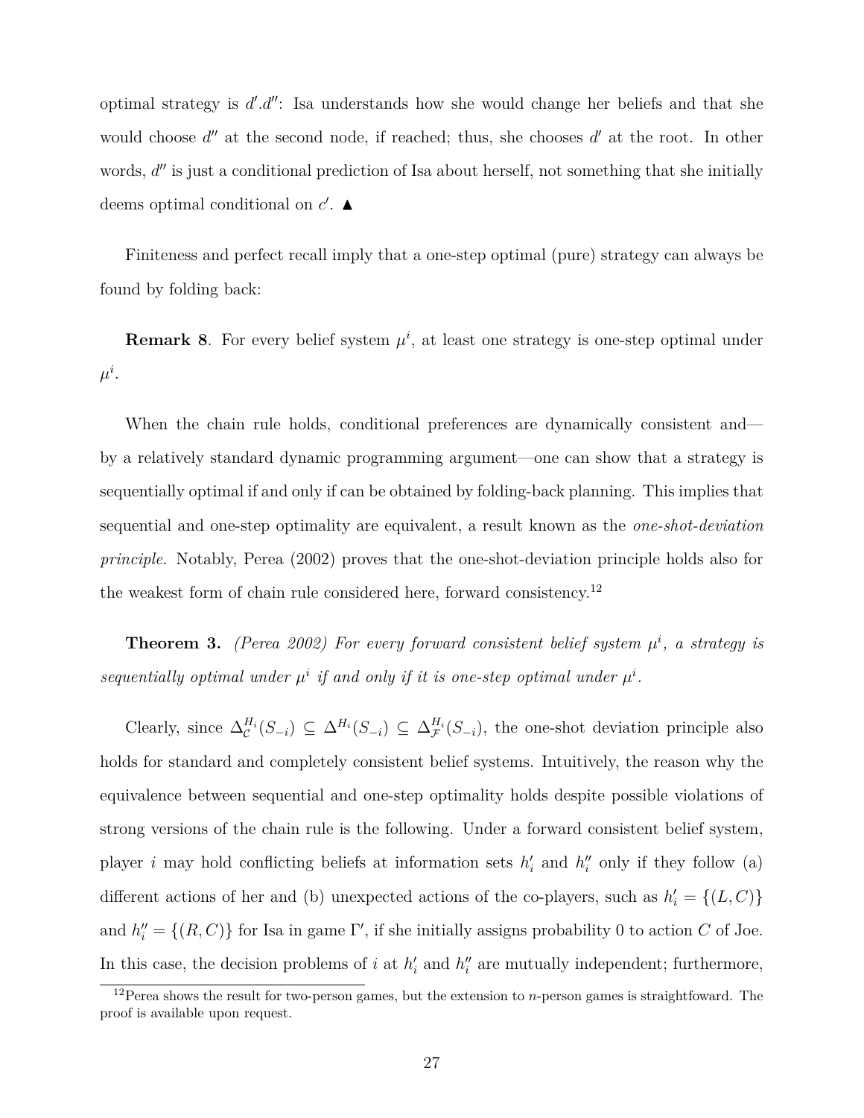optimal strategy is  $d'.d''$ : Isa understands how she would change her beliefs and that she would choose  $d''$  at the second node, if reached; thus, she chooses  $d'$  at the root. In other words,  $d''$  is just a conditional prediction of Isa about herself, not something that she initially deems optimal conditional on *c ′* . ▲

Finiteness and perfect recall imply that a one-step optimal (pure) strategy can always be found by folding back:

**Remark 8**. For every belief system  $\mu^i$ , at least one strategy is one-step optimal under  $\mu^i.$ 

When the chain rule holds, conditional preferences are dynamically consistent and by a relatively standard dynamic programming argument—one can show that a strategy is sequentially optimal if and only if can be obtained by folding-back planning. This implies that sequential and one-step optimality are equivalent, a result known as the *one-shot-deviation principle*. Notably, Perea (2002) proves that the one-shot-deviation principle holds also for the weakest form of chain rule considered here, forward consistency.<sup>12</sup>

**Theorem 3.** *(Perea 2002) For every forward consistent belief system*  $\mu^{i}$ , a strategy is sequentially optimal under  $\mu^i$  if and only if it is one-step optimal under  $\mu^i$ .

Clearly, since  $\Delta_{\mathcal{C}}^{H_i}(S_{-i}) \subseteq \Delta^{H_i}(S_{-i}) \subseteq \Delta_{\mathcal{F}}^{H_i}(S_{-i})$ , the one-shot deviation principle also holds for standard and completely consistent belief systems. Intuitively, the reason why the equivalence between sequential and one-step optimality holds despite possible violations of strong versions of the chain rule is the following. Under a forward consistent belief system, player *i* may hold conflicting beliefs at information sets  $h'_{i}$  and  $h''_{i}$  only if they follow (a) different actions of her and (b) unexpected actions of the co-players, such as  $h'_{i} = \{(L, C)\}\$ and  $h''_i = \{(R, C)\}\$  for Isa in game  $\Gamma'$ , if she initially assigns probability 0 to action *C* of Joe. In this case, the decision problems of *i* at  $h'_{i}$  and  $h''_{i}$  are mutually independent; furthermore,

<sup>12</sup>Perea shows the result for two-person games, but the extension to *n*-person games is straightfoward. The proof is available upon request.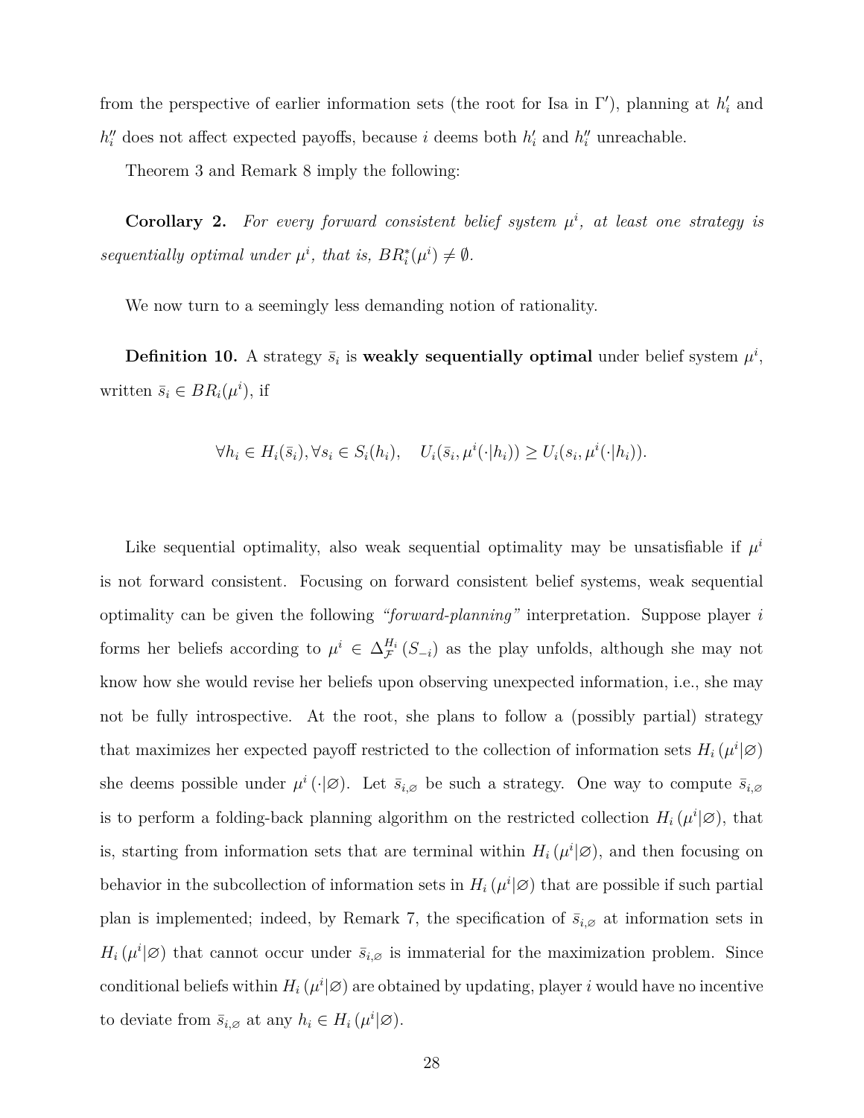from the perspective of earlier information sets (the root for Isa in Γ *′* ), planning at *h ′ i* and  $h''_i$  does not affect expected payoffs, because *i* deems both  $h'_i$  and  $h''_i$  unreachable.

Theorem 3 and Remark 8 imply the following:

**Corollary 2.** For every forward consistent belief system  $\mu^i$ , at least one strategy is *sequentially optimal under*  $\mu^i$ , that is,  $BR_i^*(\mu^i) \neq \emptyset$ .

We now turn to a seemingly less demanding notion of rationality.

**Definition 10.** A strategy  $\bar{s}_i$  is weakly sequentially optimal under belief system  $\mu^i$ , written  $\bar{s}_i \in BR_i(\mu^i)$ , if

$$
\forall h_i \in H_i(\bar{s}_i), \forall s_i \in S_i(h_i), \quad U_i(\bar{s}_i, \mu^i(\cdot|h_i)) \ge U_i(s_i, \mu^i(\cdot|h_i)).
$$

Like sequential optimality, also weak sequential optimality may be unsatisfiable if  $\mu^i$ is not forward consistent. Focusing on forward consistent belief systems, weak sequential optimality can be given the following *"forward-planning"* interpretation. Suppose player *i* forms her beliefs according to  $\mu^i \in \Delta_{\mathcal{F}}^{H_i}(S_{-i})$  as the play unfolds, although she may not know how she would revise her beliefs upon observing unexpected information, i.e., she may not be fully introspective. At the root, she plans to follow a (possibly partial) strategy that maximizes her expected payoff restricted to the collection of information sets  $H_i(\mu^i|\varnothing)$ she deems possible under  $\mu^i(\cdot | \varnothing)$ . Let  $\bar{s}_{i,\varnothing}$  be such a strategy. One way to compute  $\bar{s}_{i,\varnothing}$ is to perform a folding-back planning algorithm on the restricted collection  $H_i(\mu^i|\emptyset)$ , that is, starting from information sets that are terminal within  $H_i(\mu^i|\varnothing)$ , and then focusing on behavior in the subcollection of information sets in  $H_i(\mu^i|\varnothing)$  that are possible if such partial plan is implemented; indeed, by Remark 7, the specification of  $\bar{s}_{i,\varnothing}$  at information sets in  $H_i(\mu^i|\mathcal{Q})$  that cannot occur under  $\bar{s}_{i,\mathcal{Q}}$  is immaterial for the maximization problem. Since conditional beliefs within  $H_i(\mu^i|\varnothing)$  are obtained by updating, player *i* would have no incentive to deviate from  $\bar{s}_{i, \varnothing}$  at any  $h_i \in H_i(\mu^i | \varnothing)$ .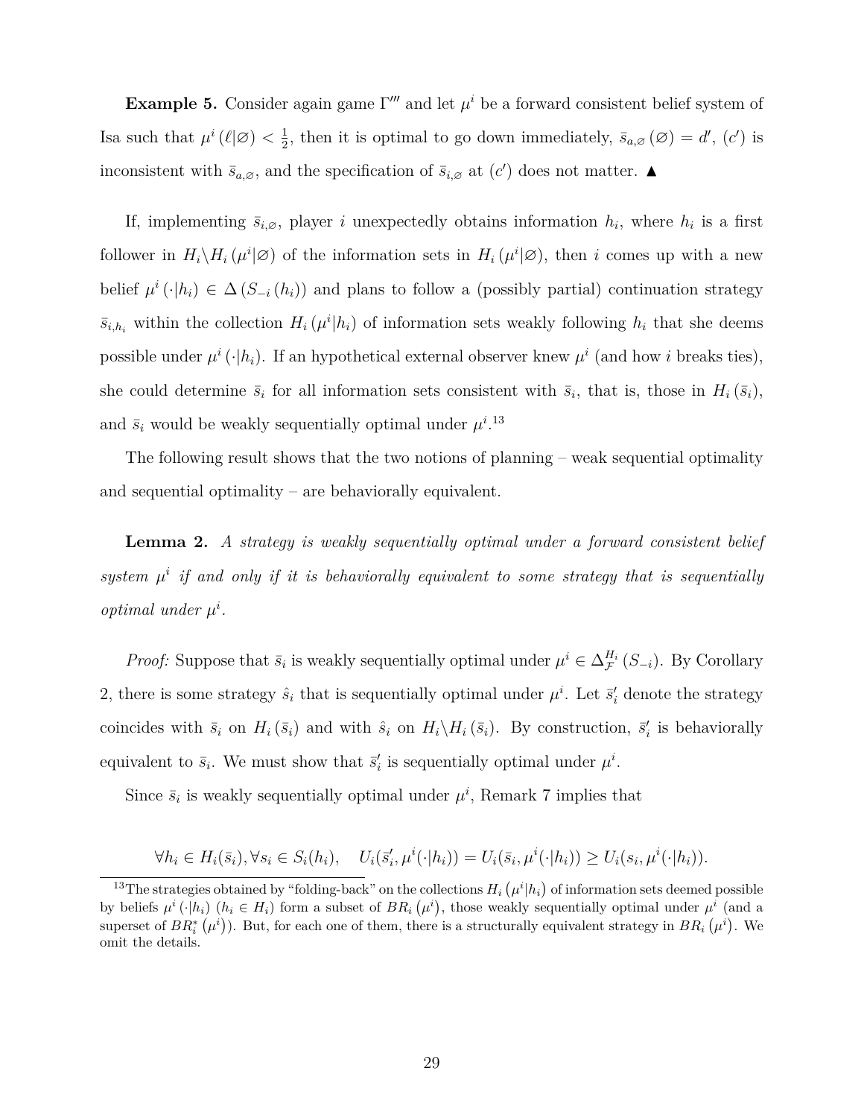**Example 5.** Consider again game  $\Gamma'''$  and let  $\mu^{i}$  be a forward consistent belief system of Is a such that  $\mu^i(\ell|\mathcal{Q}) < \frac{1}{2}$  $\frac{1}{2}$ , then it is optimal to go down immediately,  $\bar{s}_{a,\varnothing}(\varnothing) = d'$ ,  $(c')$  is inconsistent with  $\bar{s}_{a,\emptyset}$ , and the specification of  $\bar{s}_{i,\emptyset}$  at  $(c')$  does not matter.  $\blacktriangle$ 

If, implementing  $\bar{s}_{i,0}$ , player *i* unexpectedly obtains information  $h_i$ , where  $h_i$  is a first follower in  $H_i \backslash H_i (\mu^i | \varnothing)$  of the information sets in  $H_i (\mu^i | \varnothing)$ , then *i* comes up with a new belief  $\mu^{i}(\cdot|h_i) \in \Delta(S_{-i}(h_i))$  and plans to follow a (possibly partial) continuation strategy  $\bar{s}_{i,h_i}$  within the collection  $H_i(\mu^i|h_i)$  of information sets weakly following  $h_i$  that she deems possible under  $\mu^{i}(\cdot|h_i)$ . If an hypothetical external observer knew  $\mu^{i}$  (and how *i* breaks ties), she could determine  $\bar{s}_i$  for all information sets consistent with  $\bar{s}_i$ , that is, those in  $H_i(\bar{s}_i)$ , and  $\bar{s}_i$  would be weakly sequentially optimal under  $\mu^{i}$ .<sup>13</sup>

The following result shows that the two notions of planning – weak sequential optimality and sequential optimality – are behaviorally equivalent.

**Lemma 2.** *A strategy is weakly sequentially optimal under a forward consistent belief* system  $\mu^i$  if and only if it is behaviorally equivalent to some strategy that is sequentially *optimal under*  $\mu^i$ .

*Proof:* Suppose that  $\bar{s}_i$  is weakly sequentially optimal under  $\mu^i \in \Delta_{\mathcal{F}}^{H_i}(S_{-i})$ . By Corollary 2, there is some strategy  $\hat{s}_i$  that is sequentially optimal under  $\mu^i$ . Let  $\vec{s}'_i$  denote the strategy coincides with  $\bar{s}_i$  on  $H_i(\bar{s}_i)$  and with  $\hat{s}_i$  on  $H_i\backslash H_i(\bar{s}_i)$ . By construction,  $\bar{s}'_i$  is behaviorally equivalent to  $\bar{s}_i$ . We must show that  $\bar{s}'_i$  is sequentially optimal under  $\mu^i$ .

Since  $\bar{s}_i$  is weakly sequentially optimal under  $\mu^i$ , Remark 7 implies that

$$
\forall h_i \in H_i(\bar{s}_i), \forall s_i \in S_i(h_i), \quad U_i(\bar{s}'_i, \mu^i(\cdot|h_i)) = U_i(\bar{s}_i, \mu^i(\cdot|h_i)) \ge U_i(s_i, \mu^i(\cdot|h_i)).
$$

<sup>&</sup>lt;sup>13</sup>The strategies obtained by "folding-back" on the collections  $H_i(\mu^i|h_i)$  of information sets deemed possible by beliefs  $\mu^i(\cdot|h_i)$   $(h_i \in H_i)$  form a subset of  $BR_i(\mu^i)$ , those weakly sequentially optimal under  $\mu^i$  (and a superset of  $BR_i^*(\mu^i)$ ). But, for each one of them, there is a structurally equivalent strategy in  $BR_i(\mu^i)$ . We omit the details.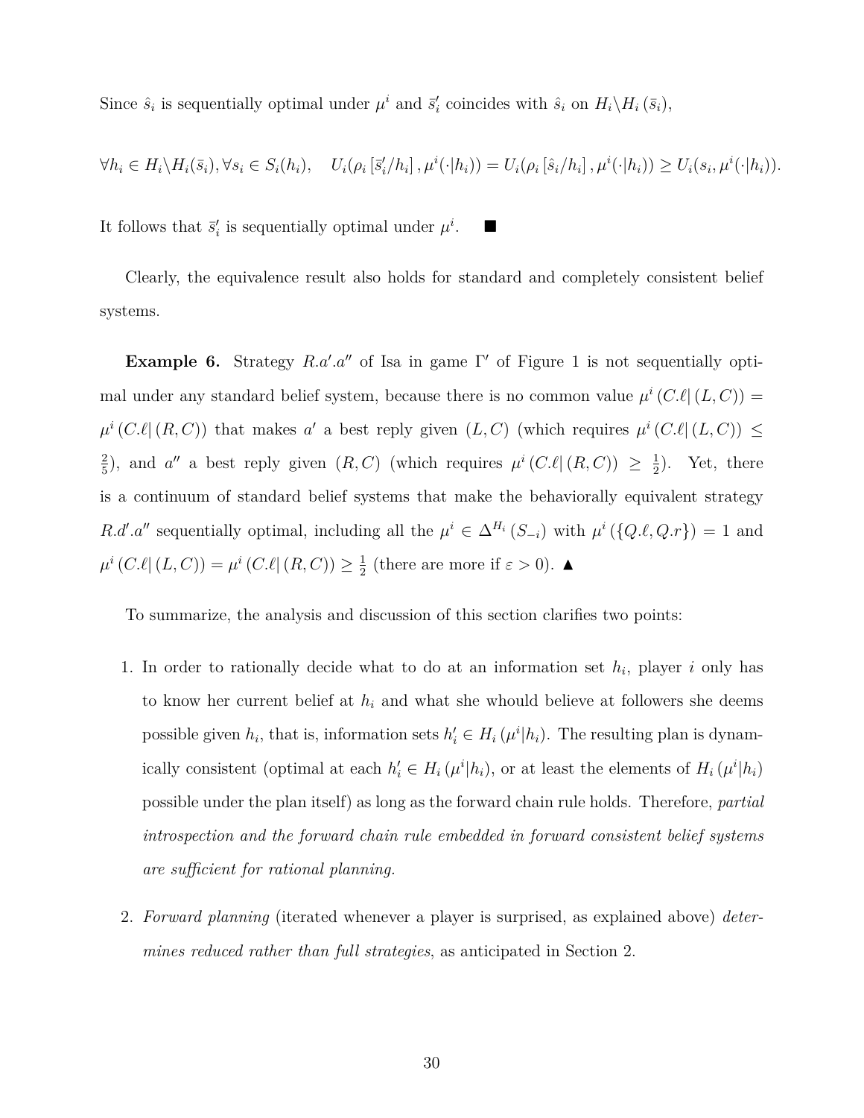Since  $\hat{s}_i$  is sequentially optimal under  $\mu^i$  and  $\bar{s}'_i$  coincides with  $\hat{s}_i$  on  $H_i \backslash H_i(\bar{s}_i)$ ,

$$
\forall h_i \in H_i \setminus H_i(\bar{s}_i), \forall s_i \in S_i(h_i), \quad U_i(\rho_i[\bar{s}'_i/h_i], \mu^i(\cdot|h_i)) = U_i(\rho_i[\hat{s}_i/h_i], \mu^i(\cdot|h_i)) \ge U_i(s_i, \mu^i(\cdot|h_i)).
$$

It follows that  $\bar{s}'_i$  is sequentially optimal under  $\mu^i$ . ■

Clearly, the equivalence result also holds for standard and completely consistent belief systems.

**Example 6.** Strategy *R.a′ .a′′* of Isa in game Γ *′* of Figure 1 is not sequentially optimal under any standard belief system, because there is no common value  $\mu^{i}(C.\ell|(L, C))$  =  $\mu^{i}(C.\ell|(R, C))$  that makes *a*' a best reply given  $(L, C)$  (which requires  $\mu^{i}(C.\ell|(L, C)) \leq$ 2  $\frac{2}{5}$ , and *a''* a best reply given  $(R, C)$  (which requires  $\mu^{i}(C.\ell | (R, C)) \geq \frac{1}{2}$  $(\frac{1}{2})$ . Yet, there is a continuum of standard belief systems that make the behaviorally equivalent strategy *R.d'*.a'' sequentially optimal, including all the  $\mu^{i} \in \Delta^{H_i}(S_{-i})$  with  $\mu^{i}(\{Q.\ell,Q.r\}) = 1$  and  $\mu^{i} (C.\ell | (L, C)) = \mu^{i} (C.\ell | (R, C)) \geq \frac{1}{2}$  $\frac{1}{2}$  (there are more if  $\varepsilon > 0$ ).  $\blacktriangle$ 

To summarize, the analysis and discussion of this section clarifies two points:

- 1. In order to rationally decide what to do at an information set  $h_i$ , player *i* only has to know her current belief at *h<sup>i</sup>* and what she whould believe at followers she deems possible given  $h_i$ , that is, information sets  $h'_i \in H_i(\mu^i|h_i)$ . The resulting plan is dynamically consistent (optimal at each  $h'_i \in H_i(\mu^i|h_i)$ , or at least the elements of  $H_i(\mu^i|h_i)$ possible under the plan itself) as long as the forward chain rule holds. Therefore, *partial introspection and the forward chain rule embedded in forward consistent belief systems are sufficient for rational planning.*
- 2. *Forward planning* (iterated whenever a player is surprised, as explained above) *determines reduced rather than full strategies*, as anticipated in Section 2.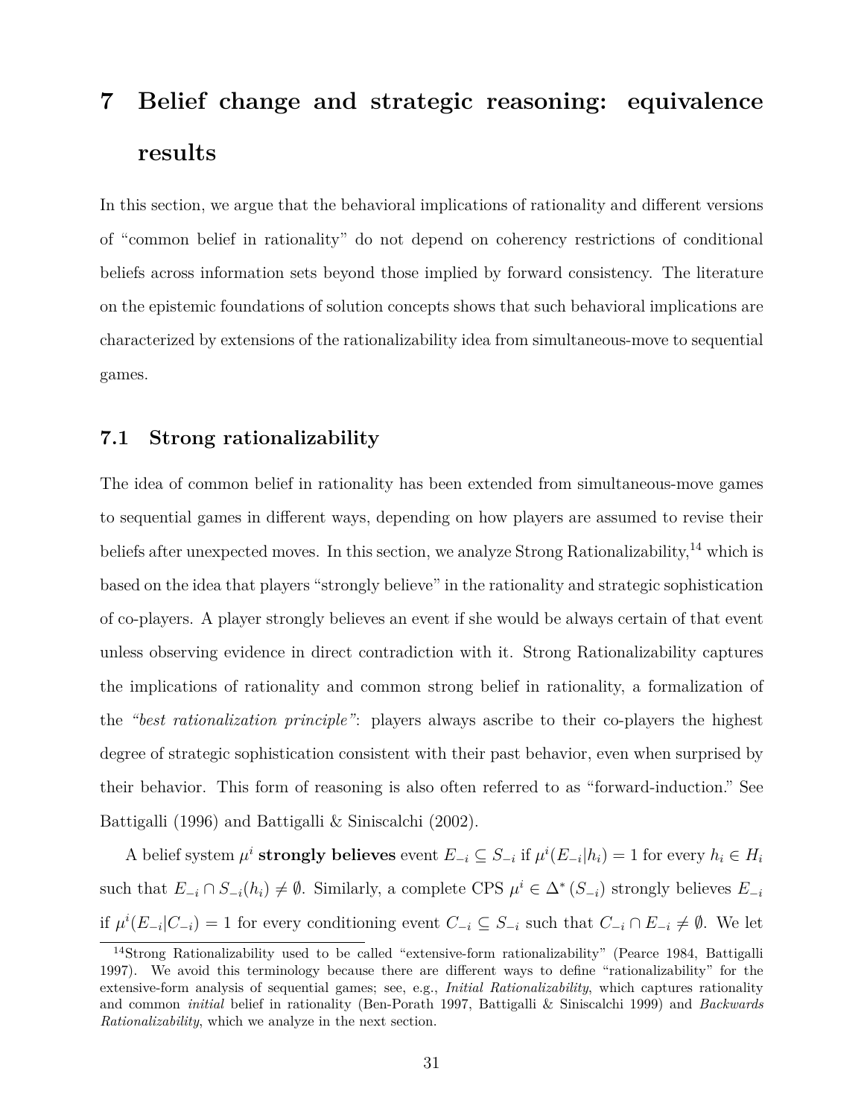## **7 Belief change and strategic reasoning: equivalence results**

In this section, we argue that the behavioral implications of rationality and different versions of "common belief in rationality" do not depend on coherency restrictions of conditional beliefs across information sets beyond those implied by forward consistency. The literature on the epistemic foundations of solution concepts shows that such behavioral implications are characterized by extensions of the rationalizability idea from simultaneous-move to sequential games.

#### **7.1 Strong rationalizability**

The idea of common belief in rationality has been extended from simultaneous-move games to sequential games in different ways, depending on how players are assumed to revise their beliefs after unexpected moves. In this section, we analyze Strong Rationalizability,<sup>14</sup> which is based on the idea that players "strongly believe" in the rationality and strategic sophistication of co-players. A player strongly believes an event if she would be always certain of that event unless observing evidence in direct contradiction with it. Strong Rationalizability captures the implications of rationality and common strong belief in rationality, a formalization of the *"best rationalization principle"*: players always ascribe to their co-players the highest degree of strategic sophistication consistent with their past behavior, even when surprised by their behavior. This form of reasoning is also often referred to as "forward-induction." See Battigalli (1996) and Battigalli & Siniscalchi (2002).

A belief system  $\mu^i$  strongly believes event  $E_{-i} \subseteq S_{-i}$  if  $\mu^i(E_{-i}|h_i) = 1$  for every  $h_i \in H_i$ such that  $E_{-i} \cap S_{-i}(h_i) \neq \emptyset$ . Similarly, a complete CPS  $\mu^i \in \Delta^* (S_{-i})$  strongly believes  $E_{-i}$ if  $\mu^{i}(E_{-i}|C_{-i}) = 1$  for every conditioning event  $C_{-i} \subseteq S_{-i}$  such that  $C_{-i} \cap E_{-i} \neq \emptyset$ . We let

<sup>14</sup>Strong Rationalizability used to be called "extensive-form rationalizability" (Pearce 1984, Battigalli 1997). We avoid this terminology because there are different ways to define "rationalizability" for the extensive-form analysis of sequential games; see, e.g., *Initial Rationalizability*, which captures rationality and common *initial* belief in rationality (Ben-Porath 1997, Battigalli & Siniscalchi 1999) and *Backwards Rationalizability*, which we analyze in the next section.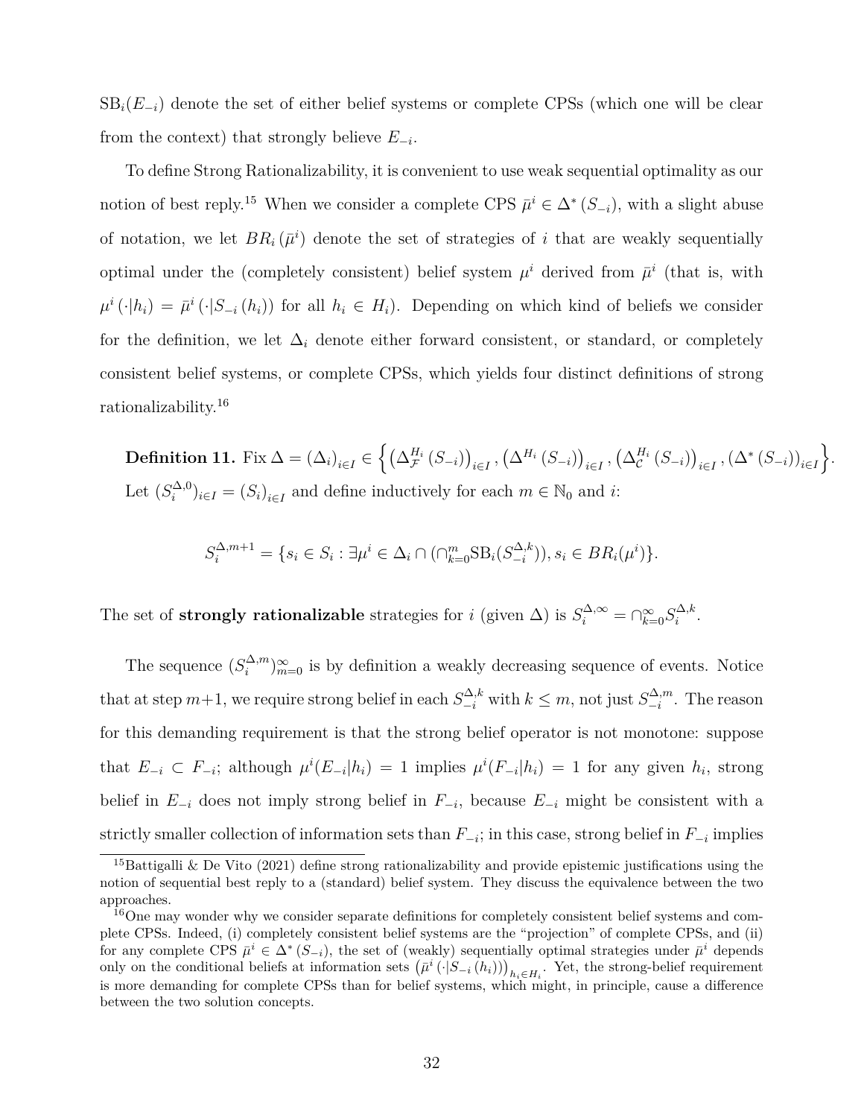$SB<sub>i</sub>(E<sub>-i</sub>)$  denote the set of either belief systems or complete CPSs (which one will be clear from the context) that strongly believe *E−<sup>i</sup>* .

To define Strong Rationalizability, it is convenient to use weak sequential optimality as our notion of best reply.<sup>15</sup> When we consider a complete CPS  $\bar{\mu}^i \in \Delta^* (S_{-i})$ , with a slight abuse of notation, we let  $BR_i(\bar{\mu}^i)$  denote the set of strategies of *i* that are weakly sequentially optimal under the (completely consistent) belief system  $\mu^i$  derived from  $\bar{\mu}^i$  (that is, with  $\mu^{i}(\cdot|h_{i}) = \bar{\mu}^{i}(\cdot|S_{-i}(h_{i}))$  for all  $h_{i} \in H_{i}$ ). Depending on which kind of beliefs we consider for the definition, we let  $\Delta_i$  denote either forward consistent, or standard, or completely consistent belief systems, or complete CPSs, which yields four distinct definitions of strong rationalizability.<sup>16</sup>

 $\textbf{Definition 11. Fix } \Delta=\left(\Delta_i\right)_{i\in I}\in \Big\{\left(\Delta_{\mathcal{F}}^{H_i}\left(S_{-i}\right)\right)_{i\in I}, \left(\Delta_{i}^{H_i}\left(S_{-i}\right)\right)_{i\in I}, \left(\Delta_{\mathcal{C}}^{H_i}\left(S_{-i}\right)\right)_{i\in I}, \left(\Delta^*\left(S_{-i}\right)\right)_{i\in I}\Big\}.$ Let  $(S_i^{\Delta,0})$  $\binom{\Delta,0}{i}$ <sub>*i*∈*I*</sub> =  $(S_i)$ <sub>*i*∈*I*</sub> and define inductively for each  $m \in \mathbb{N}_0$  and *i*:

$$
S_i^{\Delta, m+1} = \{ s_i \in S_i : \exists \mu^i \in \Delta_i \cap (\cap_{k=0}^m \text{SB}_i(S_{-i}^{\Delta, k})), s_i \in BR_i(\mu^i) \}.
$$

The set of **strongly rationalizable** strategies for *i* (given  $\Delta$ ) is  $S_i^{\Delta,\infty} = \bigcap_{k=0}^{\infty} S_i^{\Delta,k}$  $\frac{i}{i}^{\Delta,k}$ .

The sequence  $(S_i^{\Delta,m})$  $\binom{\Delta,m}{i}$   $\infty$  is by definition a weakly decreasing sequence of events. Notice that at step  $m+1$ , we require strong belief in each  $S_{-i}^{\Delta,k}$  with  $k \leq m$ , not just  $S_{-i}^{\Delta,m}$ *−i* . The reason for this demanding requirement is that the strong belief operator is not monotone: suppose that  $E_{-i} \subset F_{-i}$ ; although  $\mu^{i}(E_{-i}|h_i) = 1$  implies  $\mu^{i}(F_{-i}|h_i) = 1$  for any given  $h_i$ , strong belief in  $E_{-i}$  does not imply strong belief in  $F_{-i}$ , because  $E_{-i}$  might be consistent with a strictly smaller collection of information sets than  $F_{−i}$ ; in this case, strong belief in  $F_{−i}$  implies

<sup>&</sup>lt;sup>15</sup>Battigalli & De Vito (2021) define strong rationalizability and provide epistemic justifications using the notion of sequential best reply to a (standard) belief system. They discuss the equivalence between the two approaches.

<sup>16</sup>One may wonder why we consider separate definitions for completely consistent belief systems and complete CPSs. Indeed, (i) completely consistent belief systems are the "projection" of complete CPSs, and (ii) for any complete CPS  $\bar{\mu}^i \in \Delta^*$  ( $S_{-i}$ ), the set of (weakly) sequentially optimal strategies under  $\bar{\mu}^i$  depends only on the conditional beliefs at information sets  $(\bar{\mu}^i(\cdot|S_{-i}(h_i)))_{h_i \in H_i}$ . Yet, the strong-belief requirement is more demanding for complete CPSs than for belief systems, which might, in principle, cause a difference between the two solution concepts.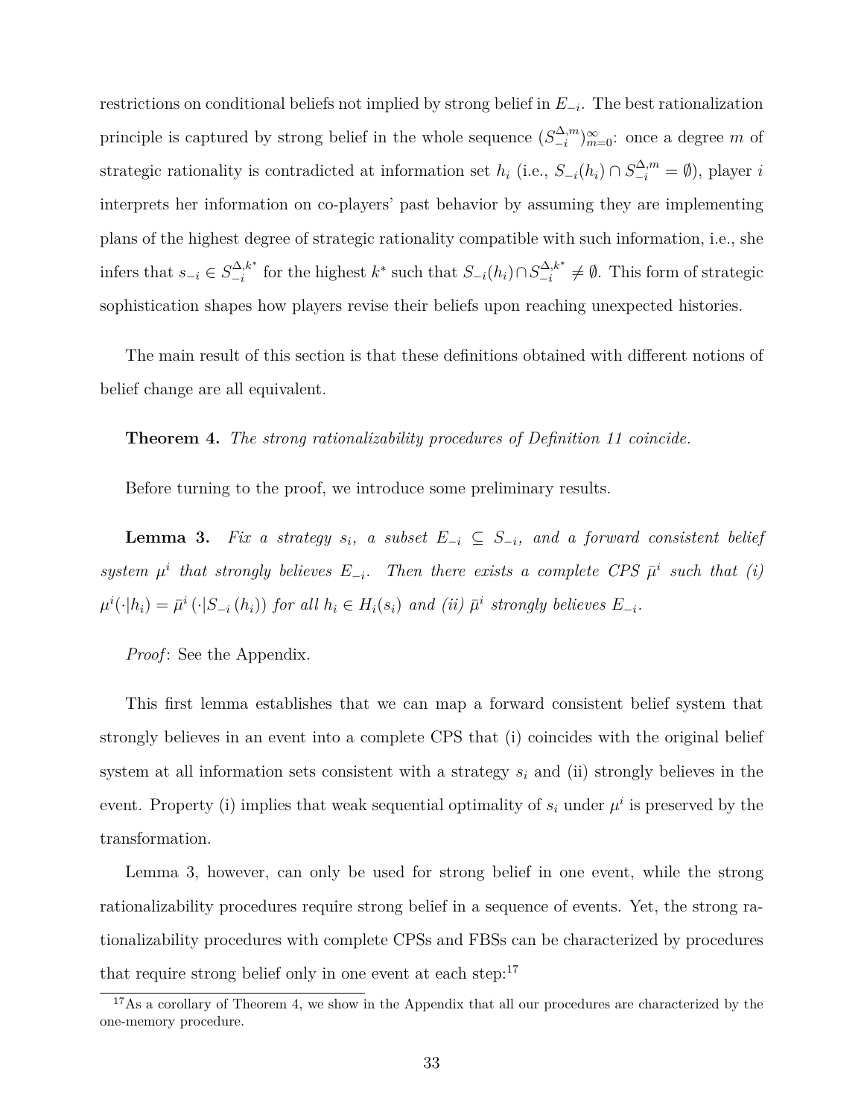restrictions on conditional beliefs not implied by strong belief in *E−<sup>i</sup>* . The best rationalization principle is captured by strong belief in the whole sequence  $(S_{-i}^{\Delta,m})$ *−i* ) *∞ <sup>m</sup>*=0: once a degree *m* of strategic rationality is contradicted at information set  $h_i$  (i.e.,  $S_{-i}(h_i) \cap S_{-i}^{\Delta,m} = \emptyset$ ), player *i* interprets her information on co-players' past behavior by assuming they are implementing plans of the highest degree of strategic rationality compatible with such information, i.e., she infers that  $s_{-i} \in S^{\Delta, k^*}_{-i}$  $\sum_{i=1}^{N} (h_i) \cap S_{-i}^{\Delta, k^*}$  for the highest  $k^*$  such that  $S_{-i}(h_i) \cap S_{-i}^{\Delta, k^*}$  $\frac{dA}{dt}$ ,  $\neq$  **Ø**. This form of strategic sophistication shapes how players revise their beliefs upon reaching unexpected histories.

The main result of this section is that these definitions obtained with different notions of belief change are all equivalent.

#### **Theorem 4.** *The strong rationalizability procedures of Definition 11 coincide.*

Before turning to the proof, we introduce some preliminary results.

**Lemma 3.** *Fix a strategy*  $s_i$ , a subset  $E_{-i} \subseteq S_{-i}$ , and a forward consistent belief *system*  $\mu^i$  that strongly believes  $E_{-i}$ . Then there exists a complete CPS  $\bar{\mu}^i$  such that (i)  $\mu^i(\cdot|h_i) = \bar{\mu}^i(\cdot|S_{-i}(h_i))$  for all  $h_i \in H_i(s_i)$  and (ii)  $\bar{\mu}^i$  strongly believes  $E_{-i}$ .

*Proof*: See the Appendix.

This first lemma establishes that we can map a forward consistent belief system that strongly believes in an event into a complete CPS that (i) coincides with the original belief system at all information sets consistent with a strategy *s<sup>i</sup>* and (ii) strongly believes in the event. Property (i) implies that weak sequential optimality of  $s_i$  under  $\mu^i$  is preserved by the transformation.

Lemma 3, however, can only be used for strong belief in one event, while the strong rationalizability procedures require strong belief in a sequence of events. Yet, the strong rationalizability procedures with complete CPSs and FBSs can be characterized by procedures that require strong belief only in one event at each step: $17$ 

<sup>&</sup>lt;sup>17</sup>As a corollary of Theorem 4, we show in the Appendix that all our procedures are characterized by the one-memory procedure.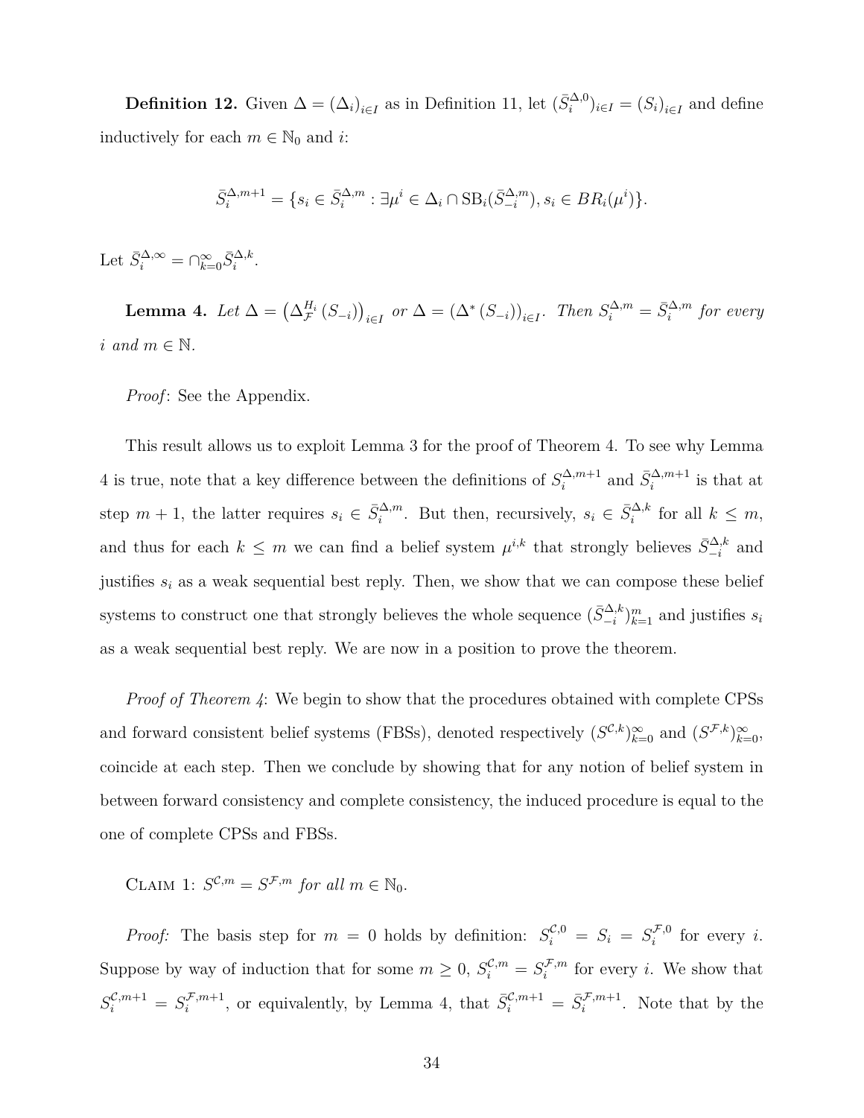**Definition 12.** Given  $\Delta = (\Delta_i)_{i \in I}$  as in Definition 11, let  $(\bar{S}_i^{\Delta,0})_{i \in I} = (S_i)_{i \in I}$  and define inductively for each  $m \in \mathbb{N}_0$  and *i*:

$$
\bar{S}_i^{\Delta, m+1} = \{ s_i \in \bar{S}_i^{\Delta, m} : \exists \mu^i \in \Delta_i \cap \text{SB}_i(\bar{S}_{-i}^{\Delta, m}), s_i \in BR_i(\mu^i) \}.
$$

Let  $\bar{S}_i^{\Delta,\infty} = \bigcap_{k=0}^{\infty} \bar{S}_i^{\Delta,k}.$ 

**Lemma 4.** Let  $\Delta = (\Delta_{\mathcal{F}}^{H_i}(S_{-i}))_{i \in I}$  or  $\Delta = (\Delta^*(S_{-i}))_{i \in I}$ . Then  $S_i^{\Delta,m} = \bar{S}_i^{\Delta,m}$  for every  $i$  and  $m \in \mathbb{N}$ .

*Proof*: See the Appendix.

This result allows us to exploit Lemma 3 for the proof of Theorem 4. To see why Lemma 4 is true, note that a key difference between the definitions of  $S_i^{\Delta,m+1}$  $\bar{S}_i^{\Delta, m+1}$  and  $\bar{S}_i^{\Delta, m+1}$  is that at step  $m + 1$ , the latter requires  $s_i \in \bar{S}_i^{\Delta,m}$ . But then, recursively,  $s_i \in \bar{S}_i^{\Delta,k}$  for all  $k \leq m$ , and thus for each  $k \leq m$  we can find a belief system  $\mu^{i,k}$  that strongly believes  $\bar{S}_{-i}^{\Delta,k}$  and justifies  $s_i$  as a weak sequential best reply. Then, we show that we can compose these belief systems to construct one that strongly believes the whole sequence  $(\bar{S}_{-i}^{\Delta,k})_{k=1}^m$  and justifies  $s_i$ as a weak sequential best reply. We are now in a position to prove the theorem.

*Proof of Theorem 4*: We begin to show that the procedures obtained with complete CPSs and forward consistent belief systems (FBSs), denoted respectively  $(S^{\mathcal{C},k})_{k=0}^{\infty}$  and  $(S^{\mathcal{F},k})_{k=0}^{\infty}$ , coincide at each step. Then we conclude by showing that for any notion of belief system in between forward consistency and complete consistency, the induced procedure is equal to the one of complete CPSs and FBSs.

CLAIM 1:  $S^{\mathcal{C},m} = S^{\mathcal{F},m}$  *for all*  $m \in \mathbb{N}_0$ .

*Proof:* The basis step for  $m = 0$  holds by definition:  $S_i^{\mathcal{C},0} = S_i = S_i^{\mathcal{F},0}$  $i^{f,0}$  for every *i*. Suppose by way of induction that for some  $m \geq 0$ ,  $S_i^{\mathcal{C},m} = S_i^{\mathcal{F},m}$  $i^{f,m}$  for every *i*. We show that  $S_i^{\mathcal{C},m+1} = S_i^{\mathcal{F},m+1}$  $\bar{S}^{\mathcal{F},m+1}_{i}$ , or equivalently, by Lemma 4, that  $\bar{S}^{\mathcal{C},m+1}_{i} = \bar{S}^{\mathcal{F},m+1}_{i}$ . Note that by the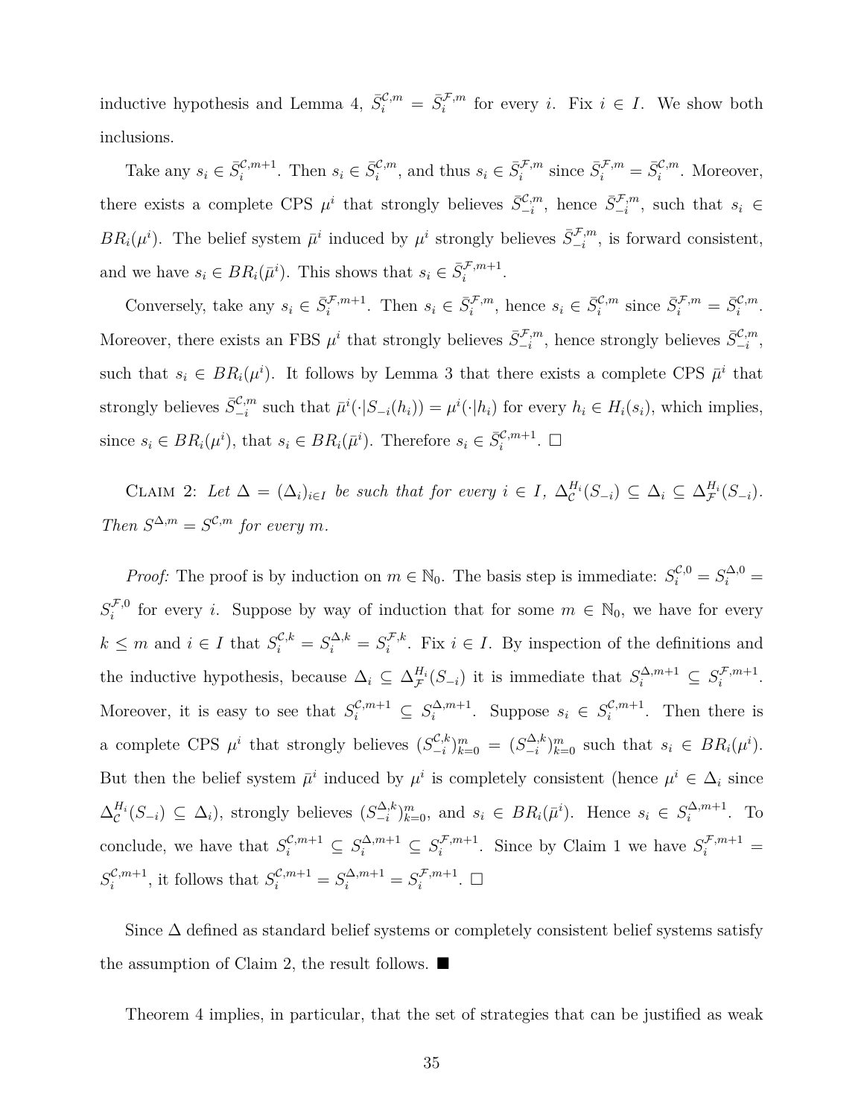inductive hypothesis and Lemma 4,  $\bar{S}^{\mathcal{C},m}_{i} = \bar{S}^{\mathcal{F},m}_{i}$  for every *i*. Fix  $i \in I$ . We show both inclusions.

Take any  $s_i \in \bar{S}_i^{\mathcal{C},m+1}$ . Then  $s_i \in \bar{S}_i^{\mathcal{C},m}$ , and thus  $s_i \in \bar{S}_i^{\mathcal{F},m}$  since  $\bar{S}_i^{\mathcal{F},m} = \bar{S}_i^{\mathcal{C},m}$ . Moreover, there exists a complete CPS  $\mu^i$  that strongly believes  $\bar{S}_{-i}^{\mathcal{C},m}$ , hence  $\bar{S}_{-i}^{\mathcal{F},m}$ , such that  $s_i \in$ *BR*<sub>*i*</sub>( $\mu$ <sup>*i*</sup>). The belief system  $\bar{\mu}$ <sup>*i*</sup> induced by  $\mu$ <sup>*i*</sup> strongly believes  $\bar{S}_{-i}^{\mathcal{F},m}$ , is forward consistent, and we have  $s_i \in BR_i(\bar{\mu}^i)$ . This shows that  $s_i \in \bar{S}_i^{\mathcal{F},m+1}$ .

Conversely, take any  $s_i \in \bar{S}_i^{\mathcal{F},m+1}$ . Then  $s_i \in \bar{S}_i^{\mathcal{F},m}$ , hence  $s_i \in \bar{S}_i^{\mathcal{C},m}$  since  $\bar{S}_i^{\mathcal{F},m} = \bar{S}_i^{\mathcal{C},m}$ . Moreover, there exists an FBS  $\mu^i$  that strongly believes  $\bar{S}_{-i}^{\mathcal{F},m}$ , hence strongly believes  $\bar{S}_{-i}^{\mathcal{C},m}$ , such that  $s_i \in BR_i(\mu^i)$ . It follows by Lemma 3 that there exists a complete CPS  $\bar{\mu}^i$  that strongly believes  $\bar{S}_{-i}^{\mathcal{C},m}$  such that  $\bar{\mu}^i(\cdot|S_{-i}(h_i)) = \mu^i(\cdot|h_i)$  for every  $h_i \in H_i(s_i)$ , which implies, since  $s_i \in BR_i(\mu^i)$ , that  $s_i \in BR_i(\bar{\mu}^i)$ . Therefore  $s_i \in \bar{S}_i^{\mathcal{C},m+1}$ .  $\Box$ 

CLAIM 2: Let  $\Delta = (\Delta_i)_{i \in I}$  be such that for every  $i \in I$ ,  $\Delta_{\mathcal{C}}^{H_i}(S_{-i}) \subseteq \Delta_i \subseteq \Delta_{\mathcal{F}}^{H_i}(S_{-i})$ . *Then*  $S^{\Delta,m} = S^{\mathcal{C},m}$  *for every m*.

*Proof:* The proof is by induction on  $m \in \mathbb{N}_0$ . The basis step is immediate:  $S_i^{\mathcal{C},0} = S_i^{\Delta,0} =$  $S_i^{\mathcal{F},0}$ <sup> $f,0$ </sup> for every *i*. Suppose by way of induction that for some  $m \in \mathbb{N}_0$ , we have for every  $k \leq m$  and  $i \in I$  that  $S_i^{\mathcal{C},k} = S_i^{\Delta,k} = S_i^{\mathcal{F},k}$  $i^{\mathcal{F},k}$ . Fix *i* ∈ *I*. By inspection of the definitions and the inductive hypothesis, because  $\Delta_i \subseteq \Delta_{\mathcal{F}}^{H_i}(S_{-i})$  it is immediate that  $S_i^{\Delta, m+1} \subseteq S_i^{\mathcal{F}, m+1}$  $i^{f,m+1}$ . Moreover, it is easy to see that  $S_i^{\mathcal{C},m+1} \subseteq S_i^{\Delta,m+1}$  $\sum_{i}^{n} m+1$ . Suppose  $s_i \in S_i^{\mathcal{C},m+1}$  $i^{c,m+1}$ . Then there is a complete CPS  $\mu^i$  that strongly believes  $(S_{-i}^{\mathcal{C},k})$  $\binom{C,k}{-i}$ <sup>*m*</sup><sub>*k*=0</sub> =  $(S_{-i}^{\Delta,k})$  $\sum_{i=1}^{N} m \choose k}$  such that  $s_i \in BR_i(\mu^i)$ . But then the belief system  $\bar{\mu}^i$  induced by  $\mu^i$  is completely consistent (hence  $\mu^i \in \Delta_i$  since  $\Delta_c^{H_i}(S_{-i})$  ⊆  $\Delta_i$ ), strongly believes  $(S_{-i}^{\Delta,k})$  $\sum_{i=1}^{\infty}$ ,  $\sum_{i=1}^{m}$  and  $s_i \in BR_i(\bar{\mu}^i)$ . Hence  $s_i \in S_i^{\Delta, m+1}$  $i^{\Delta,m+1}$ . To conclude, we have that  $S_i^{\mathcal{C},m+1} \subseteq S_i^{\Delta,m+1} \subseteq S_i^{\mathcal{F},m+1}$  $S_i^{\mathcal{F},m+1}$ . Since by Claim 1 we have  $S_i^{\mathcal{F},m+1}$  =  $S_i^{\mathcal{C},m+1}$  $S_i^{C,m+1}$ , it follows that  $S_i^{C,m+1} = S_i^{\Delta,m+1} = S_i^{\mathcal{F},m+1}$  $i^{f,m+1}$ .  $\Box$ 

Since  $\Delta$  defined as standard belief systems or completely consistent belief systems satisfy the assumption of Claim 2, the result follows. ■

Theorem 4 implies, in particular, that the set of strategies that can be justified as weak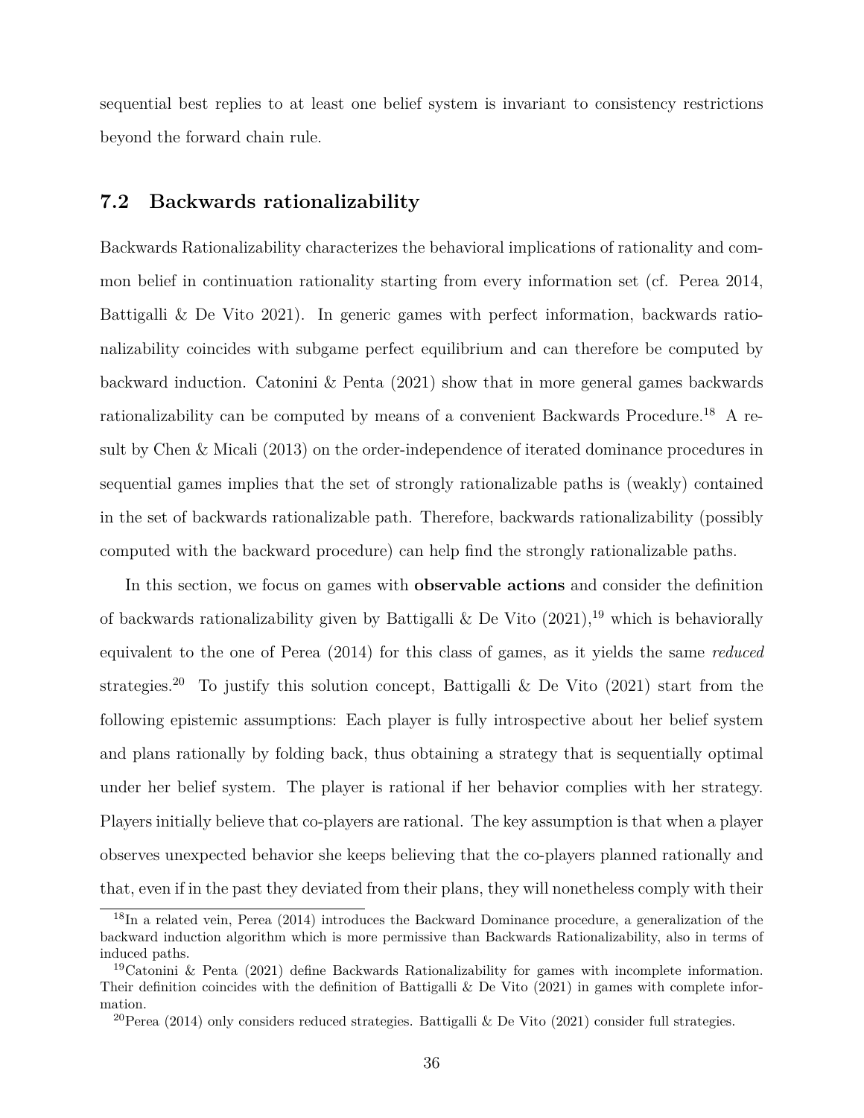sequential best replies to at least one belief system is invariant to consistency restrictions beyond the forward chain rule.

#### **7.2 Backwards rationalizability**

Backwards Rationalizability characterizes the behavioral implications of rationality and common belief in continuation rationality starting from every information set (cf. Perea 2014, Battigalli & De Vito 2021). In generic games with perfect information, backwards rationalizability coincides with subgame perfect equilibrium and can therefore be computed by backward induction. Catonini & Penta (2021) show that in more general games backwards rationalizability can be computed by means of a convenient Backwards Procedure.<sup>18</sup> A result by Chen & Micali (2013) on the order-independence of iterated dominance procedures in sequential games implies that the set of strongly rationalizable paths is (weakly) contained in the set of backwards rationalizable path. Therefore, backwards rationalizability (possibly computed with the backward procedure) can help find the strongly rationalizable paths.

In this section, we focus on games with **observable actions** and consider the definition of backwards rationalizability given by Battigalli & De Vito  $(2021)$ ,<sup>19</sup> which is behaviorally equivalent to the one of Perea (2014) for this class of games, as it yields the same *reduced* strategies.<sup>20</sup> To justify this solution concept, Battigalli & De Vito  $(2021)$  start from the following epistemic assumptions: Each player is fully introspective about her belief system and plans rationally by folding back, thus obtaining a strategy that is sequentially optimal under her belief system. The player is rational if her behavior complies with her strategy. Players initially believe that co-players are rational. The key assumption is that when a player observes unexpected behavior she keeps believing that the co-players planned rationally and that, even if in the past they deviated from their plans, they will nonetheless comply with their

<sup>18</sup>In a related vein, Perea (2014) introduces the Backward Dominance procedure, a generalization of the backward induction algorithm which is more permissive than Backwards Rationalizability, also in terms of induced paths.

<sup>&</sup>lt;sup>19</sup>Catonini & Penta (2021) define Backwards Rationalizability for games with incomplete information. Their definition coincides with the definition of Battigalli & De Vito (2021) in games with complete information.

<sup>&</sup>lt;sup>20</sup>Perea (2014) only considers reduced strategies. Battigalli & De Vito (2021) consider full strategies.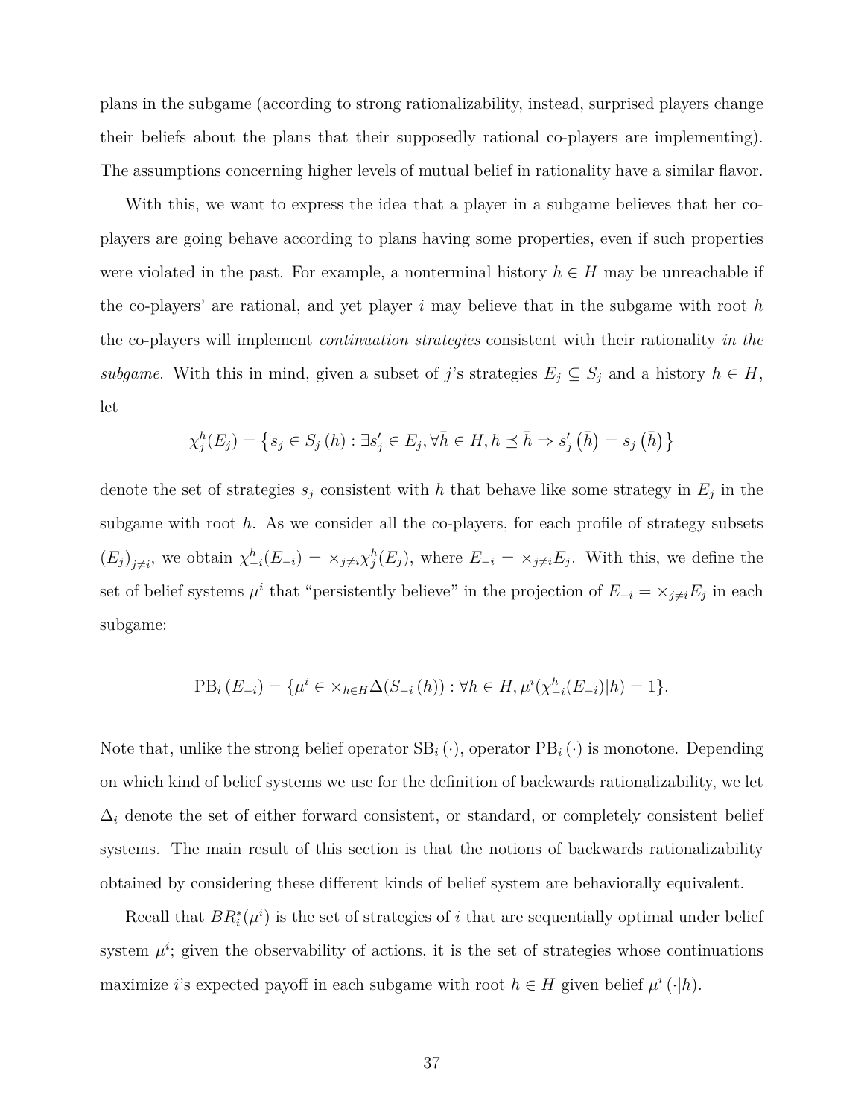plans in the subgame (according to strong rationalizability, instead, surprised players change their beliefs about the plans that their supposedly rational co-players are implementing). The assumptions concerning higher levels of mutual belief in rationality have a similar flavor.

With this, we want to express the idea that a player in a subgame believes that her coplayers are going behave according to plans having some properties, even if such properties were violated in the past. For example, a nonterminal history  $h \in H$  may be unreachable if the co-players' are rational, and yet player *i* may believe that in the subgame with root *h* the co-players will implement *continuation strategies* consistent with their rationality *in the subgame*. With this in mind, given a subset of *j*'s strategies  $E_j \subseteq S_j$  and a history  $h \in H$ , let

$$
\chi_j^h(E_j) = \left\{ s_j \in S_j\left( h \right) : \exists s'_j \in E_j, \forall \bar{h} \in H, h \preceq \bar{h} \Rightarrow s'_j\left( \bar{h} \right) = s_j\left( \bar{h} \right) \right\}
$$

denote the set of strategies  $s_j$  consistent with h that behave like some strategy in  $E_j$  in the subgame with root *h*. As we consider all the co-players, for each profile of strategy subsets  $(E_j)_{j\neq i}$ , we obtain  $\chi^h_{-i}(E_{-i}) = \chi_{j\neq i}\chi^h_j(E_j)$ , where  $E_{-i} = \chi_{j\neq i}E_j$ . With this, we define the set of belief systems  $\mu^i$  that "persistently believe" in the projection of  $E_{-i} = \times_{j \neq i} E_j$  in each subgame:

$$
PB_i(E_{-i}) = \{ \mu^i \in \times_{h \in H} \Delta(S_{-i}(h)) : \forall h \in H, \mu^i(\chi^h_{-i}(E_{-i}) | h) = 1 \}.
$$

Note that, unlike the strong belief operator  $SB_i(\cdot)$ , operator  $PB_i(\cdot)$  is monotone. Depending on which kind of belief systems we use for the definition of backwards rationalizability, we let  $\Delta_i$  denote the set of either forward consistent, or standard, or completely consistent belief systems. The main result of this section is that the notions of backwards rationalizability obtained by considering these different kinds of belief system are behaviorally equivalent.

Recall that  $BR_i^*(\mu^i)$  is the set of strategies of *i* that are sequentially optimal under belief system  $\mu^i$ ; given the observability of actions, it is the set of strategies whose continuations maximize *i*'s expected payoff in each subgame with root  $h \in H$  given belief  $\mu^i(\cdot|h)$ .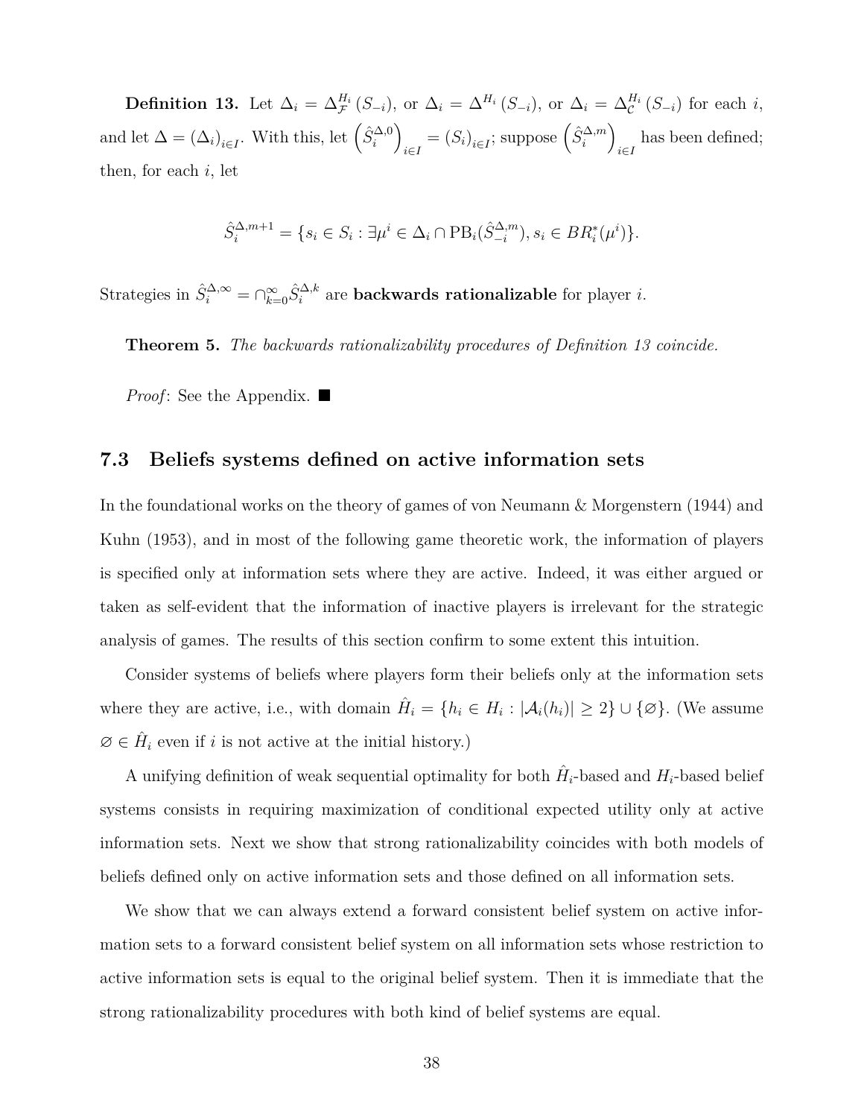**Definition 13.** Let  $\Delta_i = \Delta_{\mathcal{F}}^{H_i}(S_{-i})$ , or  $\Delta_i = \Delta_{i}^{H_i}(S_{-i})$ , or  $\Delta_i = \Delta_{\mathcal{C}}^{H_i}(S_{-i})$  for each i, and let  $\Delta = (\Delta_i)_{i \in I}$ . With this, let  $(\hat{S}_i^{\Delta,0})$  $\binom{\hat{S}^{\Delta,m}}{i \in I}$  suppose  $\left(\hat{S}^{\Delta,m}_i\right)$  $\sum_{i \in I}$  has been defined; then, for each *i*, let

$$
\hat{S}_i^{\Delta, m+1} = \{ s_i \in S_i : \exists \mu^i \in \Delta_i \cap \text{PB}_i(\hat{S}_{-i}^{\Delta, m}), s_i \in BR_i^*(\mu^i) \}.
$$

Strategies in  $\hat{S}_i^{\Delta,\infty} = \bigcap_{k=0}^{\infty} \hat{S}_i^{\Delta,k}$  are **backwards rationalizable** for player *i*.

**Theorem 5.** *The backwards rationalizability procedures of Definition 13 coincide.*

*Proof*: See the Appendix. ■

#### **7.3 Beliefs systems defined on active information sets**

In the foundational works on the theory of games of von Neumann & Morgenstern (1944) and Kuhn (1953), and in most of the following game theoretic work, the information of players is specified only at information sets where they are active. Indeed, it was either argued or taken as self-evident that the information of inactive players is irrelevant for the strategic analysis of games. The results of this section confirm to some extent this intuition.

Consider systems of beliefs where players form their beliefs only at the information sets where they are active, i.e., with domain  $\hat{H}_i = \{h_i \in H_i : |\mathcal{A}_i(h_i)| \geq 2\} \cup \{\emptyset\}$ . (We assume  $\emptyset \in \hat{H}_i$  even if *i* is not active at the initial history.)

A unifying definition of weak sequential optimality for both  $\hat{H}_i$ -based and  $H_i$ -based belief systems consists in requiring maximization of conditional expected utility only at active information sets. Next we show that strong rationalizability coincides with both models of beliefs defined only on active information sets and those defined on all information sets.

We show that we can always extend a forward consistent belief system on active information sets to a forward consistent belief system on all information sets whose restriction to active information sets is equal to the original belief system. Then it is immediate that the strong rationalizability procedures with both kind of belief systems are equal.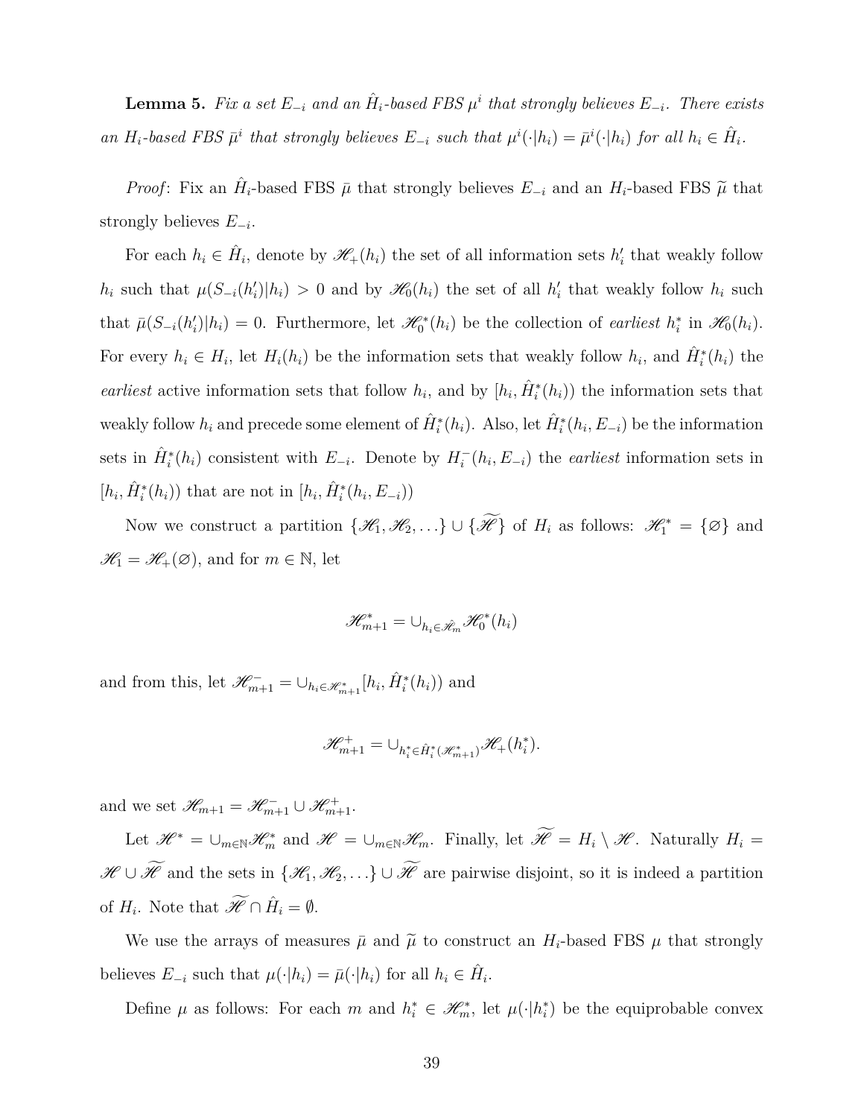**Lemma 5.** Fix a set  $E_{-i}$  and an  $\hat{H}_i$ -based FBS  $\mu^i$  that strongly believes  $E_{-i}$ *. There exists* an  $H_i$ -based FBS  $\bar{\mu}^i$  that strongly believes  $E_{-i}$  such that  $\mu^i(\cdot|h_i) = \bar{\mu}^i(\cdot|h_i)$  for all  $h_i \in \hat{H}_i$ .

*Proof*: Fix an  $\hat{H}_i$ -based FBS  $\bar{\mu}$  that strongly believes  $E_{-i}$  and an  $H_i$ -based FBS  $\tilde{\mu}$  that strongly believes *E−<sup>i</sup>* .

For each  $h_i \in \hat{H}_i$ , denote by  $\mathscr{H}_+(h_i)$  the set of all information sets  $h'_i$  that weakly follow  $h_i$  such that  $\mu(S_{-i}(h'_i)|h_i) > 0$  and by  $\mathscr{H}_0(h_i)$  the set of all  $h'_i$  that weakly follow  $h_i$  such that  $\bar{\mu}(S_{-i}(h'_i)|h_i) = 0$ . Furthermore, let  $\mathcal{H}_0^*(h_i)$  be the collection of earliest  $h_i^*$  in  $\mathcal{H}_0(h_i)$ . For every  $h_i \in H_i$ , let  $H_i(h_i)$  be the information sets that weakly follow  $h_i$ , and  $\hat{H}_i^*(h_i)$  the *earliest* active information sets that follow  $h_i$ , and by  $[h_i, \hat{H}_i^*(h_i))$  the information sets that weakly follow  $h_i$  and precede some element of  $\hat{H}_i^*(h_i)$ . Also, let  $\hat{H}_i^*(h_i, E_{-i})$  be the information sets in  $\hat{H}^*_i(h_i)$  consistent with  $E_{-i}$ . Denote by  $H^-_i(h_i, E_{-i})$  the *earliest* information sets in  $[h_i, \hat{H}_i^*(h_i))$  that are not in  $[h_i, \hat{H}_i^*(h_i, E_{-i}))$ 

Now we construct a partition  $\{\mathcal{H}_1, \mathcal{H}_2, ...\} \cup \{\mathcal{H}\}\$  of  $H_i$  as follows:  $\mathcal{H}_1^* = \{\emptyset\}$  and  $\mathscr{H}_1 = \mathscr{H}_+(\varnothing)$ , and for  $m \in \mathbb{N}$ , let

$$
\mathscr{H}_{m+1}^*=\cup_{h_i\in\hat{\mathscr{H}}_m}\mathscr{H}^*_0(h_i)
$$

and from this, let  $\mathscr{H}_{m+1}^- = \cup_{h_i \in \mathscr{H}_{m+1}^*} [h_i, \hat{H}_i^*(h_i))$  and

$$
\mathscr{H}^+_{m+1}=\cup_{h^*_i\in\hat{H}^*_i(\mathscr{H}^*_{m+1})}\mathscr{H}_+(h^*_i).
$$

and we set  $\mathscr{H}_{m+1} = \mathscr{H}_{m+1}^- \cup \mathscr{H}_{m+1}^+$ .

Let  $\mathscr{H}^* = \bigcup_{m \in \mathbb{N}} \mathscr{H}_m^*$  and  $\mathscr{H} = \bigcup_{m \in \mathbb{N}} \mathscr{H}_m$ . Finally, let  $\mathscr{H} = H_i \setminus \mathscr{H}$ . Naturally  $H_i =$  $\mathscr{H} \cup \widetilde{\mathscr{H}}$  and the sets in  $\{\mathscr{H}_1, \mathscr{H}_2, \ldots\} \cup \widetilde{\mathscr{H}}$  are pairwise disjoint, so it is indeed a partition of  $H_i$ . Note that  $\widetilde{\mathscr{H}} \cap \hat{H}_i = \emptyset$ .

We use the arrays of measures  $\bar{\mu}$  and  $\tilde{\mu}$  to construct an  $H_i$ -based FBS  $\mu$  that strongly believes  $E_{-i}$  such that  $\mu(\cdot|h_i) = \bar{\mu}(\cdot|h_i)$  for all  $h_i \in \hat{H}_i$ .

Define  $\mu$  as follows: For each  $m$  and  $h_i^* \in \mathcal{H}_m^*$ , let  $\mu(\cdot|h_i^*)$  be the equiprobable convex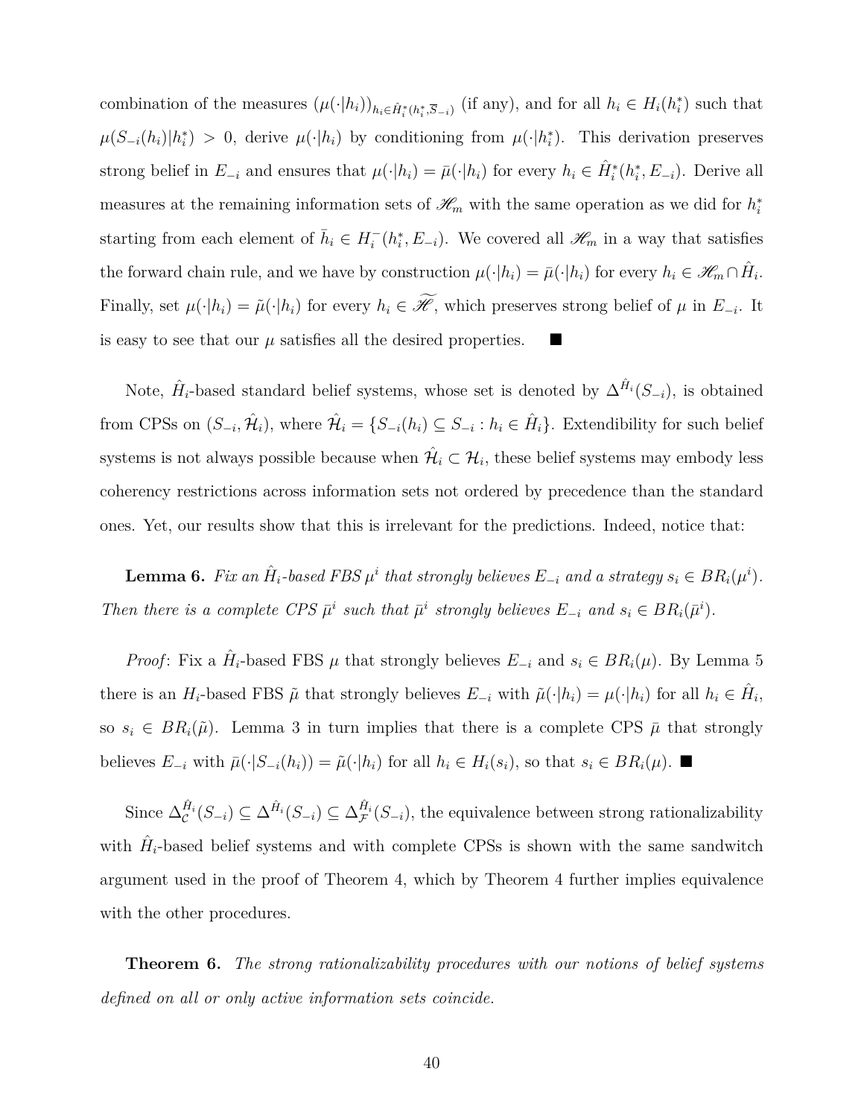combination of the measures  $(\mu(\cdot|h_i))_{h_i \in \hat{H}_i^*(h_i^*, \overline{S}_{-i})}$  (if any), and for all  $h_i \in H_i(h_i^*)$  such that  $\mu(S_{-i}(h_i)|h_i^*)$  > 0, derive  $\mu(\cdot|h_i)$  by conditioning from  $\mu(\cdot|h_i^*)$ . This derivation preserves strong belief in  $E_{-i}$  and ensures that  $\mu(\cdot|h_i) = \bar{\mu}(\cdot|h_i)$  for every  $h_i \in \hat{H}_i^*(h_i^*, E_{-i})$ . Derive all measures at the remaining information sets of  $\mathcal{H}_m$  with the same operation as we did for  $h_i^*$ starting from each element of  $\bar{h}_i \in H_i^-(h_i^*, E_{-i})$ . We covered all  $\mathscr{H}_m$  in a way that satisfies the forward chain rule, and we have by construction  $\mu(\cdot|h_i) = \bar{\mu}(\cdot|h_i)$  for every  $h_i \in \mathscr{H}_m \cap \hat{H}_i$ . Finally, set  $\mu(\cdot|h_i) = \tilde{\mu}(\cdot|h_i)$  for every  $h_i \in \mathcal{H}$ , which preserves strong belief of  $\mu$  in  $E_{-i}$ . It is easy to see that our  $\mu$  satisfies all the desired properties.

Note,  $\hat{H}_i$ -based standard belief systems, whose set is denoted by  $\Delta^{\hat{H}_i}(S_{-i})$ , is obtained from CPSs on  $(S_{-i}, \hat{\mathcal{H}}_i)$ , where  $\hat{\mathcal{H}}_i = \{S_{-i}(h_i) \subseteq S_{-i} : h_i \in \hat{H}_i\}$ . Extendibility for such belief systems is not always possible because when  $\hat{\mathcal{H}}_i \subset \mathcal{H}_i$ , these belief systems may embody less coherency restrictions across information sets not ordered by precedence than the standard ones. Yet, our results show that this is irrelevant for the predictions. Indeed, notice that:

**Lemma 6.** Fix an  $\hat{H}_i$ -based FBS  $\mu^i$  that strongly believes  $E_{-i}$  and a strategy  $s_i \in BR_i(\mu^i)$ . *Then there is a complete CPS*  $\bar{\mu}^i$  *such that*  $\bar{\mu}^i$  *strongly believes*  $E_{-i}$  *and*  $s_i \in BR_i(\bar{\mu}^i)$ *.* 

*Proof*: Fix a  $\hat{H}_i$ -based FBS  $\mu$  that strongly believes  $E_{-i}$  and  $s_i \in BR_i(\mu)$ . By Lemma 5 there is an  $H_i$ -based FBS  $\tilde{\mu}$  that strongly believes  $E_{-i}$  with  $\tilde{\mu}(\cdot|h_i) = \mu(\cdot|h_i)$  for all  $h_i \in \hat{H}_i$ , so  $s_i \in BR_i(\tilde{\mu})$ . Lemma 3 in turn implies that there is a complete CPS  $\bar{\mu}$  that strongly believes  $E_{-i}$  with  $\bar{\mu}(\cdot|S_{-i}(h_i)) = \tilde{\mu}(\cdot|h_i)$  for all  $h_i \in H_i(s_i)$ , so that  $s_i \in BR_i(\mu)$ .

Since  $\Delta_{\mathcal{C}}^{\hat{H}_i}(S_{-i}) \subseteq \Delta^{\hat{H}_i}(S_{-i}) \subseteq \Delta_{\mathcal{F}}^{\hat{H}_i}(S_{-i}),$  the equivalence between strong rationalizability with  $\hat{H}_i$ -based belief systems and with complete CPSs is shown with the same sandwitch argument used in the proof of Theorem 4, which by Theorem 4 further implies equivalence with the other procedures.

**Theorem 6.** *The strong rationalizability procedures with our notions of belief systems defined on all or only active information sets coincide.*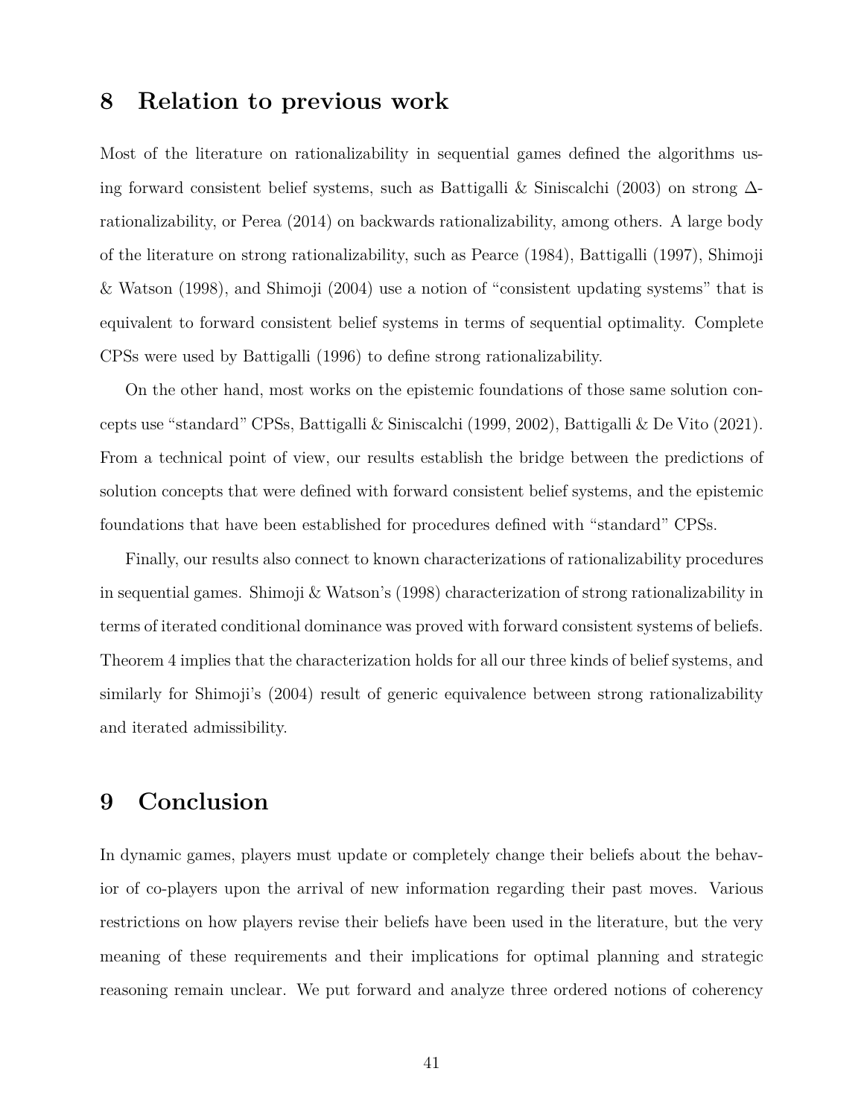### **8 Relation to previous work**

Most of the literature on rationalizability in sequential games defined the algorithms using forward consistent belief systems, such as Battigalli & Siniscalchi (2003) on strong ∆ rationalizability, or Perea (2014) on backwards rationalizability, among others. A large body of the literature on strong rationalizability, such as Pearce (1984), Battigalli (1997), Shimoji & Watson (1998), and Shimoji (2004) use a notion of "consistent updating systems" that is equivalent to forward consistent belief systems in terms of sequential optimality. Complete CPSs were used by Battigalli (1996) to define strong rationalizability.

On the other hand, most works on the epistemic foundations of those same solution concepts use "standard" CPSs, Battigalli & Siniscalchi (1999, 2002), Battigalli & De Vito (2021). From a technical point of view, our results establish the bridge between the predictions of solution concepts that were defined with forward consistent belief systems, and the epistemic foundations that have been established for procedures defined with "standard" CPSs.

Finally, our results also connect to known characterizations of rationalizability procedures in sequential games. Shimoji & Watson's (1998) characterization of strong rationalizability in terms of iterated conditional dominance was proved with forward consistent systems of beliefs. Theorem 4 implies that the characterization holds for all our three kinds of belief systems, and similarly for Shimoji's (2004) result of generic equivalence between strong rationalizability and iterated admissibility.

## **9 Conclusion**

In dynamic games, players must update or completely change their beliefs about the behavior of co-players upon the arrival of new information regarding their past moves. Various restrictions on how players revise their beliefs have been used in the literature, but the very meaning of these requirements and their implications for optimal planning and strategic reasoning remain unclear. We put forward and analyze three ordered notions of coherency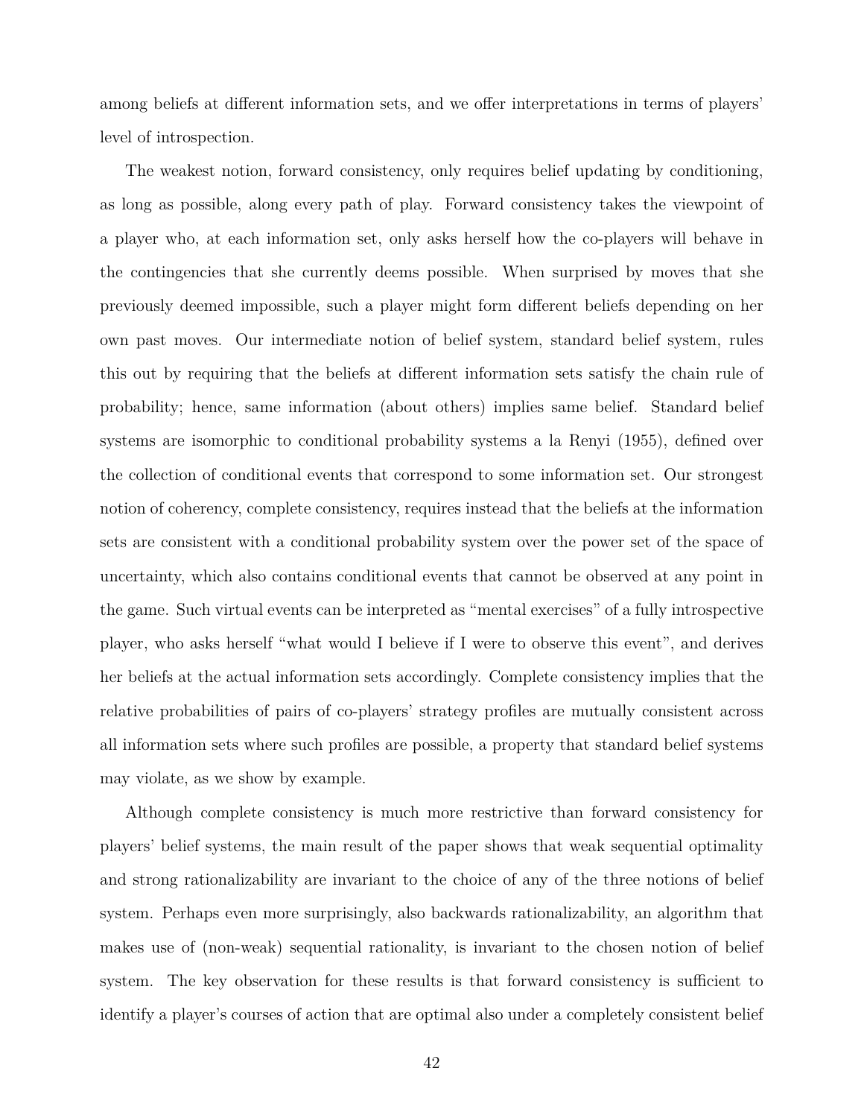among beliefs at different information sets, and we offer interpretations in terms of players' level of introspection.

The weakest notion, forward consistency, only requires belief updating by conditioning, as long as possible, along every path of play. Forward consistency takes the viewpoint of a player who, at each information set, only asks herself how the co-players will behave in the contingencies that she currently deems possible. When surprised by moves that she previously deemed impossible, such a player might form different beliefs depending on her own past moves. Our intermediate notion of belief system, standard belief system, rules this out by requiring that the beliefs at different information sets satisfy the chain rule of probability; hence, same information (about others) implies same belief. Standard belief systems are isomorphic to conditional probability systems a la Renyi (1955), defined over the collection of conditional events that correspond to some information set. Our strongest notion of coherency, complete consistency, requires instead that the beliefs at the information sets are consistent with a conditional probability system over the power set of the space of uncertainty, which also contains conditional events that cannot be observed at any point in the game. Such virtual events can be interpreted as "mental exercises" of a fully introspective player, who asks herself "what would I believe if I were to observe this event", and derives her beliefs at the actual information sets accordingly. Complete consistency implies that the relative probabilities of pairs of co-players' strategy profiles are mutually consistent across all information sets where such profiles are possible, a property that standard belief systems may violate, as we show by example.

Although complete consistency is much more restrictive than forward consistency for players' belief systems, the main result of the paper shows that weak sequential optimality and strong rationalizability are invariant to the choice of any of the three notions of belief system. Perhaps even more surprisingly, also backwards rationalizability, an algorithm that makes use of (non-weak) sequential rationality, is invariant to the chosen notion of belief system. The key observation for these results is that forward consistency is sufficient to identify a player's courses of action that are optimal also under a completely consistent belief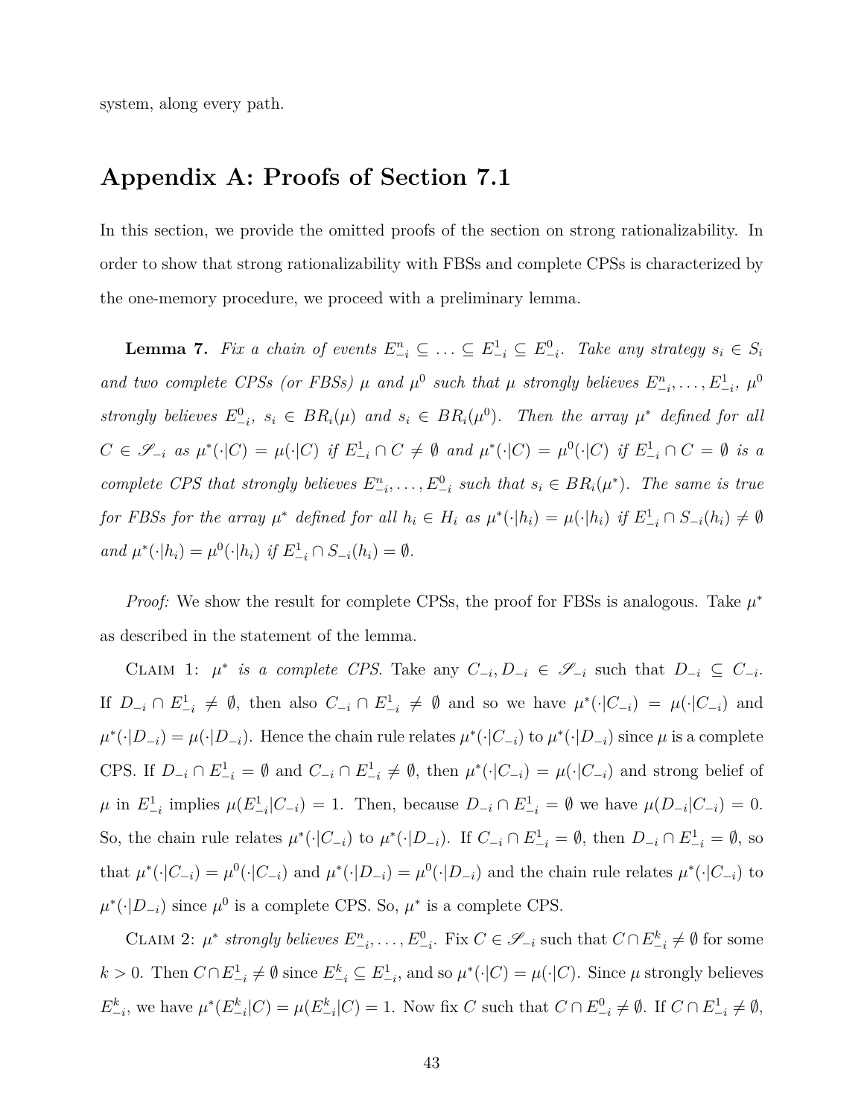system, along every path.

## **Appendix A: Proofs of Section 7.1**

In this section, we provide the omitted proofs of the section on strong rationalizability. In order to show that strong rationalizability with FBSs and complete CPSs is characterized by the one-memory procedure, we proceed with a preliminary lemma.

**Lemma 7.** Fix a chain of events  $E_{-i}^n \subseteq ... \subseteq E_{-i}^1 \subseteq E_{-i}^0$ . Take any strategy  $s_i \in S_i$ *and two complete CPSs (or FBSs)*  $\mu$  *and*  $\mu^0$  *such that*  $\mu$  *strongly believes*  $E_{-i}^n, \ldots, E_{-i}^1, \mu^0$ strongly believes  $E_{-i}^0$ ,  $s_i \in BR_i(\mu)$  and  $s_i \in BR_i(\mu^0)$ . Then the array  $\mu^*$  defined for all  $C\in\mathscr{S}_{-i}$  as  $\mu^*(\cdot|C)=\mu(\cdot|C)$  if  $E^1_{-i}\cap C\neq\emptyset$  and  $\mu^*(\cdot|C)=\mu^0(\cdot|C)$  if  $E^1_{-i}\cap C=\emptyset$  is a *complete CPS that strongly believes*  $E_{-i}^n, \ldots, E_{-i}^0$  such that  $s_i \in BR_i(\mu^*)$ . The same is true for FBSs for the array  $\mu^*$  defined for all  $h_i \in H_i$  as  $\mu^*(\cdot|h_i) = \mu(\cdot|h_i)$  if  $E_{-i}^1 \cap S_{-i}(h_i) \neq \emptyset$ *and*  $\mu^*(\cdot|h_i) = \mu^0(\cdot|h_i)$  *if*  $E^1_{-i} \cap S_{-i}(h_i) = \emptyset$ .

*Proof:* We show the result for complete CPSs, the proof for FBSs is analogous. Take  $\mu^*$ as described in the statement of the lemma.

CLAIM 1:  $\mu^*$  is a complete CPS. Take any  $C_{-i}, D_{-i} \in \mathcal{S}_{-i}$  such that  $D_{-i} \subseteq C_{-i}$ . If  $D_{-i} \cap E_{-i}^1 \neq \emptyset$ , then also  $C_{-i} \cap E_{-i}^1 \neq \emptyset$  and so we have  $\mu^*(\cdot|C_{-i}) = \mu(\cdot|C_{-i})$  and  $\mu^*(\cdot|D_{-i}) = \mu(\cdot|D_{-i})$ . Hence the chain rule relates  $\mu^*(\cdot|C_{-i})$  to  $\mu^*(\cdot|D_{-i})$  since  $\mu$  is a complete CPS. If  $D_{-i} \cap E_{-i}^1 = \emptyset$  and  $C_{-i} \cap E_{-i}^1 \neq \emptyset$ , then  $\mu^*(\cdot | C_{-i}) = \mu(\cdot | C_{-i})$  and strong belief of  $\mu$  in  $E_{-i}^1$  implies  $\mu(E_{-i}^1|C_{-i}) = 1$ . Then, because  $D_{-i} \cap E_{-i}^1 = \emptyset$  we have  $\mu(D_{-i}|C_{-i}) = 0$ . So, the chain rule relates  $\mu^*(\cdot|C_{-i})$  to  $\mu^*(\cdot|D_{-i})$ . If  $C_{-i} \cap E_{-i}^1 = \emptyset$ , then  $D_{-i} \cap E_{-i}^1 = \emptyset$ , so that  $\mu^*(\cdot|C_{-i}) = \mu^0(\cdot|C_{-i})$  and  $\mu^*(\cdot|D_{-i}) = \mu^0(\cdot|D_{-i})$  and the chain rule relates  $\mu^*(\cdot|C_{-i})$  to  $\mu^*(\cdot|D_{-i})$  since  $\mu^0$  is a complete CPS. So,  $\mu^*$  is a complete CPS.

CLAIM 2:  $\mu^*$  strongly believes  $E_{-i}^n, \ldots, E_{-i}^0$ . Fix  $C \in \mathscr{S}_{-i}$  such that  $C \cap E_{-i}^k \neq \emptyset$  for some  $k > 0$ . Then  $C \cap E_{-i}^1 \neq \emptyset$  since  $E_{-i}^k \subseteq E_{-i}^1$ , and so  $\mu^*(\cdot | C) = \mu(\cdot | C)$ . Since  $\mu$  strongly believes  $E_{-i}^k$ , we have  $\mu^*(E_{-i}^k|C) = \mu(E_{-i}^k|C) = 1$ . Now fix C such that  $C \cap E_{-i}^0 \neq \emptyset$ . If  $C \cap E_{-i}^1 \neq \emptyset$ ,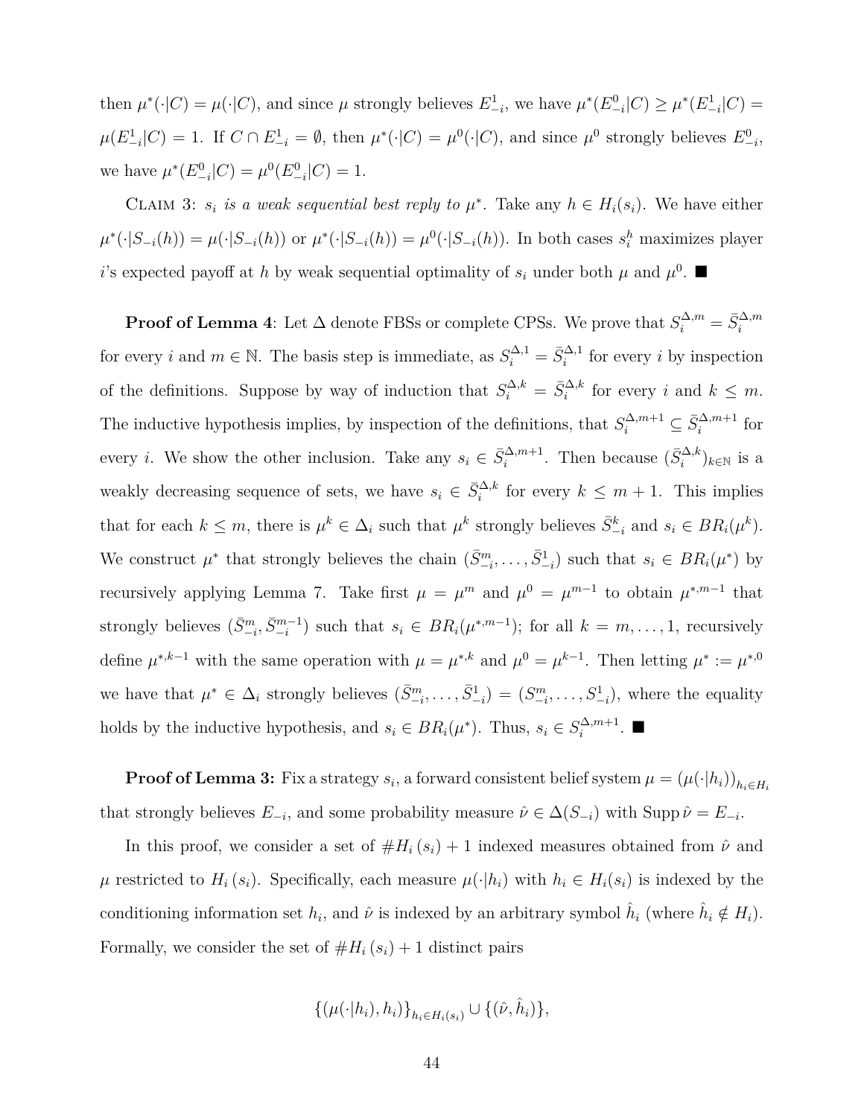then  $\mu^*(\cdot|C) = \mu(\cdot|C)$ , and since  $\mu$  strongly believes  $E^1_{-i}$ , we have  $\mu^*(E^0_{-i}|C) \geq \mu^*(E^1_{-i}|C)$  $\mu(E_{-i}^1|C) = 1$ . If  $C \cap E_{-i}^1 = \emptyset$ , then  $\mu^*(\cdot|C) = \mu^0(\cdot|C)$ , and since  $\mu^0$  strongly believes  $E_{-i}^0$ , we have  $\mu^*(E^0_{-i}|C) = \mu^0(E^0_{-i}|C) = 1.$ 

CLAIM 3:  $s_i$  *is a weak sequential best reply to*  $\mu^*$ . Take any  $h \in H_i(s_i)$ . We have either  $\mu^*(\cdot|S_{-i}(h)) = \mu(\cdot|S_{-i}(h))$  or  $\mu^*(\cdot|S_{-i}(h)) = \mu^0(\cdot|S_{-i}(h))$ . In both cases  $s_i^h$  maximizes player *i*'s expected payoff at *h* by weak sequential optimality of  $s_i$  under both  $\mu$  and  $\mu^0$ .

**Proof of Lemma 4**: Let  $\Delta$  denote FBSs or complete CPSs. We prove that  $S_i^{\Delta,m} = \bar{S}_i^{\Delta,m}$ for every *i* and  $m \in \mathbb{N}$ . The basis step is immediate, as  $S_i^{\Delta,1} = \overline{S}_i^{\Delta,1}$  for every *i* by inspection of the definitions. Suppose by way of induction that  $S_i^{\Delta,k} = \bar{S}_i^{\Delta,k}$  for every *i* and  $k \leq m$ . The inductive hypothesis implies, by inspection of the definitions, that  $S_i^{\Delta, m+1} \subseteq \overline{S}_i^{\Delta, m+1}$  for every *i*. We show the other inclusion. Take any  $s_i \in \bar{S}_i^{\Delta,m+1}$ . Then because  $(\bar{S}_i^{\Delta,k})_{k\in\mathbb{N}}$  is a weakly decreasing sequence of sets, we have  $s_i \in \bar{S}_i^{\Delta,k}$  for every  $k \leq m+1$ . This implies that for each  $k \leq m$ , there is  $\mu^k \in \Delta_i$  such that  $\mu^k$  strongly believes  $\bar{S}_{-i}^k$  and  $s_i \in BR_i(\mu^k)$ . We construct  $\mu^*$  that strongly believes the chain  $(\bar{S}^m_{-i}, \ldots, \bar{S}^1_{-i})$  such that  $s_i \in BR_i(\mu^*)$  by recursively applying Lemma 7. Take first  $\mu = \mu^m$  and  $\mu^0 = \mu^{m-1}$  to obtain  $\mu^{*,m-1}$  that strongly believes  $(\bar{S}_{-i}^m, \bar{S}_{-i}^{m-1})$  such that  $s_i \in BR_i(\mu^{*,m-1})$ ; for all  $k = m, \ldots, 1$ , recursively define  $\mu^{*,k-1}$  with the same operation with  $\mu = \mu^{*,k}$  and  $\mu^0 = \mu^{k-1}$ . Then letting  $\mu^* := \mu^{*,0}$ we have that  $\mu^* \in \Delta_i$  strongly believes  $(\bar{S}_{-i}^m, \ldots, \bar{S}_{-i}^1) = (S_{-i}^m, \ldots, S_{-i}^1)$ , where the equality holds by the inductive hypothesis, and  $s_i \in BR_i(\mu^*)$ . Thus,  $s_i \in S_i^{\Delta, m+1}$  $\int_i^{\Delta,m+1}$ .  $\blacksquare$ 

**Proof of Lemma 3:** Fix a strategy  $s_i$ , a forward consistent belief system  $\mu = (\mu(\cdot|h_i))_{h_i \in H_i}$ that strongly believes  $E_{-i}$ , and some probability measure  $\hat{\nu} \in \Delta(S_{-i})$  with Supp  $\hat{\nu} = E_{-i}$ .

In this proof, we consider a set of  $#H_i(s_i) + 1$  indexed measures obtained from  $\hat{\nu}$  and  $\mu$  restricted to  $H_i(s_i)$ . Specifically, each measure  $\mu(\cdot|h_i)$  with  $h_i \in H_i(s_i)$  is indexed by the conditioning information set  $h_i$ , and  $\hat{\nu}$  is indexed by an arbitrary symbol  $\hat{h}_i$  (where  $\hat{h}_i \notin H_i$ ). Formally, we consider the set of  $#H_i(s_i) + 1$  distinct pairs

$$
\{(\mu(\cdot|h_i), h_i)\}_{h_i \in H_i(s_i)} \cup \{(\hat{\nu}, \hat{h}_i)\},
$$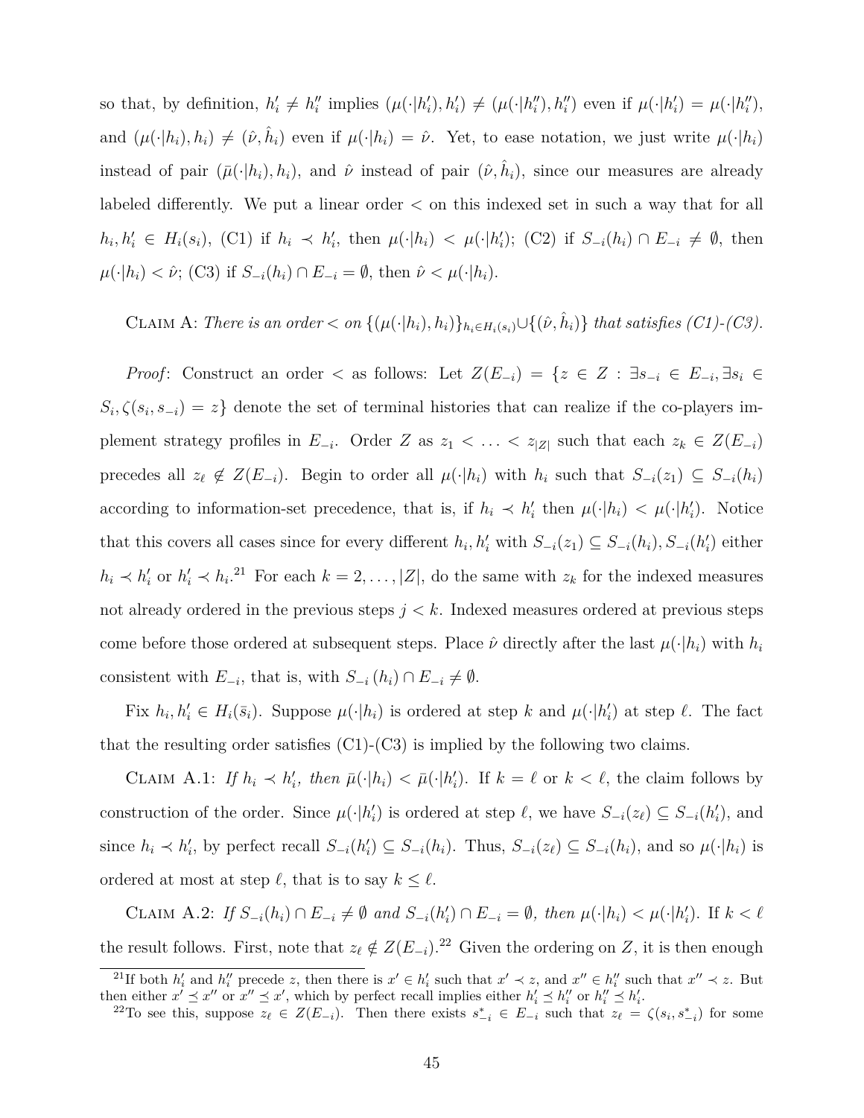so that, by definition,  $h'_i \neq h''_i$  implies  $(\mu(\cdot|h'_i), h'_i) \neq (\mu(\cdot|h''_i), h''_i)$  even if  $\mu(\cdot|h'_i) = \mu(\cdot|h''_i)$ , and  $(\mu(\cdot|h_i), h_i) \neq (\hat{\nu}, \hat{h}_i)$  even if  $\mu(\cdot|h_i) = \hat{\nu}$ . Yet, to ease notation, we just write  $\mu(\cdot|h_i)$ instead of pair  $(\bar{\mu}(\cdot|h_i), h_i)$ , and  $\hat{\nu}$  instead of pair  $(\hat{\nu}, \hat{h}_i)$ , since our measures are already labeled differently. We put a linear order *<* on this indexed set in such a way that for all  $h_i, h'_i \in H_i(s_i)$ , (C1) if  $h_i \prec h'_i$ , then  $\mu(\cdot|h_i) < \mu(\cdot|h'_i)$ ; (C2) if  $S_{-i}(h_i) \cap E_{-i} \neq \emptyset$ , then  $\mu(\cdot|h_i) < \hat{\nu}$ ; (C3) if  $S_{-i}(h_i) \cap E_{-i} = \emptyset$ , then  $\hat{\nu} < \mu(\cdot|h_i)$ .

CLAIM A: There is an order  $\langle on \{(\mu(\cdot|h_i), h_i)\}_{h_i \in H_i(s_i)} \cup \{(\hat{\nu}, \hat{h}_i)\}\$  that satisfies (C1)-(C3).

*Proof:* Construct an order  $\langle$  as follows: Let  $Z(E_{-i}) = \{z \in Z : \exists s_{-i} \in E_{-i}, \exists s_i \in E_{-i} \}$  $S_i$ ,  $\zeta(s_i, s_{-i}) = z$  denote the set of terminal histories that can realize if the co-players implement strategy profiles in  $E_{-i}$ . Order  $Z$  as  $z_1 < \ldots < z_{|Z|}$  such that each  $z_k \in Z(E_{-i})$ precedes all  $z_{\ell} \notin Z(E_{-i})$ . Begin to order all  $\mu(\cdot|h_i)$  with  $h_i$  such that  $S_{-i}(z_1) \subseteq S_{-i}(h_i)$ according to information-set precedence, that is, if  $h_i \prec h'_i$  then  $\mu(\cdot|h_i) < \mu(\cdot|h'_i)$ . Notice that this covers all cases since for every different  $h_i, h'_i$  with  $S_{-i}(z_1) \subseteq S_{-i}(h_i), S_{-i}(h'_i)$  either  $h_i \prec h'_i$  or  $h'_i \prec h_i$ .<sup>21</sup> For each  $k = 2, ..., |Z|$ , do the same with  $z_k$  for the indexed measures not already ordered in the previous steps *j < k*. Indexed measures ordered at previous steps come before those ordered at subsequent steps. Place  $\hat{\nu}$  directly after the last  $\mu(\cdot|h_i)$  with  $h_i$ consistent with  $E_{-i}$ , that is, with  $S_{-i}(h_i) \cap E_{-i} \neq \emptyset$ .

Fix  $h_i, h'_i \in H_i(\bar{s}_i)$ . Suppose  $\mu(\cdot|h_i)$  is ordered at step k and  $\mu(\cdot|h'_i)$  at step  $\ell$ . The fact that the resulting order satisfies  $(C1)-(C3)$  is implied by the following two claims.

CLAIM A.1: If  $h_i \prec h'_i$ , then  $\bar{\mu}(\cdot|h_i) < \bar{\mu}(\cdot|h'_i)$ . If  $k = \ell$  or  $k < \ell$ , the claim follows by construction of the order. Since  $\mu(\cdot|h'_i)$  is ordered at step  $\ell$ , we have  $S_{-i}(z_\ell) \subseteq S_{-i}(h'_i)$ , and since  $h_i \prec h'_i$ , by perfect recall  $S_{-i}(h'_i) \subseteq S_{-i}(h_i)$ . Thus,  $S_{-i}(z_\ell) \subseteq S_{-i}(h_i)$ , and so  $\mu(\cdot|h_i)$  is ordered at most at step  $\ell$ , that is to say  $k \leq \ell$ .

CLAIM A.2: If  $S_{-i}(h_i) \cap E_{-i} \neq \emptyset$  and  $S_{-i}(h'_i) \cap E_{-i} = \emptyset$ , then  $\mu(\cdot | h_i) < \mu(\cdot | h'_i)$ . If  $k < \ell$ the result follows. First, note that  $z_{\ell} \notin Z(E_{-i})$ .<sup>22</sup> Given the ordering on *Z*, it is then enough

<sup>&</sup>lt;sup>21</sup>If both  $h'_i$  and  $h''_i$  precede z, then there is  $x' \in h'_i$  such that  $x' \prec z$ , and  $x'' \in h''_i$  such that  $x'' \prec z$ . But then either  $x' \preceq x''$  or  $x'' \preceq x'$ , which by perfect recall implies either  $h'_i \preceq h''_i$  or  $h''_i \preceq h'_i$ .

<sup>&</sup>lt;sup>22</sup>To see this, suppose  $z_{\ell} \in Z(E_{-i})$ . Then there exists  $s_{-i}^* \in E_{-i}$  such that  $z_{\ell} = \zeta(s_i, s_{-i}^*)$  for some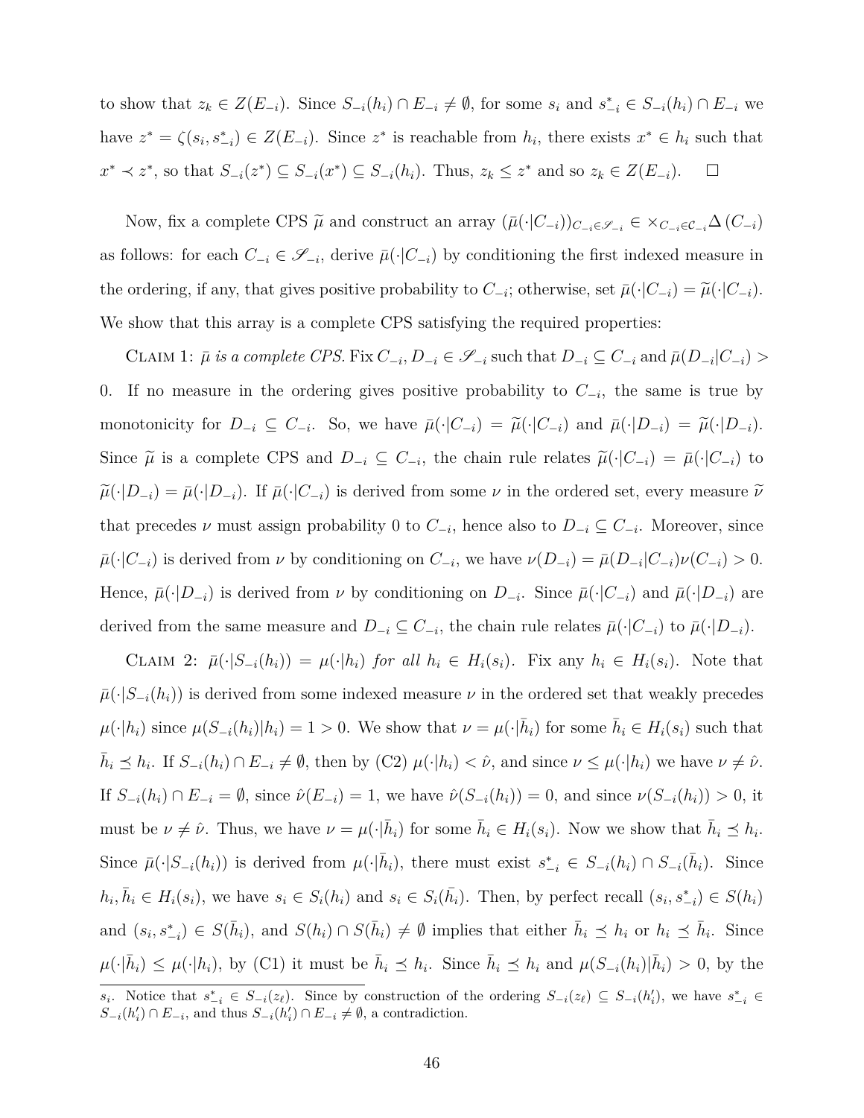to show that  $z_k \in Z(E_{-i})$ . Since  $S_{-i}(h_i) \cap E_{-i} \neq \emptyset$ , for some  $s_i$  and  $s_{-i}^* \in S_{-i}(h_i) \cap E_{-i}$  we have  $z^* = \zeta(s_i, s_{-i}^*) \in Z(E_{-i})$ . Since  $z^*$  is reachable from  $h_i$ , there exists  $x^* \in h_i$  such that  $x^* \prec z^*$ , so that  $S_{-i}(z^*) \subseteq S_{-i}(x^*) \subseteq S_{-i}(h_i)$ . Thus,  $z_k \leq z^*$  and so  $z_k \in Z(E_{-i})$ .  $\Box$ 

Now, fix a complete CPS  $\widetilde{\mu}$  and construct an array  $(\bar{\mu}(\cdot|C_{-i}))_{C_{-i}\in\mathscr{S}_{-i}} \in \times_{C_{-i}\in\mathcal{C}_{-i}}\Delta(C_{-i})$ as follows: for each  $C_{-i} \in \mathscr{S}_{-i}$ , derive  $\bar{\mu}(\cdot|C_{-i})$  by conditioning the first indexed measure in the ordering, if any, that gives positive probability to  $C_{-i}$ ; otherwise, set  $\bar{\mu}(\cdot|C_{-i}) = \tilde{\mu}(\cdot|C_{-i})$ . We show that this array is a complete CPS satisfying the required properties:

CLAIM 1:  $\bar{\mu}$  is a complete CPS. Fix  $C_{-i}, D_{-i} \in \mathscr{S}_{-i}$  such that  $D_{-i} \subseteq C_{-i}$  and  $\bar{\mu}(D_{-i}|C_{-i}) >$ 0. If no measure in the ordering gives positive probability to *C−<sup>i</sup>* , the same is true by monotonicity for  $D_{-i} \subseteq C_{-i}$ . So, we have  $\bar{\mu}(\cdot|C_{-i}) = \tilde{\mu}(\cdot|C_{-i})$  and  $\bar{\mu}(\cdot|D_{-i}) = \tilde{\mu}(\cdot|D_{-i})$ . Since  $\widetilde{\mu}$  is a complete CPS and  $D_{-i} \subseteq C_{-i}$ , the chain rule relates  $\widetilde{\mu}(\cdot|C_{-i}) = \overline{\mu}(\cdot|C_{-i})$  to  $\widetilde{\mu}(\cdot|D_{-i}) = \overline{\mu}(\cdot|D_{-i})$ . If  $\overline{\mu}(\cdot|C_{-i})$  is derived from some  $\nu$  in the ordered set, every measure  $\widetilde{\nu}$ that precedes  $\nu$  must assign probability 0 to  $C_{-i}$ , hence also to  $D_{-i} \subseteq C_{-i}$ . Moreover, since  $\bar{\mu}(\cdot|C_{-i})$  is derived from  $\nu$  by conditioning on  $C_{-i}$ , we have  $\nu(D_{-i}) = \bar{\mu}(D_{-i}|C_{-i})\nu(C_{-i}) > 0$ . Hence,  $\bar{\mu}(\cdot|D_{-i})$  is derived from  $\nu$  by conditioning on  $D_{-i}$ . Since  $\bar{\mu}(\cdot|C_{-i})$  and  $\bar{\mu}(\cdot|D_{-i})$  are derived from the same measure and  $D_{-i} \subseteq C_{-i}$ , the chain rule relates  $\bar{\mu}(\cdot|C_{-i})$  to  $\bar{\mu}(\cdot|D_{-i})$ .

CLAIM 2:  $\bar{\mu}(\cdot|S_{-i}(h_i)) = \mu(\cdot|h_i)$  for all  $h_i \in H_i(s_i)$ . Fix any  $h_i \in H_i(s_i)$ . Note that  $\bar{\mu}(\cdot|S_{-i}(h_i))$  is derived from some indexed measure  $\nu$  in the ordered set that weakly precedes  $\mu(\cdot|h_i)$  since  $\mu(S_{-i}(h_i)|h_i) = 1 > 0$ . We show that  $\nu = \mu(\cdot|\bar{h}_i)$  for some  $\bar{h}_i \in H_i(s_i)$  such that  $\overline{h}_i \leq h_i$ . If  $S_{-i}(h_i) \cap E_{-i} \neq \emptyset$ , then by  $(C2)$   $\mu(\cdot|h_i) < \hat{\nu}$ , and since  $\nu \leq \mu(\cdot|h_i)$  we have  $\nu \neq \hat{\nu}$ . If  $S_{-i}(h_i) \cap E_{-i} = \emptyset$ , since  $\hat{\nu}(E_{-i}) = 1$ , we have  $\hat{\nu}(S_{-i}(h_i)) = 0$ , and since  $\nu(S_{-i}(h_i)) > 0$ , it must be  $\nu \neq \hat{\nu}$ . Thus, we have  $\nu = \mu(\cdot|\bar{h}_i)$  for some  $\bar{h}_i \in H_i(s_i)$ . Now we show that  $\bar{h}_i \preceq h_i$ . Since  $\bar{\mu}(\cdot|S_{-i}(h_i))$  is derived from  $\mu(\cdot|\bar{h}_i)$ , there must exist  $s_{-i}^* \in S_{-i}(h_i) \cap S_{-i}(\bar{h}_i)$ . Since  $h_i, \overline{h}_i \in H_i(s_i)$ , we have  $s_i \in S_i(h_i)$  and  $s_i \in S_i(\overline{h}_i)$ . Then, by perfect recall  $(s_i, s_{-i}^*) \in S(h_i)$ and  $(s_i, s_{-i}^*) \in S(\bar{h}_i)$ , and  $S(h_i) \cap S(\bar{h}_i) \neq \emptyset$  implies that either  $\bar{h}_i \preceq h_i$  or  $h_i \preceq \bar{h}_i$ . Since  $\mu(\cdot|\bar{h}_i) \leq \mu(\cdot|h_i)$ , by (C1) it must be  $\bar{h}_i \preceq h_i$ . Since  $\bar{h}_i \preceq h_i$  and  $\mu(S_{-i}(h_i)|\bar{h}_i) > 0$ , by the

 $s_i$ . Notice that  $s_{-i}^* \in S_{-i}(z_\ell)$ . Since by construction of the ordering  $S_{-i}(z_\ell) \subseteq S_{-i}(h_i')$ , we have  $s_{-i}^* \in S_{-i}(h_i')$  $S_{-i}(h'_i) \cap E_{-i}$ , and thus  $S_{-i}(h'_i) \cap E_{-i} \neq \emptyset$ , a contradiction.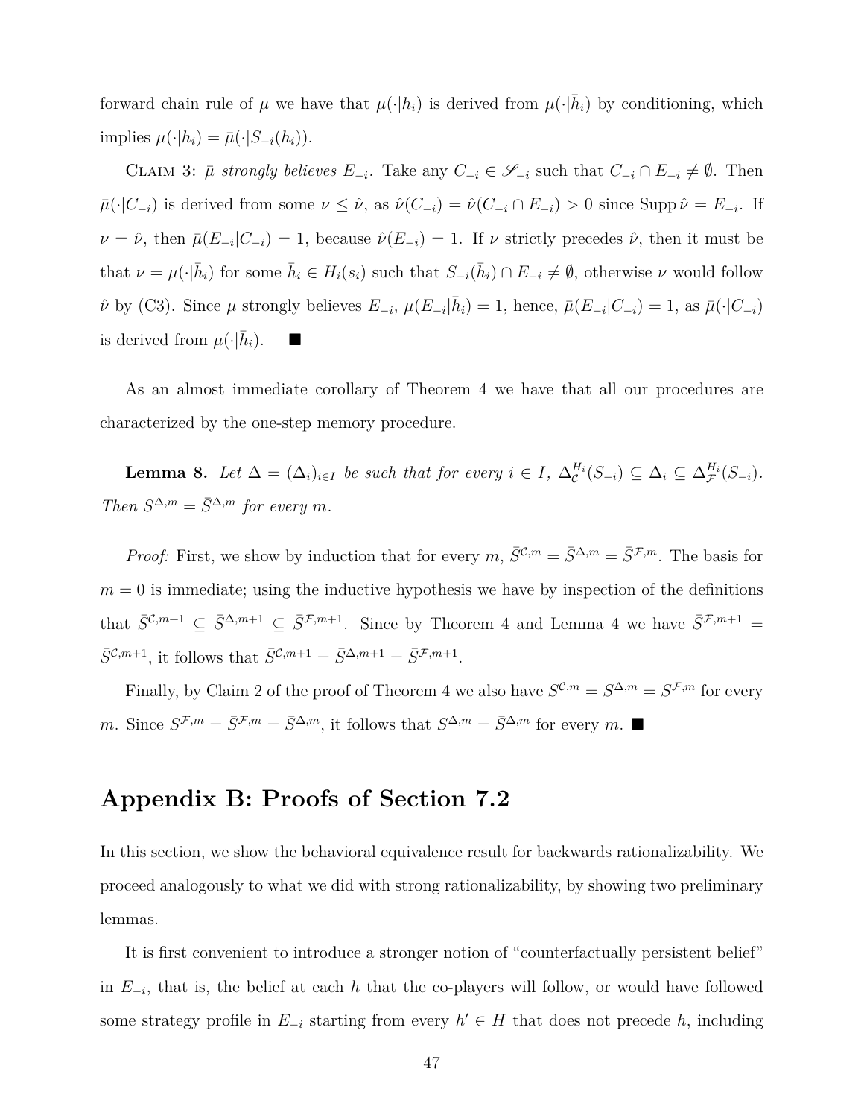forward chain rule of  $\mu$  we have that  $\mu(\cdot|h_i)$  is derived from  $\mu(\cdot|\bar{h}_i)$  by conditioning, which  $\text{implies } \mu(\cdot|h_i) = \bar{\mu}(\cdot|S_{-i}(h_i)).$ 

CLAIM 3:  $\bar{\mu}$  strongly believes  $E_{-i}$ . Take any  $C_{-i} \in \mathscr{S}_{-i}$  such that  $C_{-i} \cap E_{-i} \neq \emptyset$ . Then  $\bar{\mu}(\cdot|C_{-i})$  is derived from some  $\nu \leq \hat{\nu}$ , as  $\hat{\nu}(C_{-i}) = \hat{\nu}(C_{-i} \cap E_{-i}) > 0$  since Supp  $\hat{\nu} = E_{-i}$ . If  $\nu = \hat{\nu}$ , then  $\bar{\mu}(E_{-i}|C_{-i}) = 1$ , because  $\hat{\nu}(E_{-i}) = 1$ . If  $\nu$  strictly precedes  $\hat{\nu}$ , then it must be that  $\nu = \mu(\cdot|\bar{h}_i)$  for some  $\bar{h}_i \in H_i(s_i)$  such that  $S_{-i}(\bar{h}_i) \cap E_{-i} \neq \emptyset$ , otherwise  $\nu$  would follow  $\hat{\nu}$  by (C3). Since  $\mu$  strongly believes  $E_{-i}$ ,  $\mu(E_{-i}|\bar{h}_i) = 1$ , hence,  $\bar{\mu}(E_{-i}|C_{-i}) = 1$ , as  $\bar{\mu}(\cdot|C_{-i})$ is derived from  $\mu(\cdot|\bar{h}_i)$ .  $\blacksquare$ 

As an almost immediate corollary of Theorem 4 we have that all our procedures are characterized by the one-step memory procedure.

**Lemma 8.** Let  $\Delta = (\Delta_i)_{i \in I}$  be such that for every  $i \in I$ ,  $\Delta_c^{H_i}(S_{-i}) \subseteq \Delta_i \subseteq \Delta_f^{H_i}(S_{-i})$ .  $Then S^{\Delta,m} = \overline{S}^{\Delta,m}$  *for every m*.

*Proof:* First, we show by induction that for every  $m, \bar{S}^{\mathcal{C},m} = \bar{S}^{\Delta,m} = \bar{S}^{\mathcal{F},m}$ . The basis for  $m = 0$  is immediate; using the inductive hypothesis we have by inspection of the definitions that  $\bar{S}^{\mathcal{C},m+1} \subseteq \bar{S}^{\Delta,m+1} \subseteq \bar{S}^{\mathcal{F},m+1}$ . Since by Theorem 4 and Lemma 4 we have  $\bar{S}^{\mathcal{F},m+1}$  $\bar{S}^{\mathcal{C},m+1}$ , it follows that  $\bar{S}^{\mathcal{C},m+1} = \bar{S}^{\Delta,m+1} = \bar{S}^{\mathcal{F},m+1}$ .

Finally, by Claim 2 of the proof of Theorem 4 we also have  $S^{\mathcal{C},m} = S^{\Delta,m} = S^{\mathcal{F},m}$  for every *m*. Since  $S^{\mathcal{F},m} = \overline{S}^{\mathcal{F},m} = \overline{S}^{\Delta,m}$ , it follows that  $S^{\Delta,m} = \overline{S}^{\Delta,m}$  for every *m*. ■

### **Appendix B: Proofs of Section 7.2**

In this section, we show the behavioral equivalence result for backwards rationalizability. We proceed analogously to what we did with strong rationalizability, by showing two preliminary lemmas.

It is first convenient to introduce a stronger notion of "counterfactually persistent belief" in *E−<sup>i</sup>* , that is, the belief at each *h* that the co-players will follow, or would have followed some strategy profile in  $E_{-i}$  starting from every  $h' \in H$  that does not precede *h*, including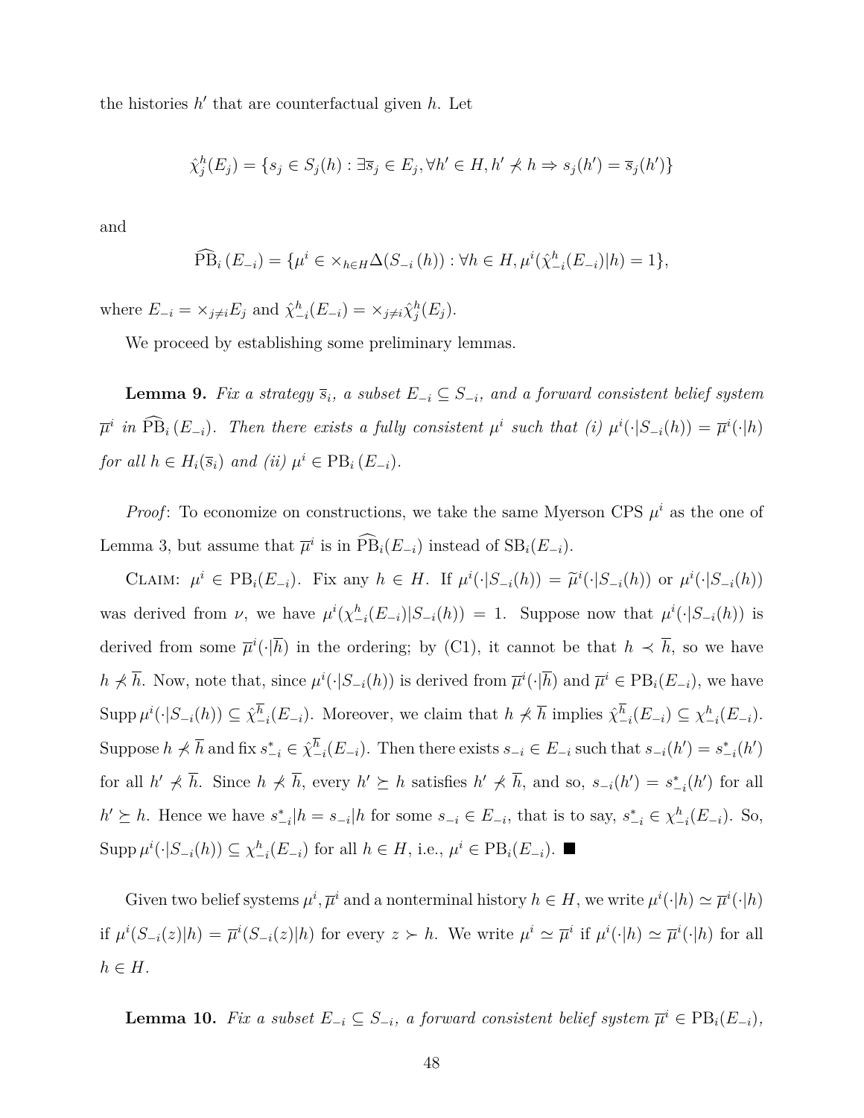the histories  $h'$  that are counterfactual given  $h$ . Let

$$
\hat{\chi}_j^h(E_j) = \{ s_j \in S_j(h) : \exists \overline{s}_j \in E_j, \forall h' \in H, h' \npreceq h \Rightarrow s_j(h') = \overline{s}_j(h') \}
$$

and

$$
\widehat{PB}_{i}(E_{-i}) = \{ \mu^{i} \in \times_{h \in H} \Delta(S_{-i}(h)) : \forall h \in H, \mu^{i}(\hat{\chi}_{-i}^{h}(E_{-i})|h) = 1 \},\
$$

where  $E_{-i} = \times_{j \neq i} E_j$  and  $\hat{\chi}_{-i}^h(E_{-i}) = \times_{j \neq i} \hat{\chi}_j^h(E_j)$ .

We proceed by establishing some preliminary lemmas.

**Lemma 9.** *Fix a strategy*  $\overline{s}_i$ *, a subset*  $E_{-i} \subseteq S_{-i}$ *, and a forward consistent belief system*  $\overline{\mu}^i$  in  $\overline{PB}_i(E_{-i})$ . Then there exists a fully consistent  $\mu^i$  such that (i)  $\mu^i(\cdot|S_{-i}(h)) = \overline{\mu}^i(\cdot|h)$ *for all*  $h \in H_i(\overline{s}_i)$  *and*  $(ii)$   $\mu^i \in \text{PB}_i(E_{-i})$ *.* 

*Proof*: To economize on constructions, we take the same Myerson CPS  $\mu^i$  as the one of Lemma 3, but assume that  $\overline{\mu}^i$  is in  $\widehat{PB}_i(E_{-i})$  instead of  $SB_i(E_{-i})$ .

CLAIM:  $\mu^i \in PB_i(E_{-i})$ . Fix any  $h \in H$ . If  $\mu^i(\cdot|S_{-i}(h)) = \tilde{\mu}^i(\cdot|S_{-i}(h))$  or  $\mu^i(\cdot|S_{-i}(h))$ was derived from  $\nu$ , we have  $\mu^{i}(\chi^{h}_{-i}(E_{-i})|S_{-i}(h)) = 1$ . Suppose now that  $\mu^{i}(\cdot|S_{-i}(h))$  is derived from some  $\overline{\mu}^i(\cdot|\overline{h})$  in the ordering; by (C1), it cannot be that  $h \prec \overline{h}$ , so we have  $h \nless \overline{h}$ . Now, note that, since  $\mu^i(\cdot|S_{-i}(h))$  is derived from  $\overline{\mu}^i(\cdot|\overline{h})$  and  $\overline{\mu}^i \in \text{PB}_i(E_{-i})$ , we have  $\text{Supp}\,\mu^{i}(\cdot|S_{-i}(h))\subseteq \hat{\chi}_{-i}^{h}(E_{-i}).$  Moreover, we claim that  $h \nless \overline{h}$  implies  $\hat{\chi}_{-i}^{h}(E_{-i})\subseteq \chi_{-i}^{h}(E_{-i}).$ Suppose  $h \nless \overline{h}$  and fix  $s_{-i}^* \in \hat{\chi}_{-i}^h(E_{-i})$ . Then there exists  $s_{-i} \in E_{-i}$  such that  $s_{-i}(h') = s_{-i}^*(h')$ for all  $h' \nless \overline{h}$ . Since  $h \nless \overline{h}$ , every  $h' \succeq h$  satisfies  $h' \nless \overline{h}$ , and so,  $s_{-i}(h') = s_{-i}^*(h')$  for all  $h' \succeq h$ . Hence we have  $s_{-i}^*|h = s_{-i}|h$  for some  $s_{-i} \in E_{-i}$ , that is to say,  $s_{-i}^* \in \chi_{-i}^h(E_{-i})$ . So,  $\operatorname{Supp}\mu^{i}(\cdot|S_{-i}(h))\subseteq \chi_{-i}^h(E_{-i})$  for all  $h\in H$ , i.e.,  $\mu^i\in \operatorname{PB}_i(E_{-i})$ .

Given two belief systems  $\mu^i$ ,  $\overline{\mu}^i$  and a nonterminal history  $h \in H$ , we write  $\mu^i(\cdot|h) \simeq \overline{\mu}^i(\cdot|h)$ if  $\mu^{i}(S_{-i}(z)|h) = \overline{\mu}^{i}(S_{-i}(z)|h)$  for every  $z \succ h$ . We write  $\mu^{i} \simeq \overline{\mu}^{i}$  if  $\mu^{i}(\cdot|h) \simeq \overline{\mu}^{i}(\cdot|h)$  for all  $h \in H$ .

**Lemma 10.** *Fix a subset*  $E_{-i} \subseteq S_{-i}$ *, a forward consistent belief system*  $\overline{\mu}^i \in \text{PB}_i(E_{-i})$ *,*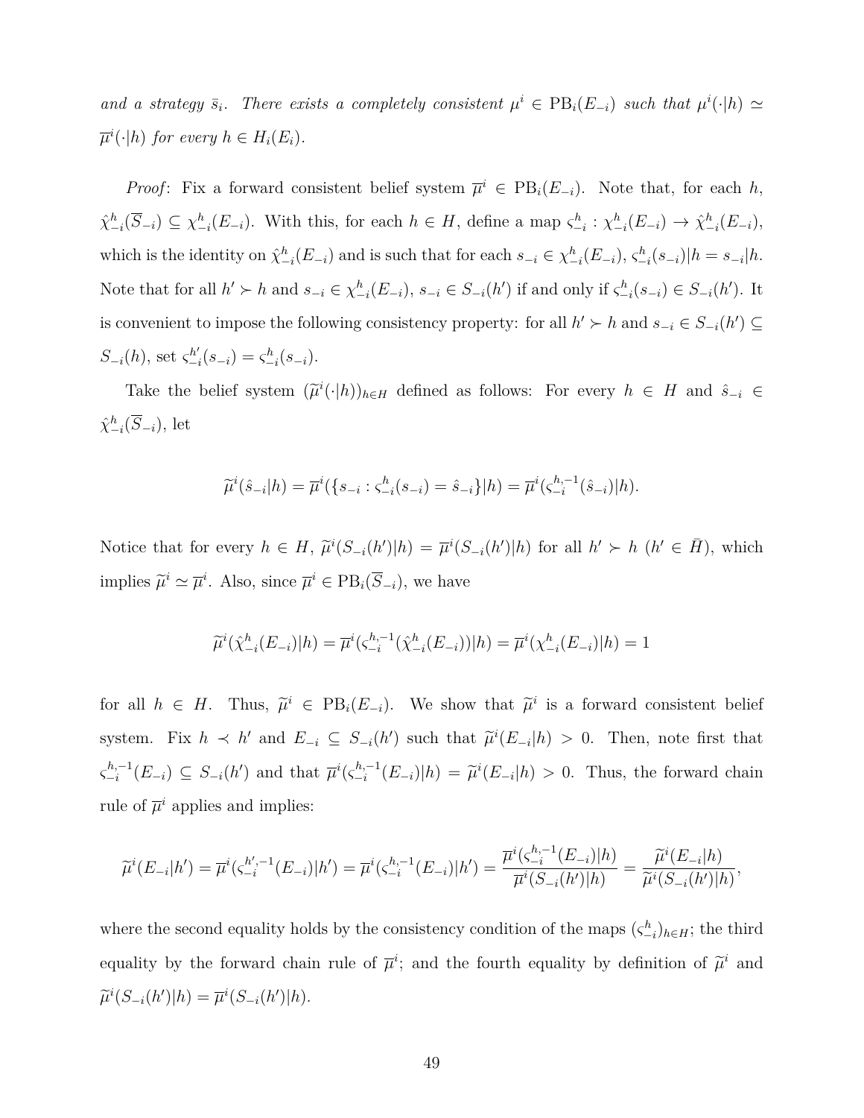*and a strategy*  $\bar{s}_i$ *. There exists a completely consistent*  $\mu^i \in \text{PB}_i(E_{-i})$  *such that*  $\mu^i(\cdot|h) \simeq$  $\overline{\mu}^i(\cdot|h)$  *for every*  $h \in H_i(E_i)$ *.* 

*Proof*: Fix a forward consistent belief system  $\overline{\mu}^i \in PB_i(E_{-i})$ . Note that, for each *h*,  $\hat{\chi}_{-i}^h(\overline{S}_{-i}) \subseteq \chi_{-i}^h(E_{-i}).$  With this, for each  $h \in H$ , define a map  $\zeta_{-i}^h : \chi_{-i}^h(E_{-i}) \to \hat{\chi}_{-i}^h(E_{-i}),$ which is the identity on  $\hat{\chi}_{-i}^h(E_{-i})$  and is such that for each  $s_{-i} \in \chi_{-i}^h(E_{-i}), \varsigma_{-i}^h(s_{-i})|h = s_{-i}|h$ . Note that for all  $h' \succ h$  and  $s_{-i} \in \chi_{-i}^h(E_{-i}), s_{-i} \in S_{-i}(h')$  if and only if  $\zeta_{-i}^h(s_{-i}) \in S_{-i}(h')$ . It is convenient to impose the following consistency property: for all  $h'$  ≻  $h$  and  $s_{-i} \in S_{-i}(h')$  ⊆ *S*<sub>−*i*</sub>(*h*), set  $\varsigma_{-i}^{h'}(s_{-i}) = \varsigma_{-i}^{h}(s_{-i}).$ 

Take the belief system  $(\tilde{\mu}^i(\cdot|h))_{h\in H}$  defined as follows: For every  $h \in H$  and  $\hat{s}_{-i} \in$  $\hat{\chi}_{-i}^h(\overline{S}_{-i}), \text{ let }$ 

$$
\widetilde{\mu}^i(\hat{s}_{-i}|h) = \overline{\mu}^i(\{s_{-i} : \varsigma^h_{-i}(s_{-i}) = \hat{s}_{-i}\}|h) = \overline{\mu}^i(\varsigma^{h,-1}_{-i}(\hat{s}_{-i})|h).
$$

Notice that for every  $h \in H$ ,  $\tilde{\mu}^i(S_{-i}(h')|h) = \overline{\mu}^i(S_{-i}(h')|h)$  for all  $h' \succ h$   $(h' \in \overline{H})$ , which implies  $\widetilde{\mu}^i \simeq \overline{\mu}^i$ . Also, since  $\overline{\mu}^i \in \text{PB}_i(\overline{S}_{-i})$ , we have

$$
\widetilde{\mu}^{i}(\hat{\chi}_{-i}^{h}(E_{-i})|h) = \overline{\mu}^{i}(\hat{\chi}_{-i}^{h,-1}(\hat{\chi}_{-i}^{h}(E_{-i}))|h) = \overline{\mu}^{i}(\chi_{-i}^{h}(E_{-i})|h) = 1
$$

for all  $h \in H$ . Thus,  $\tilde{\mu}^i \in PB_i(E_{-i})$ . We show that  $\tilde{\mu}^i$  is a forward consistent belief system. Fix  $h \prec h'$  and  $E_{-i} \subseteq S_{-i}(h')$  such that  $\tilde{\mu}^i(E_{-i}|h) > 0$ . Then, note first that  $\zeta_{-i}^{h,-1}$  $\overline{F}$ <sup>*i*</sup> *n*<sup>*i*</sup></sup>
(*E*<sub>−*i*</sub>)  $\subseteq S$ <sub>−*i*</sub>(*h*<sup>*'*</sup>) and that  $\overline{\mu}$ <sup>*i*</sup>( $\zeta$ <sup>*h*<sub>−</sub><sup>1</sup></sup>)  $\int_{-i}^{h,-1} (E_{-i}) |h) = \tilde{\mu}^i(E_{-i}|h) > 0$ . Thus, the forward chain rule of  $\overline{\mu}^i$  applies and implies:

$$
\widetilde{\mu}^{i}(E_{-i}|h') = \overline{\mu}^{i}(\varsigma_{-i}^{h'-1}(E_{-i})|h') = \overline{\mu}^{i}(\varsigma_{-i}^{h,-1}(E_{-i})|h') = \frac{\overline{\mu}^{i}(\varsigma_{-i}^{h,-1}(E_{-i})|h)}{\overline{\mu}^{i}(S_{-i}(h')|h)} = \frac{\widetilde{\mu}^{i}(E_{-i}|h)}{\widetilde{\mu}^{i}(S_{-i}(h')|h)},
$$

where the second equality holds by the consistency condition of the maps  $(\zeta_{-i}^h)_{h \in H}$ ; the third equality by the forward chain rule of  $\overline{\mu}$ <sup>*i*</sup>; and the fourth equality by definition of  $\widetilde{\mu}$ <sup>*i*</sup> and  $\widetilde{\mu}^i(S_{-i}(h')|h) = \overline{\mu}^i(S_{-i}(h')|h).$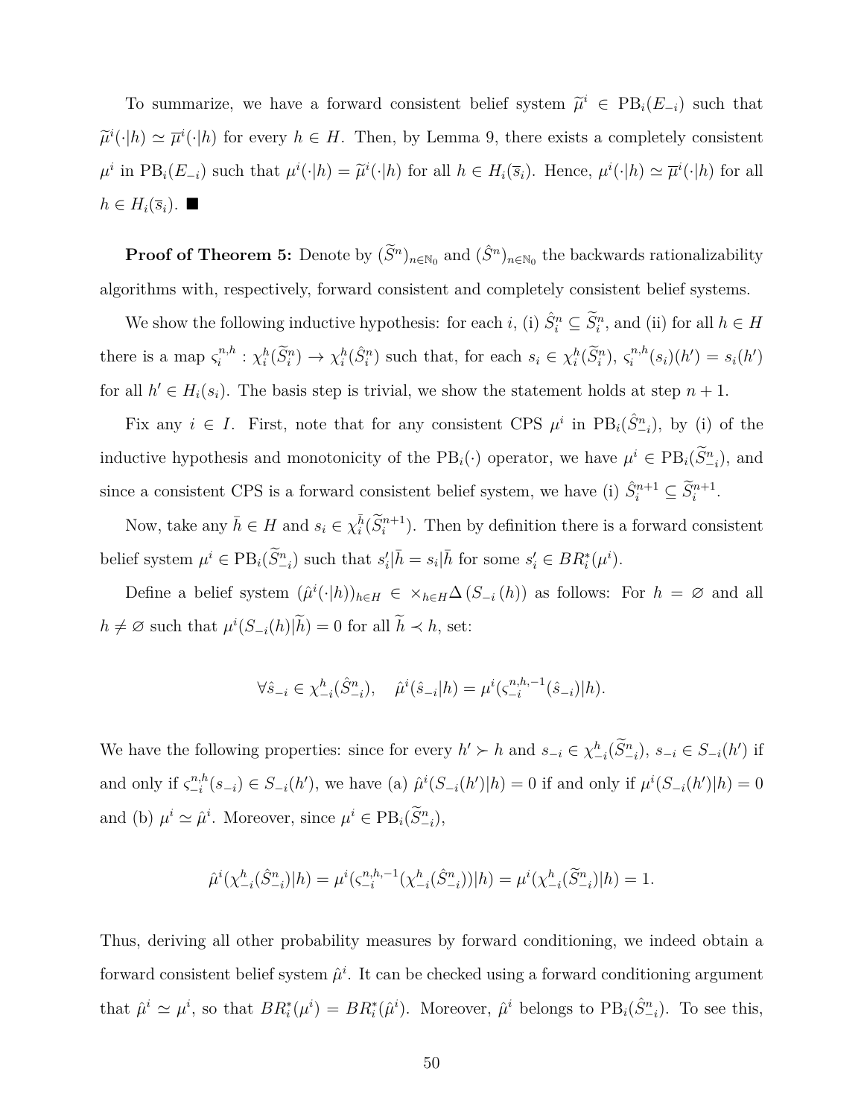To summarize, we have a forward consistent belief system  $\tilde{\mu}^i \in PB_i(E_{-i})$  such that  $\widetilde{\mu}^i(\cdot|h) \simeq \overline{\mu}^i(\cdot|h)$  for every  $h \in H$ . Then, by Lemma 9, there exists a completely consistent  $\mu^i$  in  $PB_i(E_{-i})$  such that  $\mu^i(\cdot|h) = \tilde{\mu}^i(\cdot|h)$  for all  $h \in H_i(\bar{s}_i)$ . Hence,  $\mu^i(\cdot|h) \simeq \bar{\mu}^i(\cdot|h)$  for all  $h$  ∈  $H_i(\overline{s}_i)$ . ■

**Proof of Theorem 5:** Denote by  $(\tilde{S}^n)_{n \in \mathbb{N}_0}$  and  $(\hat{S}^n)_{n \in \mathbb{N}_0}$  the backwards rationalizability algorithms with, respectively, forward consistent and completely consistent belief systems.

We show the following inductive hypothesis: for each *i*, (i)  $\hat{S}_i^n \subseteq \tilde{S}_i^n$ , and (ii) for all  $h \in H$ there is a map  $\zeta_i^{n,h}$  $x_i^{n,h}: \chi_i^h(\widetilde{S}_i^n) \to \chi_i^h(\hat{S}_i^n)$  such that, for each  $s_i \in \chi_i^h(\widetilde{S}_i^n)$ ,  $\varsigma_i^{n,h}$  $s_i^{n,h}(s_i)(h') = s_i(h')$ for all  $h' \in H_i(s_i)$ . The basis step is trivial, we show the statement holds at step  $n + 1$ .

Fix any  $i \in I$ . First, note that for any consistent CPS  $\mu^i$  in PB<sub>i</sub>( $\hat{S}^n_{-i}$ ), by (i) of the inductive hypothesis and monotonicity of the  $PB_i(\cdot)$  operator, we have  $\mu^i \in PB_i(\tilde{S}^n_{-i})$ , and since a consistent CPS is a forward consistent belief system, we have (i)  $\hat{S}_i^{n+1} \subseteq \tilde{S}_i^{n+1}$ .

Now, take any  $\bar{h} \in H$  and  $s_i \in \chi_i^{\bar{h}}(\tilde{S}_i^{n+1})$ . Then by definition there is a forward consistent belief system  $\mu^i \in \text{PB}_i(\widetilde{S}^n_{-i})$  such that  $s'_i | \bar{h} = s_i | \bar{h}$  for some  $s'_i \in BR_i^*(\mu^i)$ .

Define a belief system  $(\hat{\mu}^i(\cdot|h))_{h\in H} \in \times_{h\in H}\Delta(S_{-i}(h))$  as follows: For  $h = \emptyset$  and all  $h \neq \emptyset$  such that  $\mu^{i}(S_{-i}(h)|\tilde{h}) = 0$  for all  $\tilde{h} \prec h$ , set:

$$
\forall \hat{s}_{-i} \in \chi_{-i}^h(\hat{S}_{-i}^n), \quad \hat{\mu}^i(\hat{s}_{-i}|h) = \mu^i(\varsigma_{-i}^{n,h,-1}(\hat{s}_{-i})|h).
$$

We have the following properties: since for every  $h' \succ h$  and  $s_{-i} \in \chi^h_{-i}(\tilde{S}^n_{-i}), s_{-i} \in S_{-i}(h')$  if and only if  $\zeta_{-i}^{n,h}$  $_{i=1}^{n,h}(s_{-i}) \in S_{-i}(h')$ , we have (a)  $\hat{\mu}^{i}(S_{-i}(h')|h) = 0$  if and only if  $\mu^{i}(S_{-i}(h')|h) = 0$ and (b)  $\mu^i \simeq \hat{\mu}^i$ . Moreover, since  $\mu^i \in \text{PB}_i(\tilde{S}^n_{-i}),$ 

$$
\hat{\mu}^i(\chi_{-i}^h(\hat{S}_{-i}^n)|h) = \mu^i(\varsigma_{-i}^{n,h,-1}(\chi_{-i}^h(\hat{S}_{-i}^n))|h) = \mu^i(\chi_{-i}^h(\tilde{S}_{-i}^n)|h) = 1.
$$

Thus, deriving all other probability measures by forward conditioning, we indeed obtain a forward consistent belief system  $\hat{\mu}^i$ . It can be checked using a forward conditioning argument that  $\hat{\mu}^i \simeq \mu^i$ , so that  $BR_i^*(\mu^i) = BR_i^*(\hat{\mu}^i)$ . Moreover,  $\hat{\mu}^i$  belongs to  $PB_i(\hat{S}_{-i}^n)$ . To see this,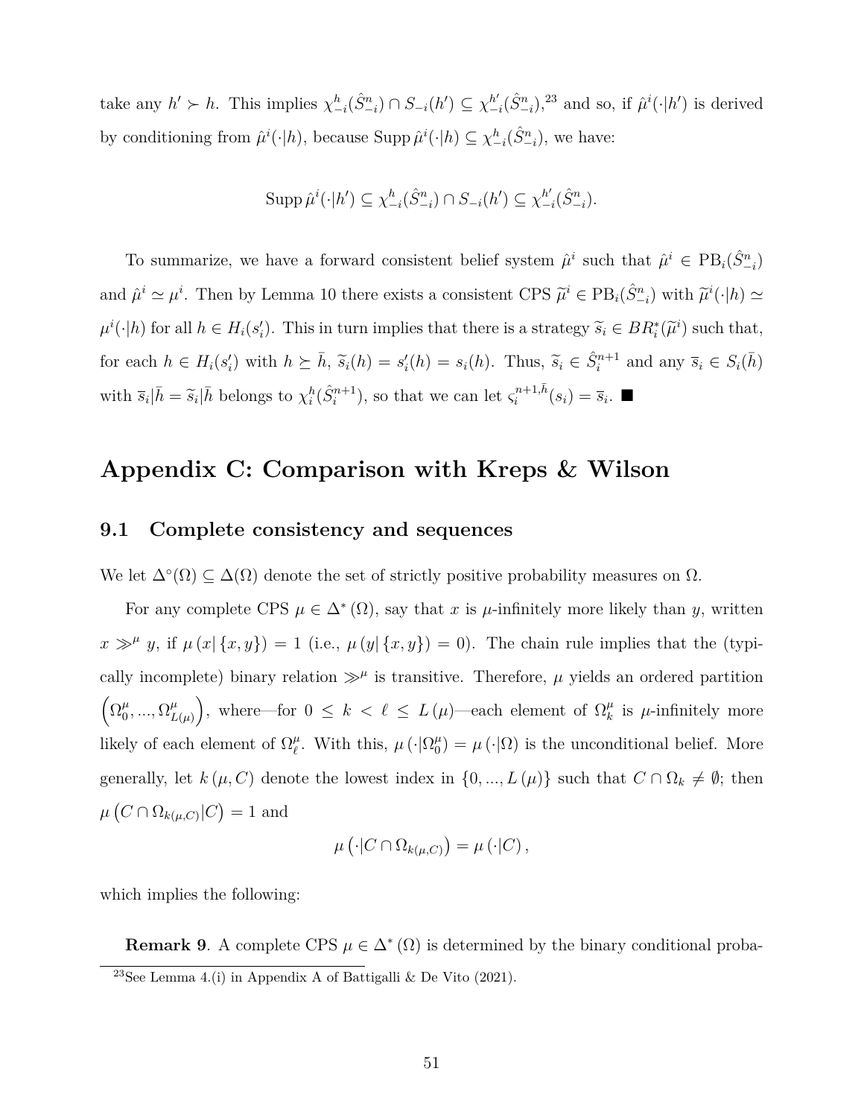take any  $h' \succ h$ . This implies  $\chi_{-i}^h(\hat{S}_{-i}^n) \cap S_{-i}(h') \subseteq \chi_{-i}^{h'}(\hat{S}_{-i}^n)$ <sup>23</sup> and so, if  $\hat{\mu}^i(\cdot|h')$  is derived by conditioning from  $\hat{\mu}^i(\cdot|h)$ , because Supp  $\hat{\mu}^i(\cdot|h) \subseteq \chi^h_{-i}(\hat{S}^n_{-i})$ , we have:

$$
\operatorname{Supp}\hat{\mu}^{i}(\cdot|h') \subseteq \chi_{-i}^{h}(\hat{S}_{-i}^{n}) \cap S_{-i}(h') \subseteq \chi_{-i}^{h'}(\hat{S}_{-i}^{n}).
$$

To summarize, we have a forward consistent belief system  $\hat{\mu}^i$  such that  $\hat{\mu}^i \in PB_i(\hat{S}^n_{-i})$ and  $\hat{\mu}^i \simeq \mu^i$ . Then by Lemma 10 there exists a consistent CPS  $\tilde{\mu}^i \in PB_i(\hat{S}_{-i}^n)$  with  $\tilde{\mu}^i(\cdot|h) \simeq$  $\mu^i(\cdot|h)$  for all  $h \in H_i(s'_i)$ . This in turn implies that there is a strategy  $\widetilde{s}_i \in BR_i^*(\widetilde{\mu}^i)$  such that, for each  $h \in H_i(s'_i)$  with  $h \succeq \overline{h}$ ,  $\widetilde{s}_i(h) = s'_i(h) = s_i(h)$ . Thus,  $\widetilde{s}_i \in \widehat{S}_i^{n+1}$  and any  $\overline{s}_i \in S_i(\overline{h})$ with  $\bar{s}_i | \bar{h} = \tilde{s}_i | \bar{h}$  belongs to  $\chi_i^h(\hat{S}_i^{n+1})$ , so that we can let  $\varsigma_i^{n+1,\bar{h}}$  $\overline{s}_i^{n+1,n}(s_i) = \overline{s}_i$ .

## **Appendix C: Comparison with Kreps & Wilson**

#### **9.1 Complete consistency and sequences**

We let  $\Delta^{\circ}(\Omega) \subseteq \Delta(\Omega)$  denote the set of strictly positive probability measures on  $\Omega$ .

For any complete CPS  $\mu \in \Delta^*(\Omega)$ , say that *x* is  $\mu$ -infinitely more likely than *y*, written  $x \gg^{\mu} y$ , if  $\mu(x|\{x,y\}) = 1$  (i.e.,  $\mu(y|\{x,y\}) = 0$ ). The chain rule implies that the (typically incomplete) binary relation  $\gg^{\mu}$  is transitive. Therefore,  $\mu$  yields an ordered partition  $\left(\Omega_0^{\mu}\right)$  $_{0}^{\mu},...,\Omega_{L}^{\mu}$  $\binom{\mu}{L(\mu)}$ , where—for  $0 \leq k < \ell \leq L(\mu)$ —each element of  $\Omega_k^{\mu}$  $\mu$ <sup>*k*</sup> is  $\mu$ -infinitely more likely of each element of  $\Omega_{\ell}^{\mu}$  $\mu$ . With this,  $\mu$  ( $\cdot$ | $\Omega_0^{\mu}$  $\mu_0^{\mu}$  =  $\mu(\cdot|\Omega)$  is the unconditional belief. More generally, let  $k(\mu, C)$  denote the lowest index in  $\{0, ..., L(\mu)\}\$  such that  $C \cap \Omega_k \neq \emptyset$ ; then  $\mu\left(C \cap \Omega_{k(\mu,C)} | C\right) = 1$  and

$$
\mu\left(\cdot|C\cap\Omega_{k(\mu,C)}\right)=\mu\left(\cdot|C\right),\,
$$

which implies the following:

**Remark 9**. A complete CPS  $\mu \in \Delta^*(\Omega)$  is determined by the binary conditional proba-<sup>23</sup>See Lemma 4.(i) in Appendix A of Battigalli & De Vito (2021).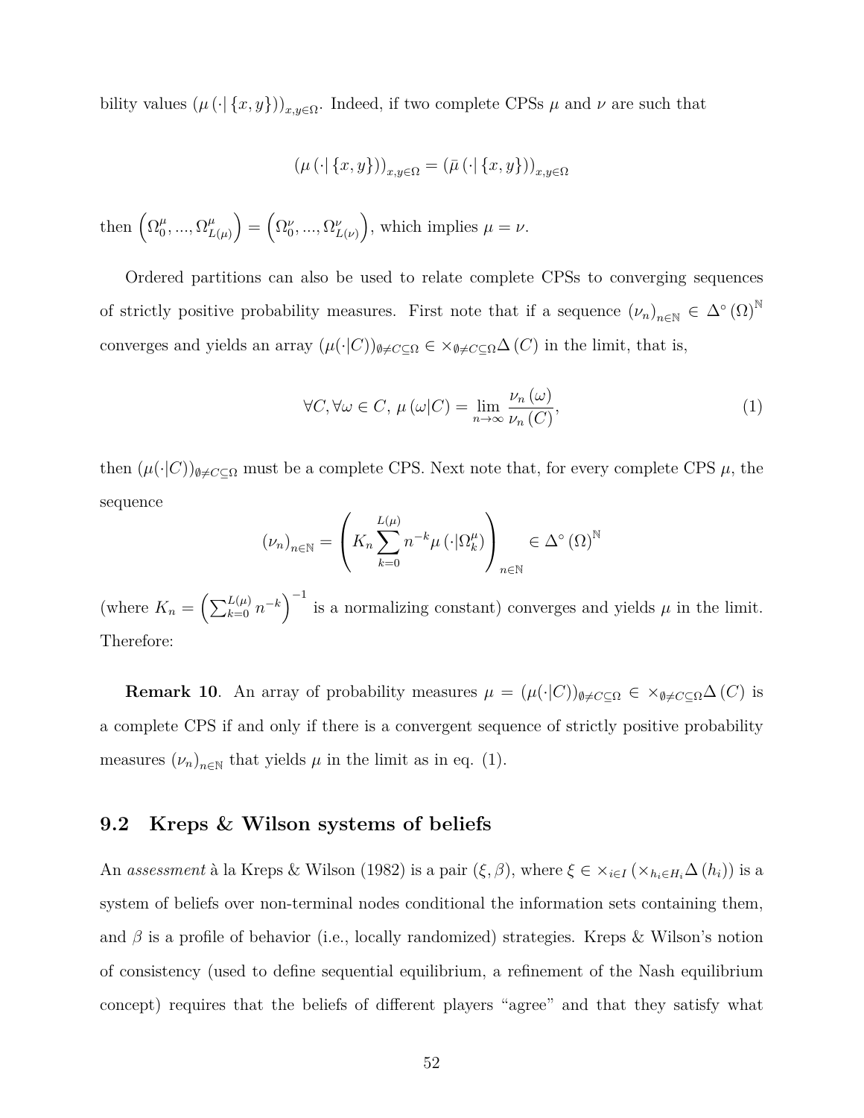bility values  $(\mu(\cdot | \{x, y\}))_{x, y \in \Omega}$ . Indeed, if two complete CPSs  $\mu$  and  $\nu$  are such that

$$
\left(\mu\left(\cdot\vert\left\{x,y\right\}\right)\right)_{x,y\in\Omega}=\left(\bar{\mu}\left(\cdot\vert\left\{x,y\right\}\right)\right)_{x,y\in\Omega}
$$

then  $\left(\Omega_0^{\mu}\right)$  $_{0}^{\mu},...,\Omega_{L}^{\mu}$  $\left(\Omega_{L(\mu)}^{\nu}\right) = \left(\Omega_0^{\nu}, ..., \Omega_{L(\nu)}^{\nu}\right)$ , which implies  $\mu = \nu$ .

Ordered partitions can also be used to relate complete CPSs to converging sequences of strictly positive probability measures. First note that if a sequence  $(\nu_n)_{n\in\mathbb{N}}\in\Delta^{\circ}(\Omega)^{\mathbb{N}}$ converges and yields an array  $(\mu(\cdot|C))_{\emptyset \neq C \subseteq \Omega} \in \times_{\emptyset \neq C \subseteq \Omega} \Delta(C)$  in the limit, that is,

$$
\forall C, \forall \omega \in C, \ \mu(\omega|C) = \lim_{n \to \infty} \frac{\nu_n(\omega)}{\nu_n(C)},\tag{1}
$$

then  $(\mu(\cdot|C))_{\emptyset \neq C \subseteq \Omega}$  must be a complete CPS. Next note that, for every complete CPS  $\mu$ , the sequence

$$
(\nu_n)_{n \in \mathbb{N}} = \left( K_n \sum_{k=0}^{L(\mu)} n^{-k} \mu \left( \cdot | \Omega_k^{\mu} \right) \right)_{n \in \mathbb{N}} \in \Delta^{\circ} \left( \Omega \right)^{\mathbb{N}}
$$

(where  $K_n = \left(\sum_{k=0}^{L(\mu)} n^{-k}\right)^{-1}$  is a normalizing constant) converges and yields  $\mu$  in the limit. Therefore:

**Remark 10**. An array of probability measures  $\mu = (\mu(\cdot|C))_{\emptyset \neq C \subseteq \Omega} \in \times_{\emptyset \neq C \subseteq \Omega} \Delta(C)$  is a complete CPS if and only if there is a convergent sequence of strictly positive probability measures  $(\nu_n)_{n \in \mathbb{N}}$  that yields  $\mu$  in the limit as in eq. (1).

#### **9.2 Kreps & Wilson systems of beliefs**

An *assessment* à la Kreps & Wilson (1982) is a pair  $(\xi, \beta)$ , where  $\xi \in \times_{i \in I} (\times_{h_i \in H_i} \Delta(h_i))$  is a system of beliefs over non-terminal nodes conditional the information sets containing them, and *β* is a profile of behavior (i.e., locally randomized) strategies. Kreps & Wilson's notion of consistency (used to define sequential equilibrium, a refinement of the Nash equilibrium concept) requires that the beliefs of different players "agree" and that they satisfy what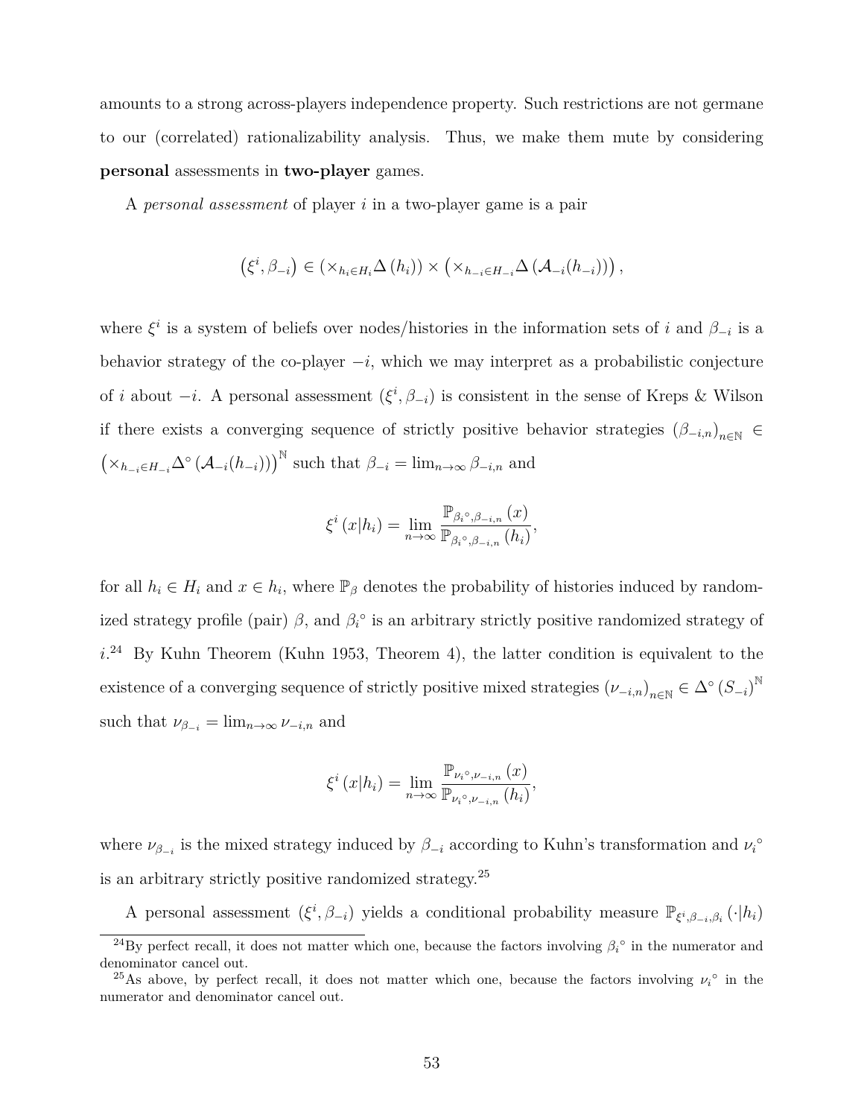amounts to a strong across-players independence property. Such restrictions are not germane to our (correlated) rationalizability analysis. Thus, we make them mute by considering **personal** assessments in **two-player** games.

A *personal assessment* of player *i* in a two-player game is a pair

$$
(\xi^i, \beta_{-i}) \in (\times_{h_i \in H_i} \Delta(h_i)) \times (\times_{h_{-i} \in H_{-i}} \Delta(\mathcal{A}_{-i}(h_{-i}))),
$$

where  $\xi^i$  is a system of beliefs over nodes/histories in the information sets of *i* and  $\beta_{-i}$  is a behavior strategy of the co-player *−i*, which we may interpret as a probabilistic conjecture of *i* about  $-i$ . A personal assessment  $(\xi^i, \beta_{-i})$  is consistent in the sense of Kreps & Wilson if there exists a converging sequence of strictly positive behavior strategies  $(\beta_{-i,n})_{n\in\mathbb{N}}$   $\in$  $(\times_{h_{-i} \in H_{-i}} \Delta^{\circ} (\mathcal{A}_{-i}(h_{-i})))$ <sup>N</sup> such that  $\beta_{-i} = \lim_{n \to \infty} \beta_{-i,n}$  and

$$
\xi^{i}(x|h_{i})=\lim_{n\to\infty}\frac{\mathbb{P}_{\beta_{i} \circ,\beta_{-i,n}}(x)}{\mathbb{P}_{\beta_{i} \circ,\beta_{-i,n}}(h_{i})},
$$

for all  $h_i \in H_i$  and  $x \in h_i$ , where  $\mathbb{P}_{\beta}$  denotes the probability of histories induced by randomized strategy profile (pair)  $\beta$ , and  $\beta_i^{\circ}$  is an arbitrary strictly positive randomized strategy of  $i^{24}$  By Kuhn Theorem (Kuhn 1953, Theorem 4), the latter condition is equivalent to the existence of a converging sequence of strictly positive mixed strategies  $(\nu_{-i,n})_{n\in\mathbb{N}} \in \Delta^{\circ}(S_{-i})^{\mathbb{N}}$ such that  $\nu_{\beta_{-i}} = \lim_{n \to \infty} \nu_{-i,n}$  and

$$
\xi^{i}(x|h_{i}) = \lim_{n \to \infty} \frac{\mathbb{P}_{\nu_{i}^{o}, \nu_{-i,n}}(x)}{\mathbb{P}_{\nu_{i}^{o}, \nu_{-i,n}}(h_{i})},
$$

where  $\nu_{\beta_{-i}}$  is the mixed strategy induced by  $\beta_{-i}$  according to Kuhn's transformation and  $\nu_i^{\circ}$ is an arbitrary strictly positive randomized strategy.<sup>25</sup>

A personal assessment  $(\xi^i, \beta_{-i})$  yields a conditional probability measure  $\mathbb{P}_{\xi^i, \beta_{-i}, \beta_i}(\cdot | h_i)$ 

<sup>&</sup>lt;sup>24</sup>By perfect recall, it does not matter which one, because the factors involving  $\beta_i^{\circ}$  in the numerator and denominator cancel out.

<sup>&</sup>lt;sup>25</sup>As above, by perfect recall, it does not matter which one, because the factors involving  $\nu_i^{\circ}$  in the numerator and denominator cancel out.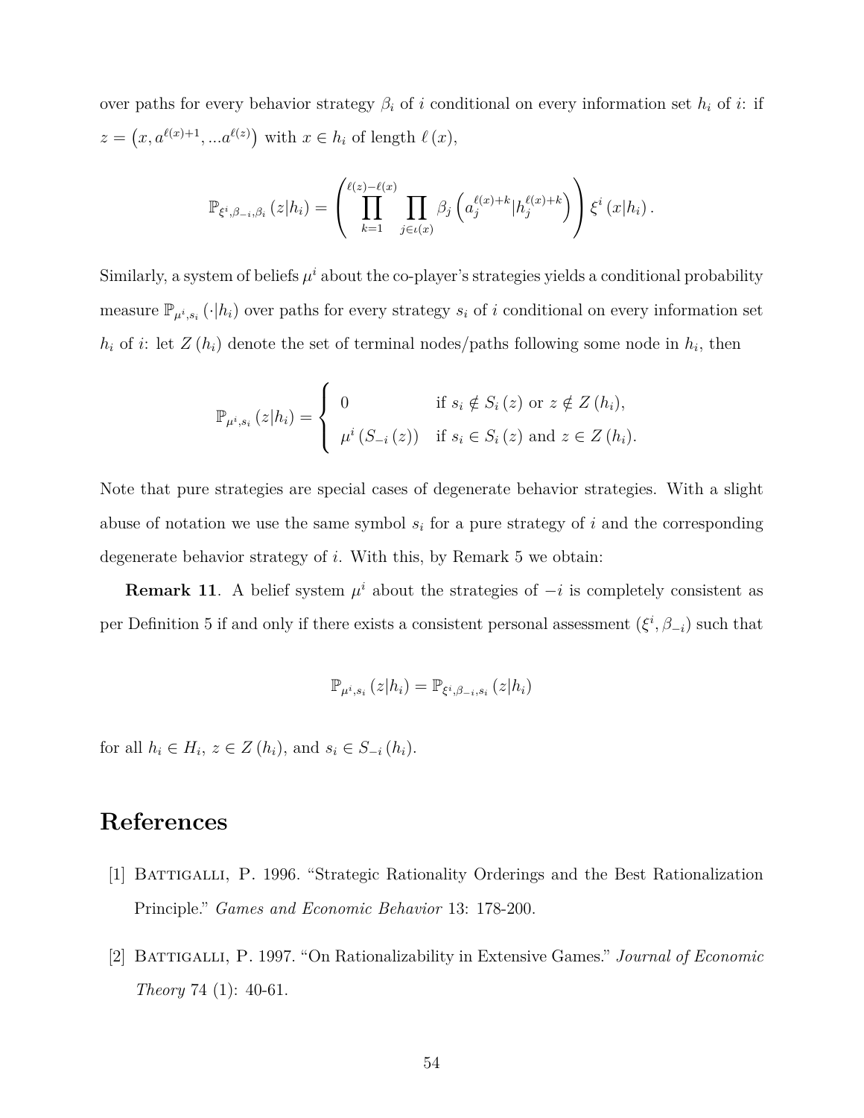over paths for every behavior strategy  $\beta_i$  of *i* conditional on every information set  $h_i$  of *i*: if  $z = (x, a^{\ell(x)+1}, \dots a^{\ell(z)})$  with  $x \in h_i$  of length  $\ell(x)$ ,

$$
\mathbb{P}_{\xi^{i},\beta_{-i},\beta_{i}}(z|h_{i}) = \left(\prod_{k=1}^{\ell(z)-\ell(x)}\prod_{j\in\iota(x)}\beta_{j}\left(a_{j}^{\ell(x)+k}|h_{j}^{\ell(x)+k}\right)\right)\xi^{i}(x|h_{i}).
$$

Similarly, a system of beliefs  $\mu^i$  about the co-player's strategies yields a conditional probability measure  $\mathbb{P}_{\mu^i,s_i}(\cdot|h_i)$  over paths for every strategy  $s_i$  of *i* conditional on every information set  $h_i$  of *i*: let  $Z(h_i)$  denote the set of terminal nodes/paths following some node in  $h_i$ , then

$$
\mathbb{P}_{\mu^{i},s_{i}}(z|h_{i}) = \begin{cases} 0 & \text{if } s_{i} \notin S_{i}(z) \text{ or } z \notin Z(h_{i}), \\ \mu^{i} (S_{-i}(z)) & \text{if } s_{i} \in S_{i}(z) \text{ and } z \in Z(h_{i}). \end{cases}
$$

Note that pure strategies are special cases of degenerate behavior strategies. With a slight abuse of notation we use the same symbol  $s_i$  for a pure strategy of  $i$  and the corresponding degenerate behavior strategy of *i*. With this, by Remark 5 we obtain:

**Remark 11**. A belief system  $\mu^i$  about the strategies of  $-i$  is completely consistent as per Definition 5 if and only if there exists a consistent personal assessment  $(\xi^i, \beta_{-i})$  such that

$$
\mathbb{P}_{\mu^i,s_i}\left(z|h_i\right) = \mathbb{P}_{\xi^i,\beta_{-i},s_i}\left(z|h_i\right)
$$

for all  $h_i \in H_i$ ,  $z \in Z(h_i)$ , and  $s_i \in S_{-i}(h_i)$ .

## **References**

- [1] Battigalli, P. 1996. "Strategic Rationality Orderings and the Best Rationalization Principle." *Games and Economic Behavior* 13: 178-200.
- [2] Battigalli, P. 1997. "On Rationalizability in Extensive Games." *Journal of Economic Theory* 74 (1): 40-61.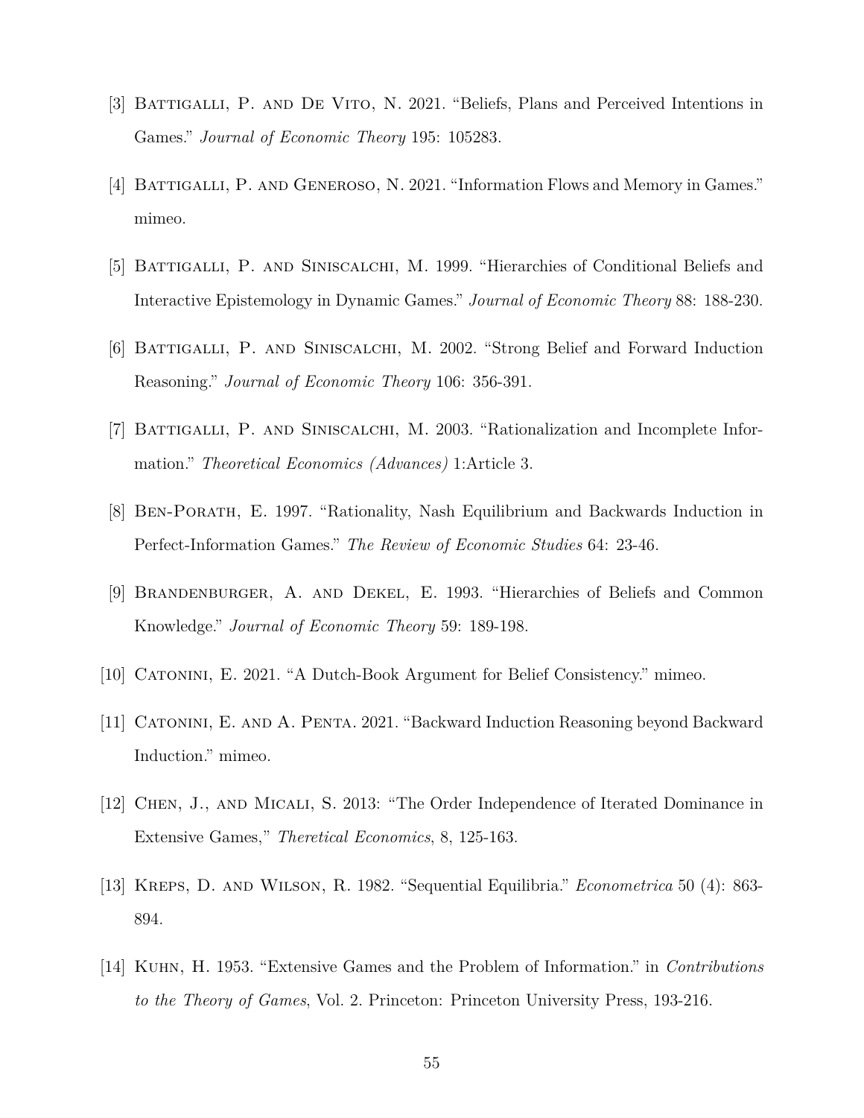- [3] Battigalli, P. and De Vito, N. 2021. "Beliefs, Plans and Perceived Intentions in Games." *Journal of Economic Theory* 195: 105283.
- [4] BATTIGALLI, P. AND GENEROSO, N. 2021. "Information Flows and Memory in Games." mimeo.
- [5] BATTIGALLI, P. AND SINISCALCHI, M. 1999. "Hierarchies of Conditional Beliefs and Interactive Epistemology in Dynamic Games." *Journal of Economic Theory* 88: 188-230.
- [6] BATTIGALLI, P. AND SINISCALCHI, M. 2002. "Strong Belief and Forward Induction Reasoning." *Journal of Economic Theory* 106: 356-391.
- [7] Battigalli, P. and Siniscalchi, M. 2003. "Rationalization and Incomplete Information." *Theoretical Economics (Advances)* 1:Article 3.
- [8] Ben-Porath, E. 1997. "Rationality, Nash Equilibrium and Backwards Induction in Perfect-Information Games." *The Review of Economic Studies* 64: 23-46.
- [9] Brandenburger, A. and Dekel, E. 1993. "Hierarchies of Beliefs and Common Knowledge." *Journal of Economic Theory* 59: 189-198.
- [10] Catonini, E. 2021. "A Dutch-Book Argument for Belief Consistency." mimeo.
- [11] Catonini, E. and A. Penta. 2021. "Backward Induction Reasoning beyond Backward Induction." mimeo.
- [12] Chen, J., and Micali, S. 2013: "The Order Independence of Iterated Dominance in Extensive Games," *Theretical Economics*, 8, 125-163.
- [13] Kreps, D. and Wilson, R. 1982. "Sequential Equilibria." *Econometrica* 50 (4): 863- 894.
- [14] Kuhn, H. 1953. "Extensive Games and the Problem of Information." in *Contributions to the Theory of Games*, Vol. 2. Princeton: Princeton University Press, 193-216.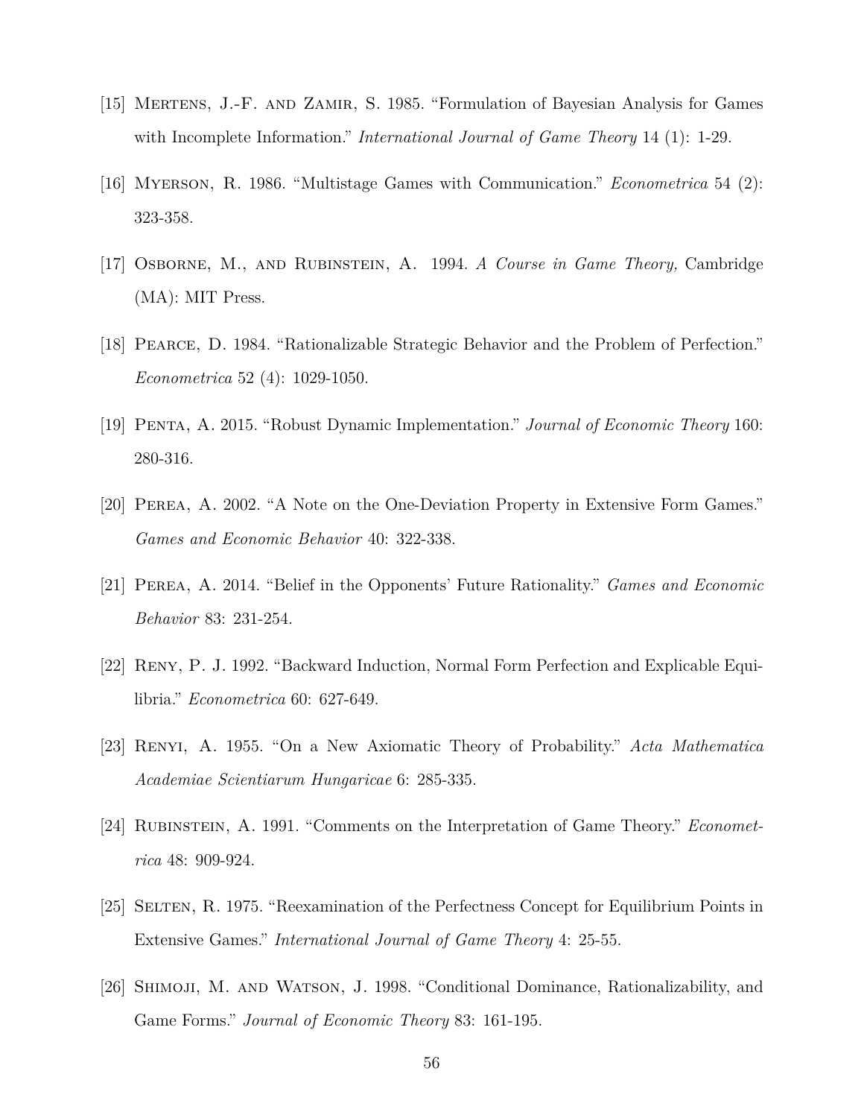- [15] MERTENS, J.-F. AND ZAMIR, S. 1985. "Formulation of Bayesian Analysis for Games with Incomplete Information." *International Journal of Game Theory* 14 (1): 1-29.
- [16] Myerson, R. 1986. "Multistage Games with Communication." *Econometrica* 54 (2): 323-358.
- [17] Osborne, M., and Rubinstein, A. 1994. *A Course in Game Theory,* Cambridge (MA): MIT Press.
- [18] Pearce, D. 1984. "Rationalizable Strategic Behavior and the Problem of Perfection." *Econometrica* 52 (4): 1029-1050.
- [19] Penta, A. 2015. "Robust Dynamic Implementation." *Journal of Economic Theory* 160: 280-316.
- [20] Perea, A. 2002. "A Note on the One-Deviation Property in Extensive Form Games." *Games and Economic Behavior* 40: 322-338.
- [21] Perea, A. 2014. "Belief in the Opponents' Future Rationality." *Games and Economic Behavior* 83: 231-254.
- [22] Reny, P. J. 1992. "Backward Induction, Normal Form Perfection and Explicable Equilibria." *Econometrica* 60: 627-649.
- [23] Renyi, A. 1955. "On a New Axiomatic Theory of Probability." *Acta Mathematica Academiae Scientiarum Hungaricae* 6: 285-335.
- [24] Rubinstein, A. 1991. "Comments on the Interpretation of Game Theory." *Econometrica* 48: 909-924.
- [25] Selten, R. 1975. "Reexamination of the Perfectness Concept for Equilibrium Points in Extensive Games." *International Journal of Game Theory* 4: 25-55.
- [26] Shimoji, M. and Watson, J. 1998. "Conditional Dominance, Rationalizability, and Game Forms." *Journal of Economic Theory* 83: 161-195.